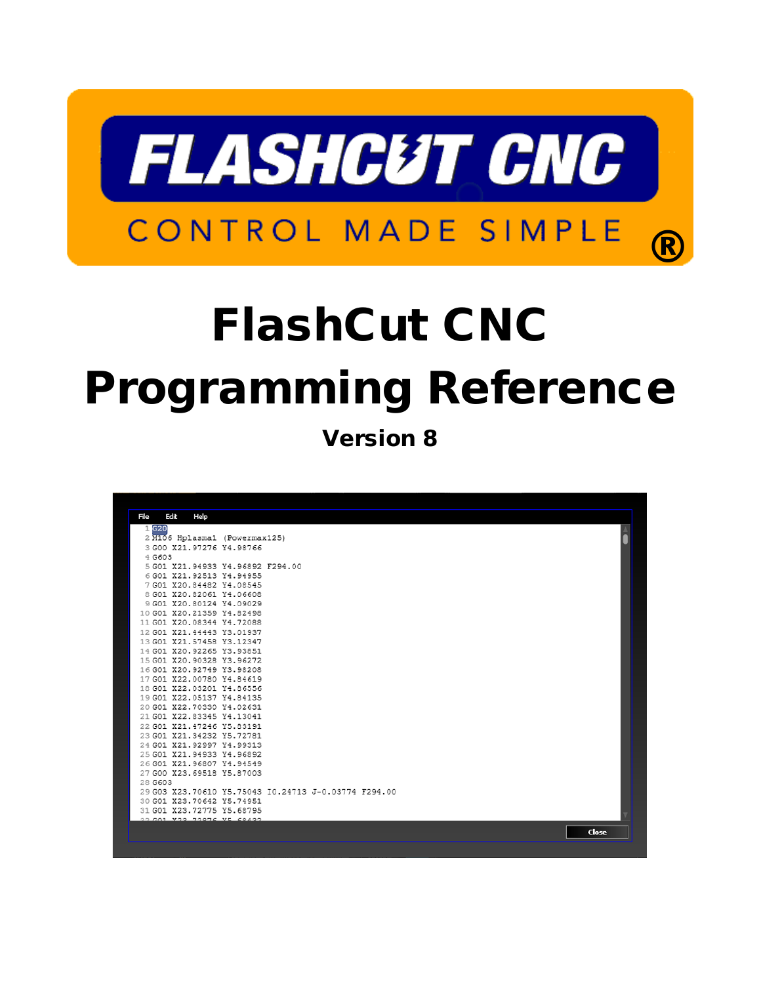

# FlashCut CNC Programming Reference

Version 8

| File |         | Edit<br>Help                                           |                                                      |       |
|------|---------|--------------------------------------------------------|------------------------------------------------------|-------|
|      | 1 G20   |                                                        |                                                      |       |
|      |         |                                                        | 2 M106 Hplasma1 (Powermax125)                        |       |
|      |         | 3 G00 X21, 97276 Y4.98766                              |                                                      |       |
|      | 4 G603  |                                                        |                                                      |       |
|      |         |                                                        | 5 G01 X21 94933 Y4 96892 F294 00                     |       |
|      |         | 6 G01 X21, 92513 Y4.94955                              |                                                      |       |
|      |         | 7 G01 X20.84482 Y4.08545                               |                                                      |       |
|      |         | 8 G01 X20.82061 Y4.06608                               |                                                      |       |
|      |         | 9 G01 X20,80124 Y4.09029                               |                                                      |       |
|      |         | 10 G01 X20.21359 Y4.82498                              |                                                      |       |
|      |         | 11 G01 X20.08344 Y4.72088                              |                                                      |       |
|      |         | 12 G01 X21.44443 Y3.01937                              |                                                      |       |
|      |         | 13 G01 X21.57458 Y3.12347<br>14 G01 X20.92265 Y3.93851 |                                                      |       |
|      |         | 15 G01 X20.90328 Y3.96272                              |                                                      |       |
|      |         | 16 G01 X20, 92749 Y3.98208                             |                                                      |       |
|      |         | 17 G01 X22,00780 Y4.84619                              |                                                      |       |
|      |         | 18 G01 X22,03201 Y4.86556                              |                                                      |       |
|      |         | 19 G01 X22.05137 Y4.84135                              |                                                      |       |
|      |         | 20 G01 X22,70330 Y4.02631                              |                                                      |       |
|      |         | 21 G01 X22.83345 Y4.13041                              |                                                      |       |
|      |         | 22 G01 X21.47246 Y5.83191                              |                                                      |       |
|      |         | 23 G01 X21.34232 Y5.72781                              |                                                      |       |
|      |         | 24 G01 X21, 92997 Y4, 99313                            |                                                      |       |
|      |         | 25 G01 X21.94933 Y4.96892                              |                                                      |       |
|      |         | 26 G01 X21.96807 Y4.94549                              |                                                      |       |
|      |         | 27 G00 X23,69518 Y5.87003                              |                                                      |       |
|      | 28 G603 |                                                        |                                                      |       |
|      |         |                                                        | 29 G03 X23.70610 Y5.75043 I0.24713 J-0.03774 F294.00 |       |
|      |         | 30 G01 X23.70642 Y5.74951                              |                                                      |       |
|      |         | 31 G01 X23.72775 Y5.68795<br>30 CA1 V23 72976 VE 69432 |                                                      |       |
|      |         |                                                        |                                                      |       |
|      |         |                                                        |                                                      | Close |
|      |         |                                                        |                                                      |       |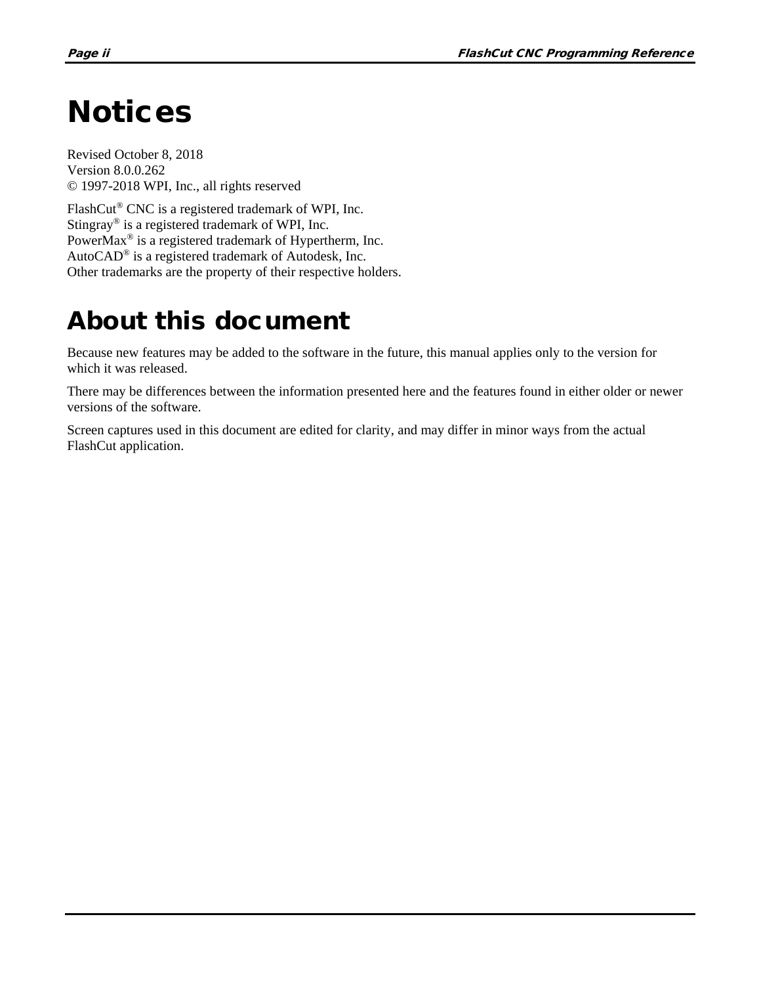## <span id="page-1-0"></span>**Notices**

Revised October 8, 2018 Version 8.0.0.262 © 1997-2018 WPI, Inc., all rights reserved

FlashCut® CNC is a registered trademark of WPI, Inc. Stingray® is a registered trademark of WPI, Inc. PowerMax® is a registered trademark of Hypertherm, Inc. AutoCAD® is a registered trademark of Autodesk, Inc. Other trademarks are the property of their respective holders.

## About this document

Because new features may be added to the software in the future, this manual applies only to the version for which it was released.

There may be differences between the information presented here and the features found in either older or newer versions of the software.

Screen captures used in this document are edited for clarity, and may differ in minor ways from the actual FlashCut application.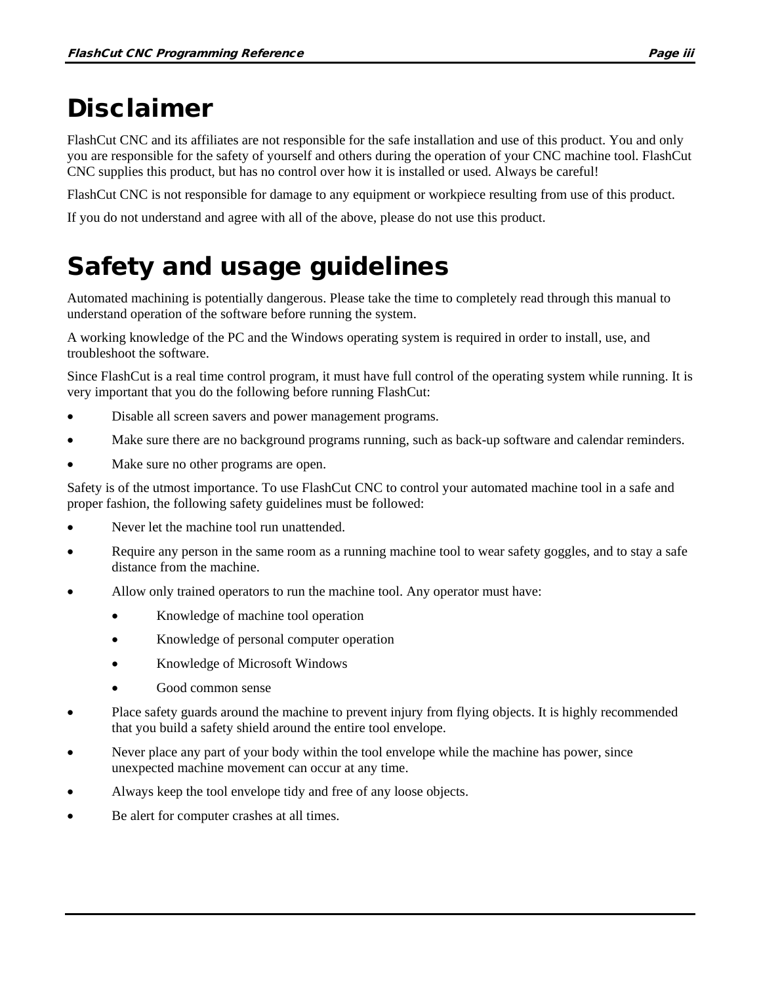## Disclaimer

FlashCut CNC and its affiliates are not responsible for the safe installation and use of this product. You and only you are responsible for the safety of yourself and others during the operation of your CNC machine tool. FlashCut CNC supplies this product, but has no control over how it is installed or used. Always be careful!

FlashCut CNC is not responsible for damage to any equipment or workpiece resulting from use of this product.

If you do not understand and agree with all of the above, please do not use this product.

## Safety and usage guidelines

Automated machining is potentially dangerous. Please take the time to completely read through this manual to understand operation of the software before running the system.

A working knowledge of the PC and the Windows operating system is required in order to install, use, and troubleshoot the software.

Since FlashCut is a real time control program, it must have full control of the operating system while running. It is very important that you do the following before running FlashCut:

- Disable all screen savers and power management programs.
- Make sure there are no background programs running, such as back-up software and calendar reminders.
- Make sure no other programs are open.

Safety is of the utmost importance. To use FlashCut CNC to control your automated machine tool in a safe and proper fashion, the following safety guidelines must be followed:

- Never let the machine tool run unattended.
- Require any person in the same room as a running machine tool to wear safety goggles, and to stay a safe distance from the machine.
- Allow only trained operators to run the machine tool. Any operator must have:
	- Knowledge of machine tool operation
	- Knowledge of personal computer operation
	- Knowledge of Microsoft Windows
	- Good common sense
- Place safety guards around the machine to prevent injury from flying objects. It is highly recommended that you build a safety shield around the entire tool envelope.
- Never place any part of your body within the tool envelope while the machine has power, since unexpected machine movement can occur at any time.
- Always keep the tool envelope tidy and free of any loose objects.
- Be alert for computer crashes at all times.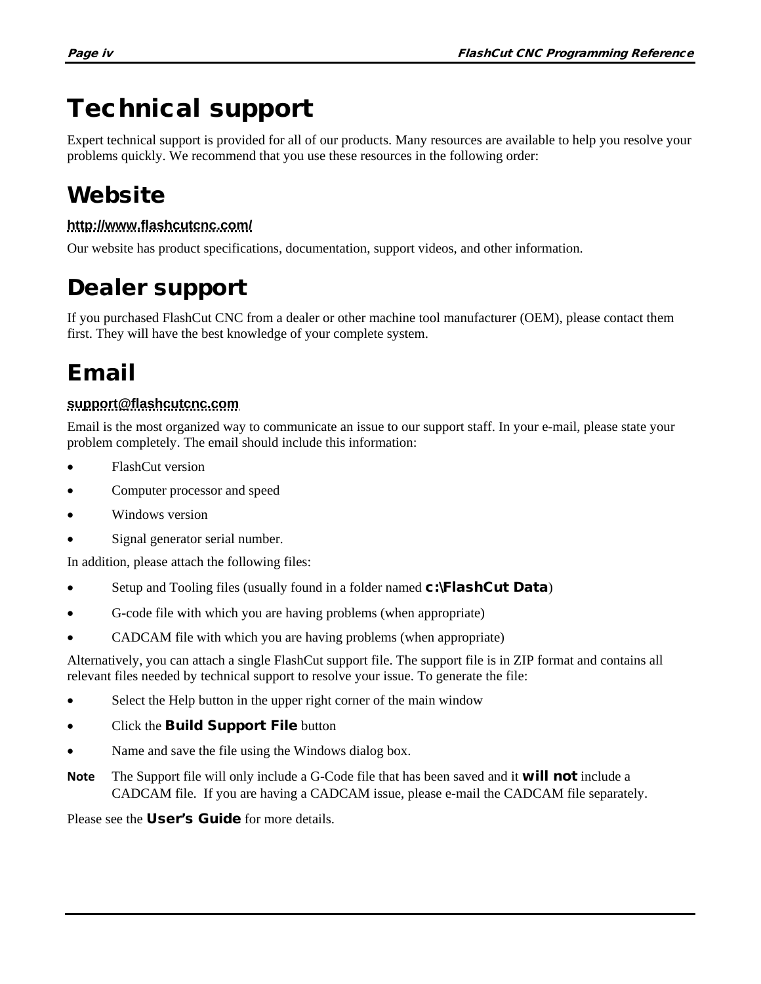## Technical support

Expert technical support is provided for all of our products. Many resources are available to help you resolve your problems quickly. We recommend that you use these resources in the following order:

### **Website**

### **<http://www.flashcutcnc.com/>**

Our website has product specifications, documentation, support videos, and other information.

### Dealer support

If you purchased FlashCut CNC from a dealer or other machine tool manufacturer (OEM), please contact them first. They will have the best knowledge of your complete system.

### Email

### **[support@flashcutcnc.com](mailto:support@flashcutcnc.com)**

Email is the most organized way to communicate an issue to our support staff. In your e-mail, please state your problem completely. The email should include this information:

- FlashCut version
- Computer processor and speed
- Windows version
- Signal generator serial number.

In addition, please attach the following files:

- Setup and Tooling files (usually found in a folder named **c:\FlashCut Data**)
- G-code file with which you are having problems (when appropriate)
- CADCAM file with which you are having problems (when appropriate)

Alternatively, you can attach a single FlashCut support file. The support file is in ZIP format and contains all relevant files needed by technical support to resolve your issue. To generate the file:

- Select the Help button in the upper right corner of the main window
- Click the **Build Support File** button
- Name and save the file using the Windows dialog box.
- **Note** The Support file will only include a G-Code file that has been saved and it **will not** include a CADCAM file. If you are having a CADCAM issue, please e-mail the CADCAM file separately.

Please see the **User's Guide** for more details.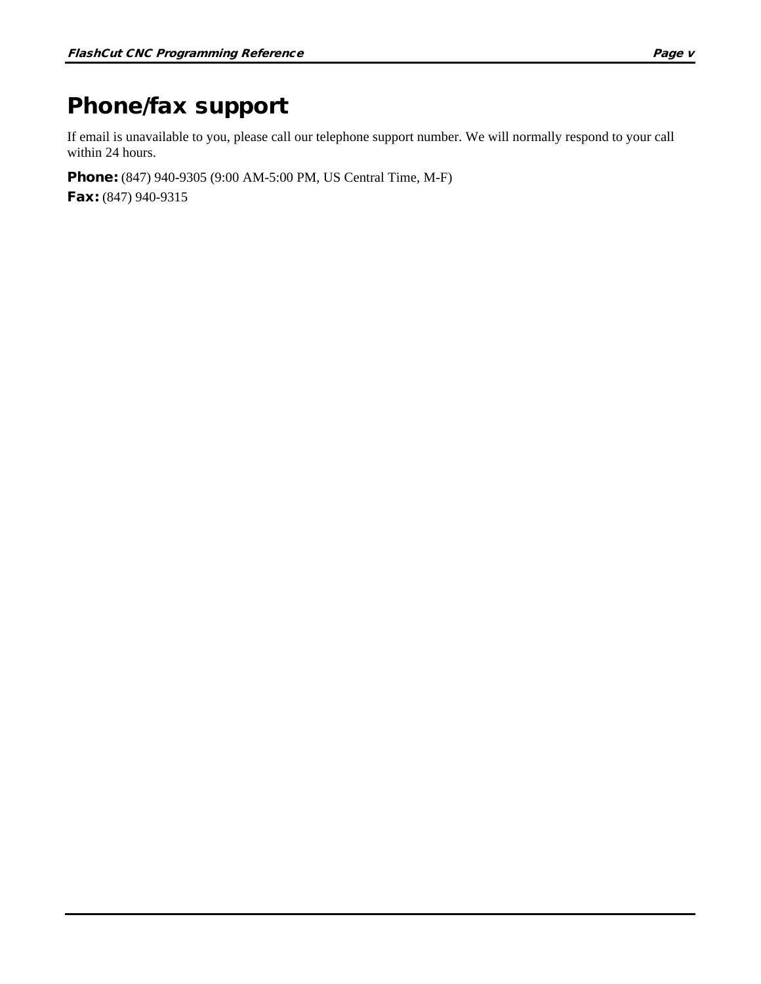### Phone/fax support

If email is unavailable to you, please call our telephone support number. We will normally respond to your call within 24 hours.

Phone: (847) 940-9305 (9:00 AM-5:00 PM, US Central Time, M-F) Fax: (847) 940-9315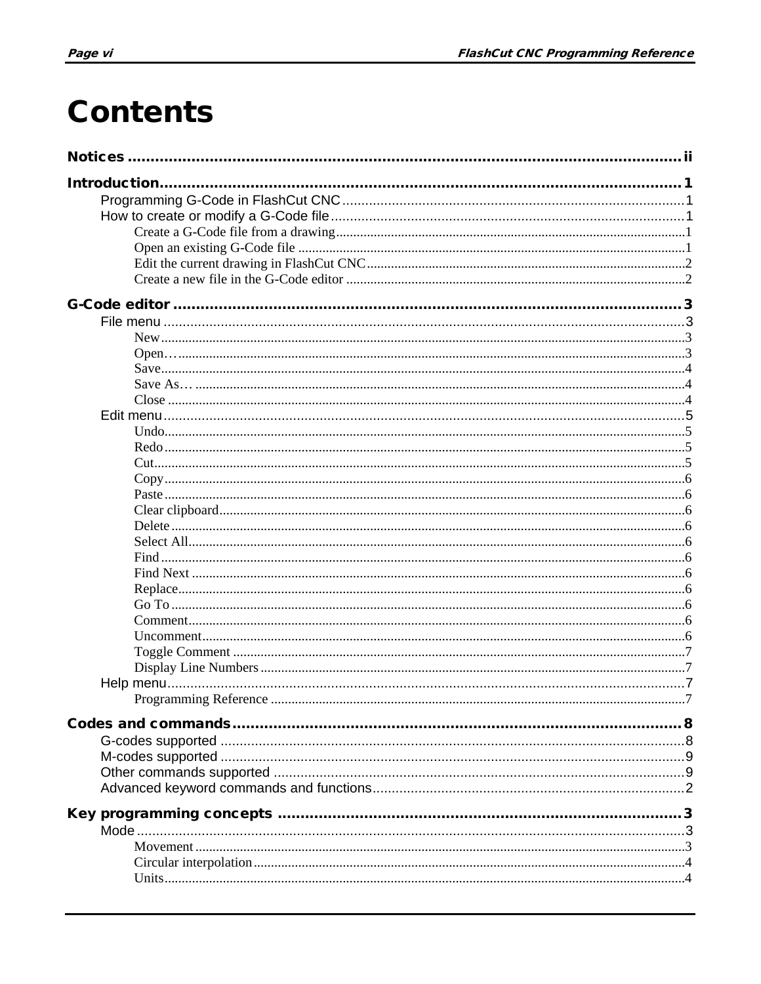## **Contents**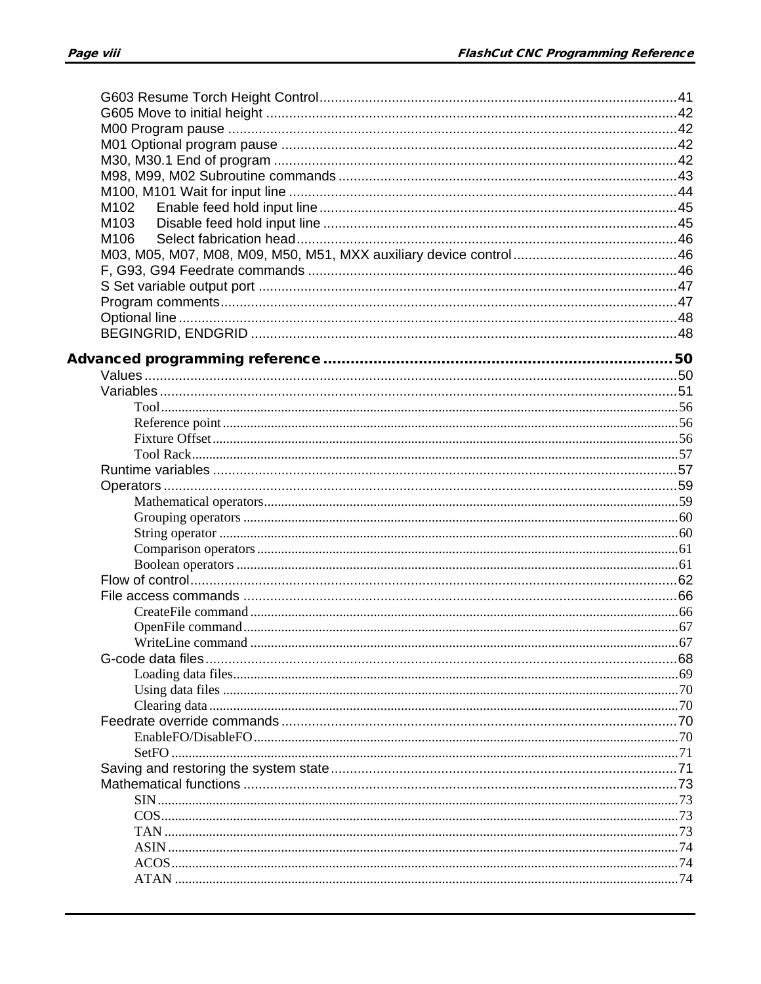| M102 |  |
|------|--|
| M103 |  |
| M106 |  |
|      |  |
|      |  |
|      |  |
|      |  |
|      |  |
|      |  |
|      |  |
|      |  |
|      |  |
|      |  |
|      |  |
|      |  |
|      |  |
|      |  |
|      |  |
|      |  |
|      |  |
|      |  |
|      |  |
|      |  |
|      |  |
|      |  |
|      |  |
|      |  |
|      |  |
|      |  |
|      |  |
|      |  |
|      |  |
|      |  |
|      |  |
|      |  |
|      |  |
|      |  |
|      |  |
|      |  |
|      |  |
|      |  |
|      |  |
|      |  |
|      |  |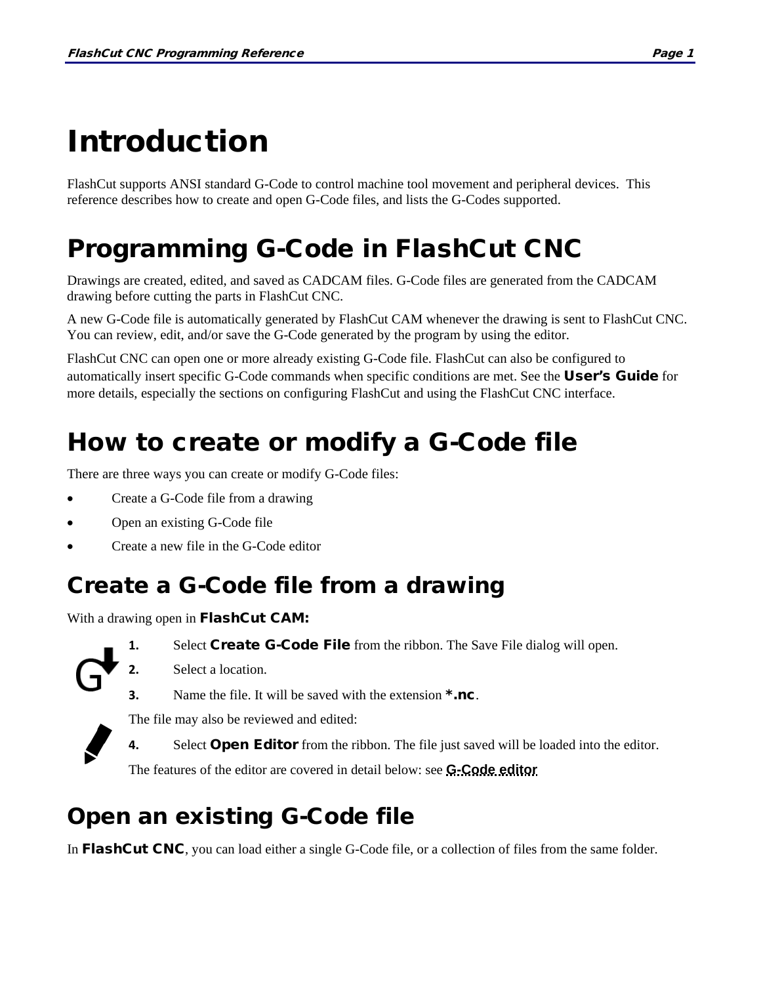# <span id="page-10-0"></span>Introduction

FlashCut supports ANSI standard G-Code to control machine tool movement and peripheral devices. This reference describes how to create and open G-Code files, and lists the G-Codes supported.

## <span id="page-10-1"></span>Programming G-Code in FlashCut CNC

Drawings are created, edited, and saved as CADCAM files. G-Code files are generated from the CADCAM drawing before cutting the parts in FlashCut CNC.

A new G-Code file is automatically generated by FlashCut CAM whenever the drawing is sent to FlashCut CNC. You can review, edit, and/or save the G-Code generated by the program by using the editor.

FlashCut CNC can open one or more already existing G-Code file. FlashCut can also be configured to automatically insert specific G-Code commands when specific conditions are met. See the User's Guide for more details, especially the sections on configuring FlashCut and using the FlashCut CNC interface.

## <span id="page-10-2"></span>How to create or modify a G-Code file

There are three ways you can create or modify G-Code files:

- Create a G-Code file from a drawing
- Open an existing G-Code file
- Create a new file in the G-Code editor

### <span id="page-10-3"></span>Create a G-Code file from a drawing

With a drawing open in **FlashCut CAM**:



- 1. Select Create G-Code File from the ribbon. The Save File dialog will open.
- **2.** Select a location.
- **3.** Name the file. It will be saved with the extension \*.nc.





**4.** Select **Open Editor** from the ribbon. The file just saved will be loaded into the editor.

The features of the editor are covered in detail below: see **[G-Code editor](#page-12-0)**

### <span id="page-10-4"></span>Open an existing G-Code file

The file may also be reviewed and edited:

In FlashCut CNC, you can load either a single G-Code file, or a collection of files from the same folder.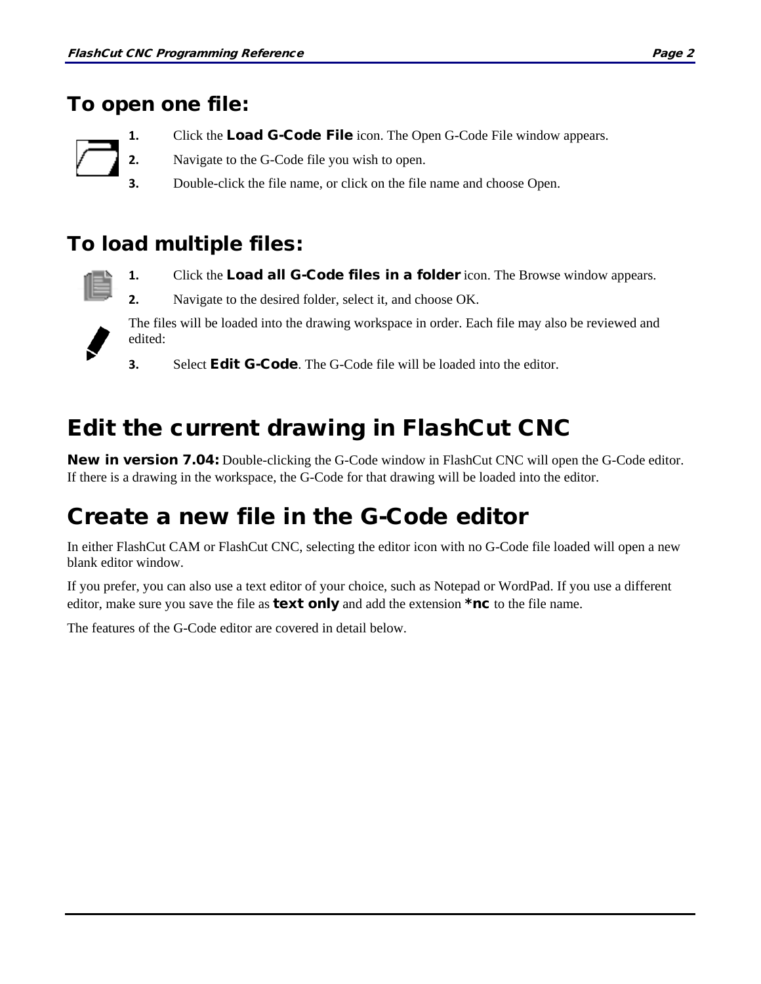### To open one file:

- **1.** Click the **Load G-Code File** icon. The Open G-Code File window appears.
- **2.** Navigate to the G-Code file you wish to open.
- **3.** Double-click the file name, or click on the file name and choose Open.

### To load multiple files:



- **1.** Click the **Load all G-Code files in a folder** icon. The Browse window appears.
- **2.** Navigate to the desired folder, select it, and choose OK.



- The files will be loaded into the drawing workspace in order. Each file may also be reviewed and edited:
- **3.** Select **Edit G-Code**. The G-Code file will be loaded into the editor.

### <span id="page-11-0"></span>Edit the current drawing in FlashCut CNC

New in version 7.04: Double-clicking the G-Code window in FlashCut CNC will open the G-Code editor. If there is a drawing in the workspace, the G-Code for that drawing will be loaded into the editor.

### <span id="page-11-1"></span>Create a new file in the G-Code editor

In either FlashCut CAM or FlashCut CNC, selecting the editor icon with no G-Code file loaded will open a new blank editor window.

If you prefer, you can also use a text editor of your choice, such as Notepad or WordPad. If you use a different editor, make sure you save the file as **text only** and add the extension  $*nc$  to the file name.

The features of the G-Code editor are covered in detail below.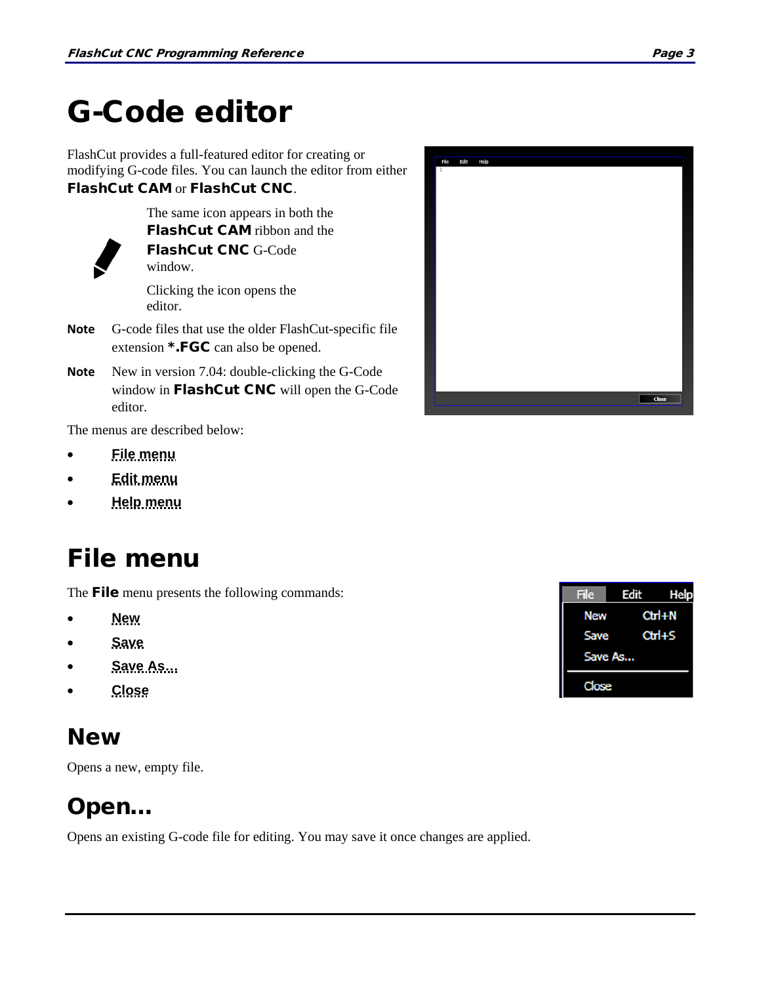## <span id="page-12-0"></span>G-Code editor

FlashCut provides a full-featured editor for creating or modifying G-code files. You can launch the editor from either FlashCut CAM or FlashCut CNC.



FlashCut CAM ribbon and the FlashCut CNC G-Code window.

The same icon appears in both the

Clicking the icon opens the editor.

- **Note** G-code files that use the older FlashCut-specific file extension \*.FGC can also be opened.
- **Note** New in version 7.04: double-clicking the G-Code window in FlashCut CNC will open the G-Code editor.

The menus are described below:

- **[File menu](#page-12-1)**
- **[Edit menu](#page-13-3)**
- <span id="page-12-1"></span>• **[Help menu](#page-16-2)**

### File menu

The **File** menu presents the following commands:

- **[New](#page-12-2)**
- **[Save](#page-13-0)**
- **[Save As…](#page-13-1)**
- **[Close](#page-13-2)**

### <span id="page-12-2"></span>**New**

Opens a new, empty file.

### <span id="page-12-3"></span>Open…

Opens an existing G-code file for editing. You may save it once changes are applied.



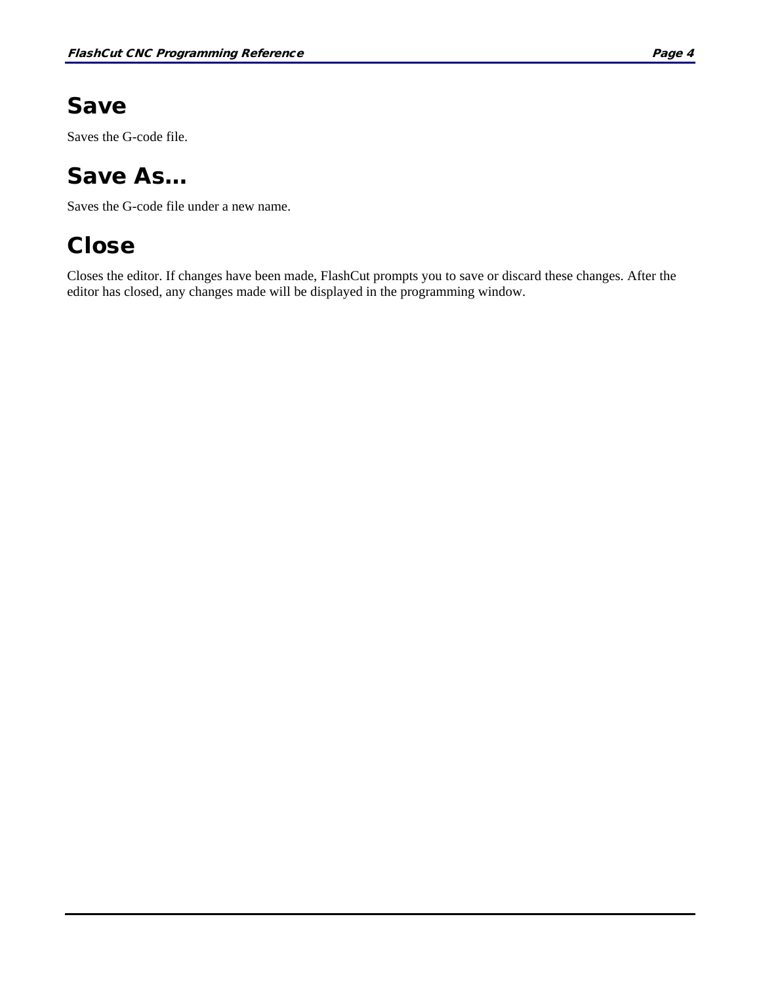### <span id="page-13-0"></span>Save

Saves the G-code file.

### <span id="page-13-1"></span>Save As…

Saves the G-code file under a new name.

### <span id="page-13-2"></span>**Close**

<span id="page-13-3"></span>Closes the editor. If changes have been made, FlashCut prompts you to save or discard these changes. After the editor has closed, any changes made will be displayed in the programming window.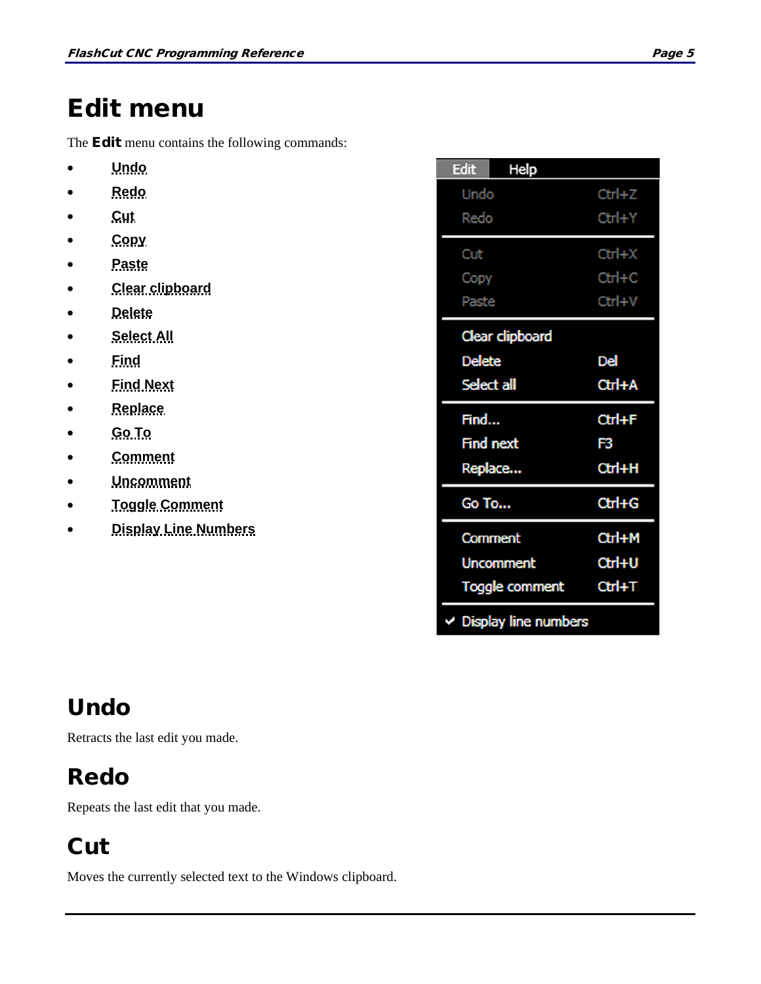### <span id="page-14-0"></span>Edit menu

The **Edit** menu contains the following commands:

- **[Undo](#page-14-1)**
- **[Redo](#page-14-2)**
- **[Cut](#page-14-3)**
- **[Copy](#page-15-0)**
- **[Paste](#page-15-1)**
- **[Clear clipboard](#page-15-2)**
- **[Delete](#page-15-3)**
- **[Select All](#page-15-4)**
- **[Find](#page-15-5)**
- **[Find Next](#page-15-6)**
- **[Replace](#page-15-7)**
- **[Go To](#page-15-8)**
- **[Comment](#page-15-9)**
- **[Uncomment](#page-15-10)**
- **[Toggle Comment](#page-16-0)**
- **[Display Line Numbers](#page-16-1)**

| Edit<br>Help                |            |
|-----------------------------|------------|
| Undo                        | $Ctrl + Z$ |
| Redo                        | $Ctrl+Y$   |
| Cut                         | $Ctrl+X$   |
| Copy                        | $Ctrl + C$ |
| Paste                       | Ctrl+V     |
| Clear clipboard             |            |
| <b>Delete</b>               | Del        |
| Select all                  | Ctrl+A     |
| Find                        | Ctrl+F     |
| <b>Find next</b>            | F3         |
| Replace                     | Ctrl+H     |
| Go To                       | $Ctrl + G$ |
| Comment                     | Ctrl+M     |
| <b>Uncomment</b>            | Ctrl+U     |
| Toggle comment              | $CtrI+T$   |
| $\vee$ Display line numbers |            |

### <span id="page-14-1"></span>Undo

Retracts the last edit you made.

### <span id="page-14-2"></span>Redo

Repeats the last edit that you made.

### <span id="page-14-3"></span>**Cut**

Moves the currently selected text to the Windows clipboard.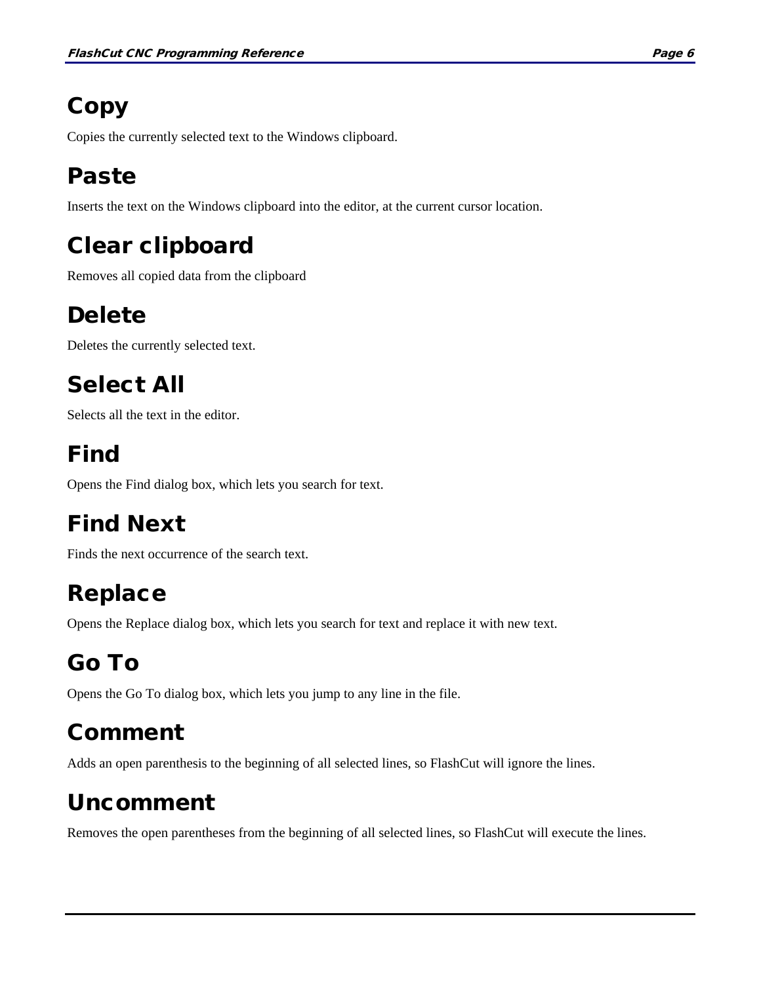## <span id="page-15-0"></span>**Copy**

Copies the currently selected text to the Windows clipboard.

### <span id="page-15-1"></span>Paste

Inserts the text on the Windows clipboard into the editor, at the current cursor location.

### <span id="page-15-2"></span>Clear clipboard

Removes all copied data from the clipboard

### <span id="page-15-3"></span>Delete

Deletes the currently selected text.

### <span id="page-15-4"></span>Select All

Selects all the text in the editor.

### <span id="page-15-5"></span>Find

Opens the Find dialog box, which lets you search for text.

### <span id="page-15-6"></span>Find Next

Finds the next occurrence of the search text.

### <span id="page-15-7"></span>Replace

Opens the Replace dialog box, which lets you search for text and replace it with new text.

### <span id="page-15-8"></span>Go To

Opens the Go To dialog box, which lets you jump to any line in the file.

### <span id="page-15-9"></span>Comment

Adds an open parenthesis to the beginning of all selected lines, so FlashCut will ignore the lines.

### <span id="page-15-10"></span>Uncomment

Removes the open parentheses from the beginning of all selected lines, so FlashCut will execute the lines.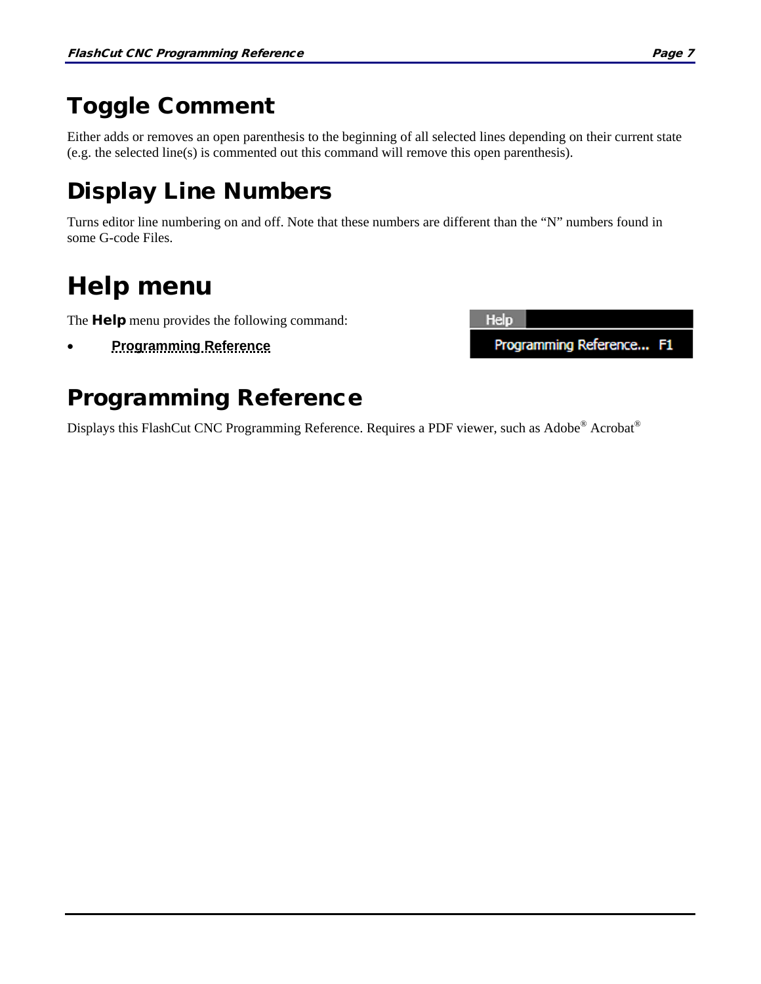### <span id="page-16-0"></span>Toggle Comment

Either adds or removes an open parenthesis to the beginning of all selected lines depending on their current state (e.g. the selected line(s) is commented out this command will remove this open parenthesis).

### <span id="page-16-1"></span>Display Line Numbers

Turns editor line numbering on and off. Note that these numbers are different than the "N" numbers found in some G-code Files.

## <span id="page-16-2"></span>Help menu

The **Help** menu provides the following command:

• **[Programming Reference](#page-16-3)**

# <span id="page-16-3"></span>Programming Reference

Displays this FlashCut CNC Programming Reference. Requires a PDF viewer, such as Adobe® Acrobat®

**Help** Programming Reference... F1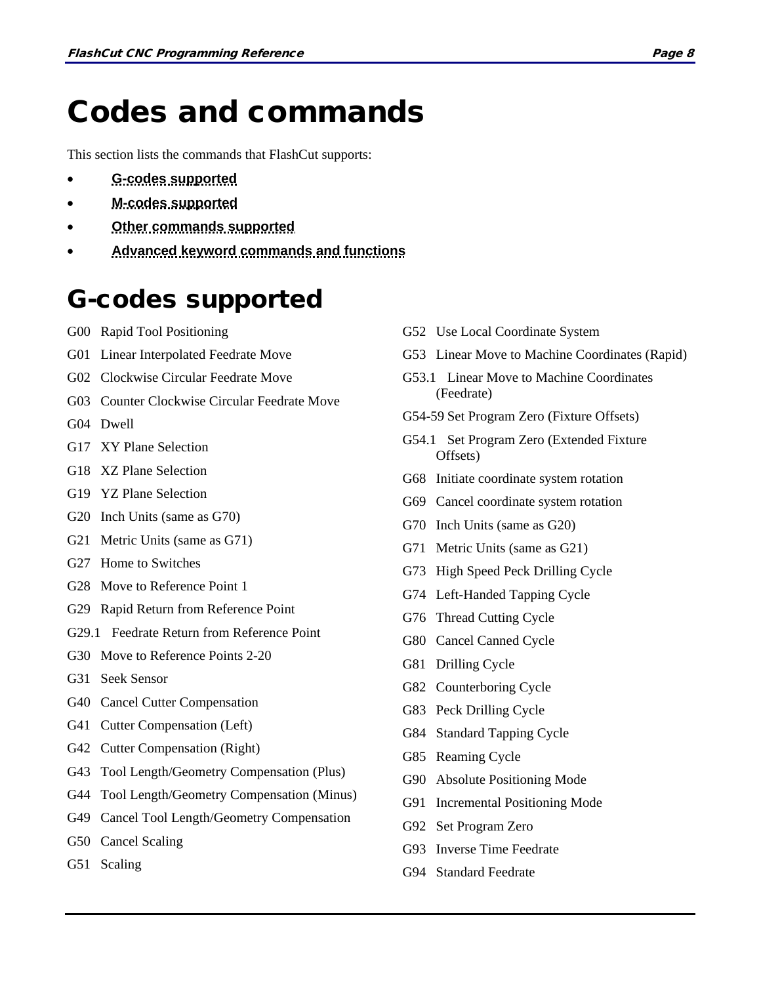## <span id="page-17-0"></span>Codes and commands

This section lists the commands that FlashCut supports:

- **[G-codes supported](#page-17-1)**
- **[M-codes supported](#page-18-0)**
- **[Other commands supported](#page-18-1)**
- **[Advanced keyword commands and functions](#page-19-0)**

### <span id="page-17-1"></span>G-codes supported

- G00 Rapid Tool Positioning
- G01 Linear Interpolated Feedrate Move
- G02 Clockwise Circular Feedrate Move
- G03 Counter Clockwise Circular Feedrate Move
- G04 Dwell
- G17 XY Plane Selection
- G18 XZ Plane Selection
- G19 YZ Plane Selection
- G20 Inch Units (same as G70)
- G21 Metric Units (same as G71)
- G27 Home to Switches
- G28 Move to Reference Point 1
- G29 Rapid Return from Reference Point
- G29.1 Feedrate Return from Reference Point
- G30 Move to Reference Points 2-20
- G31 Seek Sensor
- G40 Cancel Cutter Compensation
- G41 Cutter Compensation (Left)
- G42 Cutter Compensation (Right)
- G43 Tool Length/Geometry Compensation (Plus)
- G44 Tool Length/Geometry Compensation (Minus)
- G49 Cancel Tool Length/Geometry Compensation
- G50 Cancel Scaling
- G51 Scaling
- G52 Use Local Coordinate System
- G53 Linear Move to Machine Coordinates (Rapid)
- G53.1 Linear Move to Machine Coordinates (Feedrate)
- G54-59 Set Program Zero (Fixture Offsets)
- G54.1 Set Program Zero (Extended Fixture Offsets)
- G68 Initiate coordinate system rotation
- G69 Cancel coordinate system rotation
- G70 Inch Units (same as G20)
- G71 Metric Units (same as G21)
- G73 High Speed Peck Drilling Cycle
- G74 Left-Handed Tapping Cycle
- G76 Thread Cutting Cycle
- G80 Cancel Canned Cycle
- G81 Drilling Cycle
- G82 Counterboring Cycle
- G83 Peck Drilling Cycle
- G84 Standard Tapping Cycle
- G85 Reaming Cycle
- G90 Absolute Positioning Mode
- G91 Incremental Positioning Mode
- G92 Set Program Zero
- G93 Inverse Time Feedrate
- G94 Standard Feedrate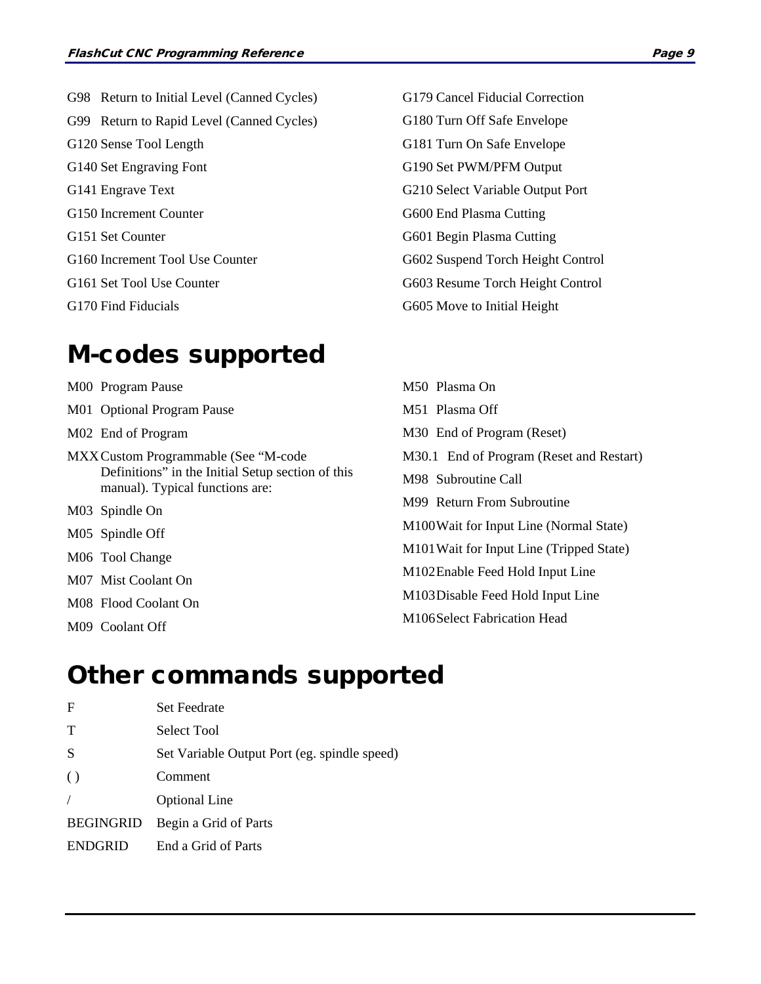G98 Return to Initial Level (Canned Cycles) G99 Return to Rapid Level (Canned Cycles) G120 Sense Tool Length G140 Set Engraving Font G141 Engrave Text G150 Increment Counter G151 Set Counter G160 Increment Tool Use Counter G161 Set Tool Use Counter G170 Find Fiducials

### <span id="page-18-0"></span>M-codes supported

M00 Program Pause

- M01 Optional Program Pause
- M02 End of Program
- MXXCustom Programmable (See "M-code Definitions" in the Initial Setup section of this manual). Typical functions are:
- M03 Spindle On
- M05 Spindle Off
- M06 Tool Change
- M07 Mist Coolant On
- M08 Flood Coolant On
- <span id="page-18-1"></span>M09 Coolant Off

G179 Cancel Fiducial Correction G180 Turn Off Safe Envelope G181 Turn On Safe Envelope G190 Set PWM/PFM Output G210 Select Variable Output Port G600 End Plasma Cutting G601 Begin Plasma Cutting G602 Suspend Torch Height Control G603 Resume Torch Height Control G605 Move to Initial Height

M50 Plasma On M51 Plasma Off M30 End of Program (Reset) M30.1 End of Program (Reset and Restart) M98 Subroutine Call M99 Return From Subroutine M100Wait for Input Line (Normal State) M101Wait for Input Line (Tripped State) M102Enable Feed Hold Input Line M103Disable Feed Hold Input Line M106Select Fabrication Head

### Other commands supported

| $_{\rm F}$       | <b>Set Feedrate</b>                          |
|------------------|----------------------------------------------|
| T                | <b>Select Tool</b>                           |
| S                | Set Variable Output Port (eg. spindle speed) |
| $\left( \right)$ | Comment                                      |
|                  | <b>Optional Line</b>                         |
| <b>BEGINGRID</b> | Begin a Grid of Parts                        |
| <b>ENDGRID</b>   | End a Grid of Parts                          |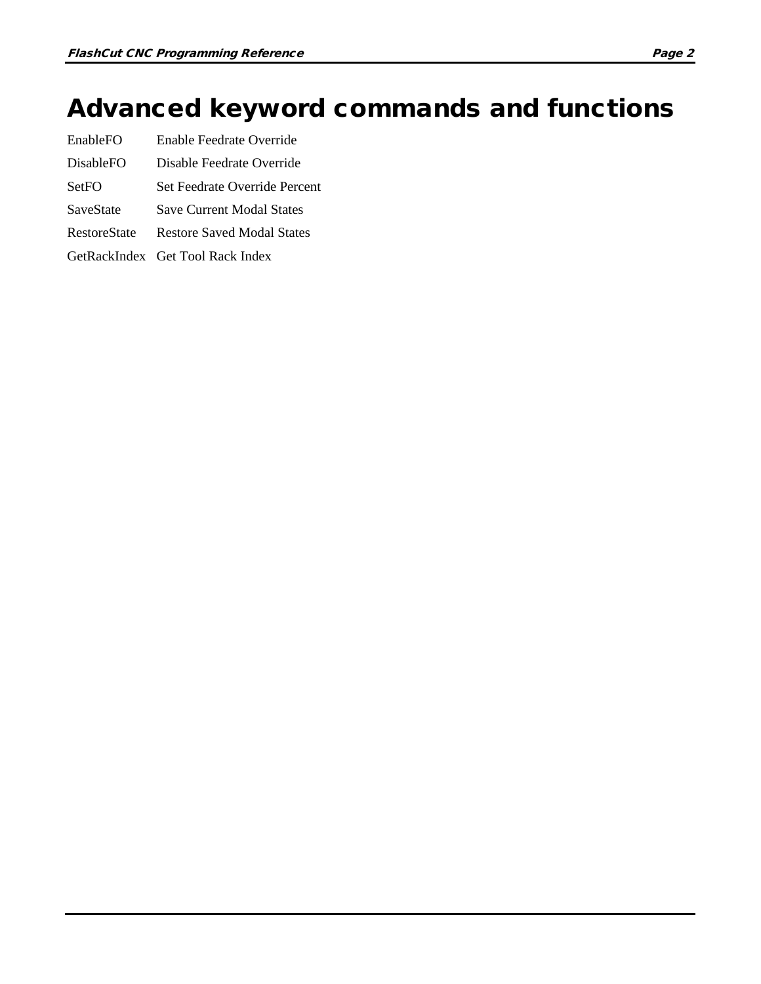## <span id="page-19-0"></span>Advanced keyword commands and functions

- EnableFO Enable Feedrate Override
- DisableFO Disable Feedrate Override
- SetFO Set Feedrate Override Percent
- SaveState Save Current Modal States
- RestoreState Restore Saved Modal States
- GetRackIndex Get Tool Rack Index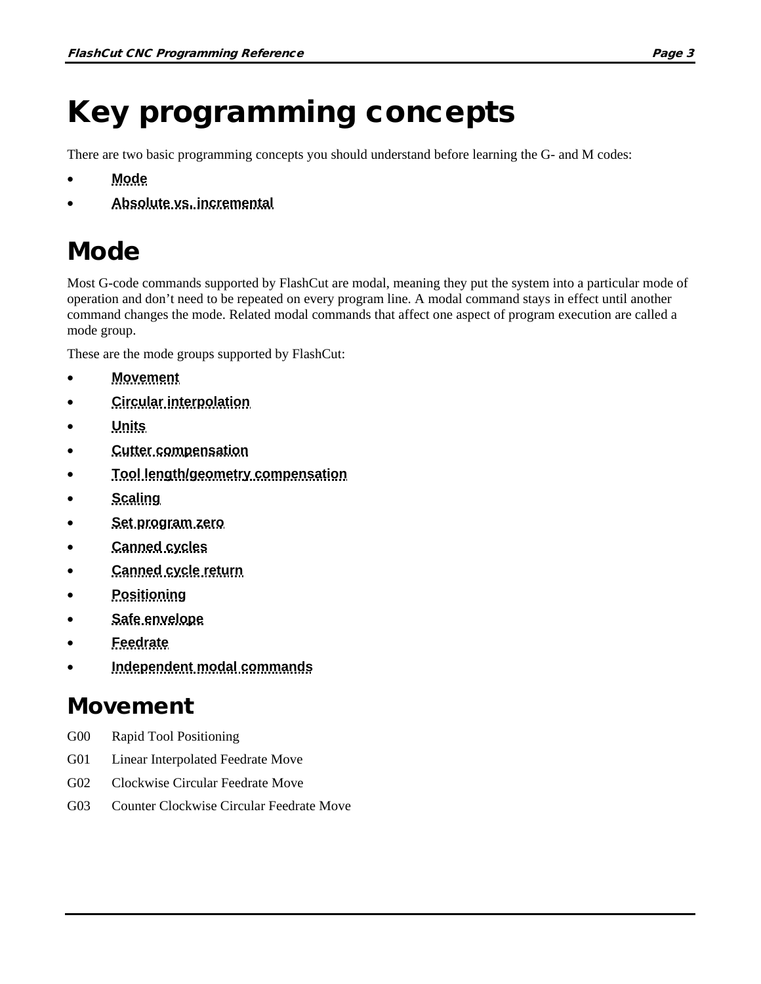# <span id="page-20-0"></span>Key programming concepts

There are two basic programming concepts you should understand before learning the G- and M codes:

- **[Mode](#page-20-1)**
- **[Absolute vs. incremental](#page-22-5)**

## <span id="page-20-1"></span>Mode

Most G-code commands supported by FlashCut are modal, meaning they put the system into a particular mode of operation and don't need to be repeated on every program line. A modal command stays in effect until another command changes the mode. Related modal commands that affect one aspect of program execution are called a mode group.

These are the mode groups supported by FlashCut:

- **[Movement](#page-20-2)**
- **[Circular interpolation](#page-21-0)**
- **[Units](#page-21-1)**
- **[Cutter compensation](#page-21-2)**
- **[Tool length/geometry compensation](#page-21-3)**
- **[Scaling](#page-21-4)**
- **[Set program zero](#page-21-5)**
- **[Canned cycles](#page-21-6)**
- **[Canned cycle return](#page-22-0)**
- **[Positioning](#page-22-1)**
- **[Safe envelope](#page-22-2)**
- **[Feedrate](#page-22-3)**
- **[Independent modal commands](#page-22-4)**

### <span id="page-20-2"></span>Movement

- G00 Rapid Tool Positioning
- G01 Linear Interpolated Feedrate Move
- G02 Clockwise Circular Feedrate Move
- G03 Counter Clockwise Circular Feedrate Move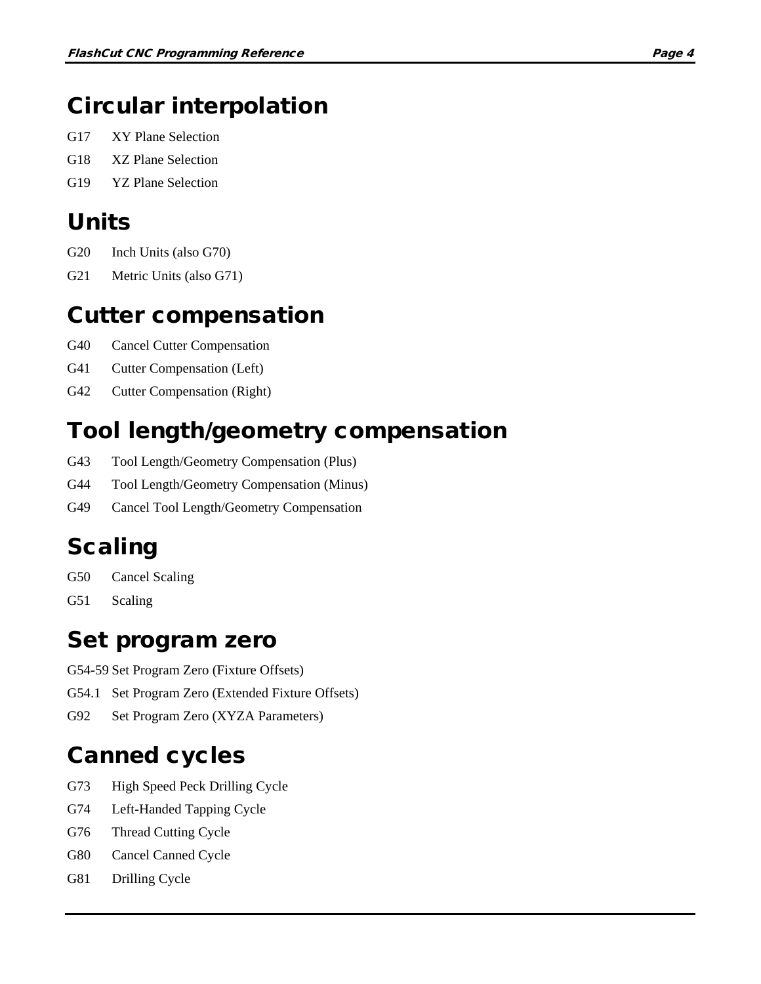### <span id="page-21-0"></span>Circular interpolation

- G17 XY Plane Selection
- G18 XZ Plane Selection
- G19 YZ Plane Selection

### <span id="page-21-1"></span>Units

- G20 Inch Units (also G70)
- G21 Metric Units (also G71)

### <span id="page-21-2"></span>Cutter compensation

- G40 Cancel Cutter Compensation
- G41 Cutter Compensation (Left)
- G42 Cutter Compensation (Right)

### <span id="page-21-3"></span>Tool length/geometry compensation

- G43 Tool Length/Geometry Compensation (Plus)
- G44 Tool Length/Geometry Compensation (Minus)
- G49 Cancel Tool Length/Geometry Compensation

### <span id="page-21-4"></span>Scaling

- G50 Cancel Scaling
- G51 Scaling

### <span id="page-21-5"></span>Set program zero

- G54-59 Set Program Zero (Fixture Offsets)
- G54.1 Set Program Zero (Extended Fixture Offsets)
- G92 Set Program Zero (XYZA Parameters)

### <span id="page-21-6"></span>Canned cycles

- G73 High Speed Peck Drilling Cycle
- G74 Left-Handed Tapping Cycle
- G76 Thread Cutting Cycle
- G80 Cancel Canned Cycle
- G81 Drilling Cycle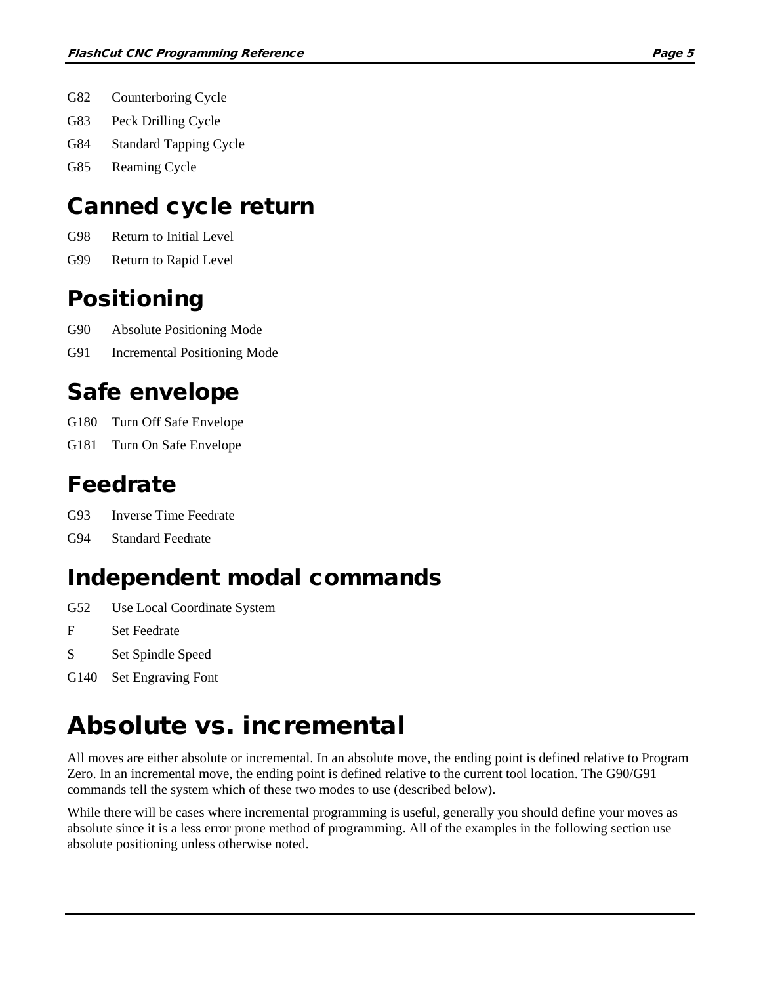- G82 Counterboring Cycle
- G83 Peck Drilling Cycle
- G84 Standard Tapping Cycle
- G85 Reaming Cycle

### <span id="page-22-0"></span>Canned cycle return

- G98 Return to Initial Level
- G99 Return to Rapid Level

### <span id="page-22-1"></span>Positioning

- G90 Absolute Positioning Mode
- G91 Incremental Positioning Mode

### <span id="page-22-2"></span>Safe envelope

- G180 Turn Off Safe Envelope
- G181 Turn On Safe Envelope

### <span id="page-22-3"></span>Feedrate

- G93 Inverse Time Feedrate
- G94 Standard Feedrate

### <span id="page-22-4"></span>Independent modal commands

- G52 Use Local Coordinate System
- F Set Feedrate
- S Set Spindle Speed
- G140 Set Engraving Font

## <span id="page-22-5"></span>Absolute vs. incremental

All moves are either absolute or incremental. In an absolute move, the ending point is defined relative to Program Zero. In an incremental move, the ending point is defined relative to the current tool location. The G90/G91 commands tell the system which of these two modes to use (described below).

While there will be cases where incremental programming is useful, generally you should define your moves as absolute since it is a less error prone method of programming. All of the examples in the following section use absolute positioning unless otherwise noted.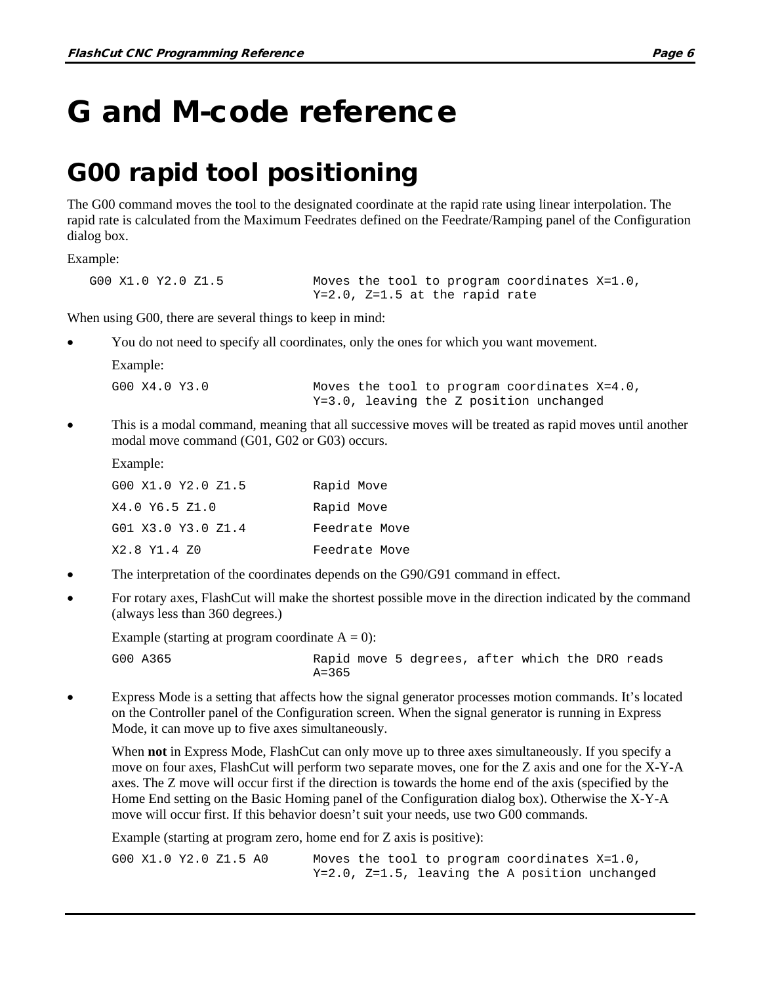## <span id="page-23-0"></span>G and M-code reference

### <span id="page-23-1"></span>G00 rapid tool positioning

The G00 command moves the tool to the designated coordinate at the rapid rate using linear interpolation. The rapid rate is calculated from the Maximum Feedrates defined on the Feedrate/Ramping panel of the Configuration dialog box.

Example:

```
G00 X1.0 Y2.0 Z1.5 Moves the tool to program coordinates X=1.0, 
                           Y=2.0, Z=1.5 at the rapid rate
```
When using G00, there are several things to keep in mind:

• You do not need to specify all coordinates, only the ones for which you want movement.

| Example:      |                                                                                            |
|---------------|--------------------------------------------------------------------------------------------|
| GOO X4.0 Y3.0 | Moves the tool to program coordinates $X=4.0$ ,<br>Y=3.0, leaving the Z position unchanged |

• This is a modal command, meaning that all successive moves will be treated as rapid moves until another modal move command (G01, G02 or G03) occurs.

Example:

| G00 X1.0 Y2.0 Z1.5 | Rapid Move    |
|--------------------|---------------|
| X4.0 Y6.5 Z1.0     | Rapid Move    |
| G01 X3.0 Y3.0 Z1.4 | Feedrate Move |
| X2.8 Y1.4 Z0       | Feedrate Move |

- The interpretation of the coordinates depends on the G90/G91 command in effect.
- For rotary axes, FlashCut will make the shortest possible move in the direction indicated by the command (always less than 360 degrees.)

Example (starting at program coordinate  $A = 0$ ):

- G00 A365 Rapid move 5 degrees, after which the DRO reads  $A = 365$
- Express Mode is a setting that affects how the signal generator processes motion commands. It's located on the Controller panel of the Configuration screen. When the signal generator is running in Express Mode, it can move up to five axes simultaneously.

When **not** in Express Mode, FlashCut can only move up to three axes simultaneously. If you specify a move on four axes, FlashCut will perform two separate moves, one for the Z axis and one for the X-Y-A axes. The Z move will occur first if the direction is towards the home end of the axis (specified by the Home End setting on the Basic Homing panel of the Configuration dialog box). Otherwise the X-Y-A move will occur first. If this behavior doesn't suit your needs, use two G00 commands.

Example (starting at program zero, home end for Z axis is positive):

G00  $X1.0 Y2.0 Z1.5 A0$  Moves the tool to program coordinates  $X=1.0$ , Y=2.0, Z=1.5, leaving the A position unchanged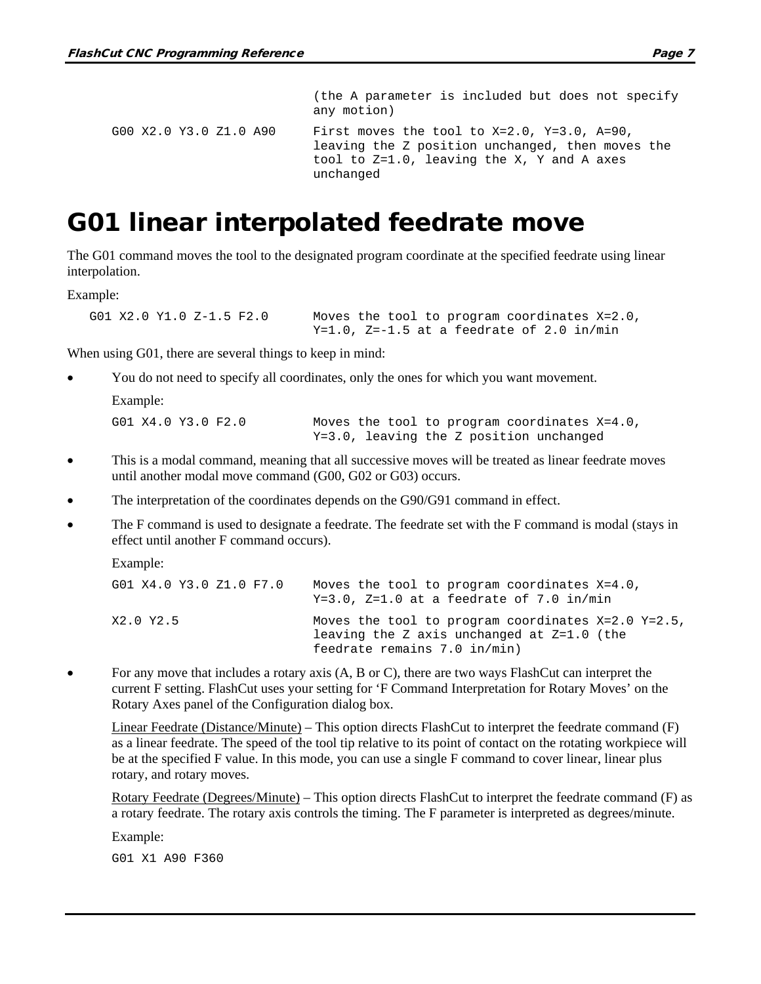```
(the A parameter is included but does not specify 
                           any motion)
G00 X2.0 Y3.0 Z1.0 A90 First moves the tool to X=2.0, Y=3.0, A=90, 
                           leaving the Z position unchanged, then moves the 
                           tool to Z=1.0, leaving the X, Y and A axes 
                           unchanged
```
### <span id="page-24-0"></span>G01 linear interpolated feedrate move

The G01 command moves the tool to the designated program coordinate at the specified feedrate using linear interpolation.

Example:

```
G01 X2.0 Y1.0 Z-1.5 F2.0 Moves the tool to program coordinates X=2.0,
                            Y=1.0, Z=-1.5 at a feedrate of 2.0 in/min
```
When using G01, there are several things to keep in mind:

• You do not need to specify all coordinates, only the ones for which you want movement.

```
Example:
```
G01 X4.0 Y3.0 F2.0 Moves the tool to program coordinates X=4.0, Y=3.0, leaving the Z position unchanged

- This is a modal command, meaning that all successive moves will be treated as linear feedrate moves until another modal move command (G00, G02 or G03) occurs.
- The interpretation of the coordinates depends on the G90/G91 command in effect.
- The F command is used to designate a feedrate. The feedrate set with the F command is modal (stays in effect until another F command occurs).

Example:

| G01 X4.0 Y3.0 Z1.0 F7.0 | Moves the tool to program coordinates $X=4.0$ ,<br>$Y=3.0$ , $Z=1.0$ at a feedrate of 7.0 in/min                                     |
|-------------------------|--------------------------------------------------------------------------------------------------------------------------------------|
| X2.0 Y2.5               | Moves the tool to program coordinates $X=2.0$ Y=2.5,<br>leaving the Z axis unchanged at $Z=1.0$ (the<br>feedrate remains 7.0 in/min) |

• For any move that includes a rotary axis (A, B or C), there are two ways FlashCut can interpret the current F setting. FlashCut uses your setting for 'F Command Interpretation for Rotary Moves' on the Rotary Axes panel of the Configuration dialog box.

Linear Feedrate (Distance/Minute) – This option directs FlashCut to interpret the feedrate command (F) as a linear feedrate. The speed of the tool tip relative to its point of contact on the rotating workpiece will be at the specified F value. In this mode, you can use a single F command to cover linear, linear plus rotary, and rotary moves.

Rotary Feedrate (Degrees/Minute) – This option directs FlashCut to interpret the feedrate command (F) as a rotary feedrate. The rotary axis controls the timing. The F parameter is interpreted as degrees/minute.

Example:

G01 X1 A90 F360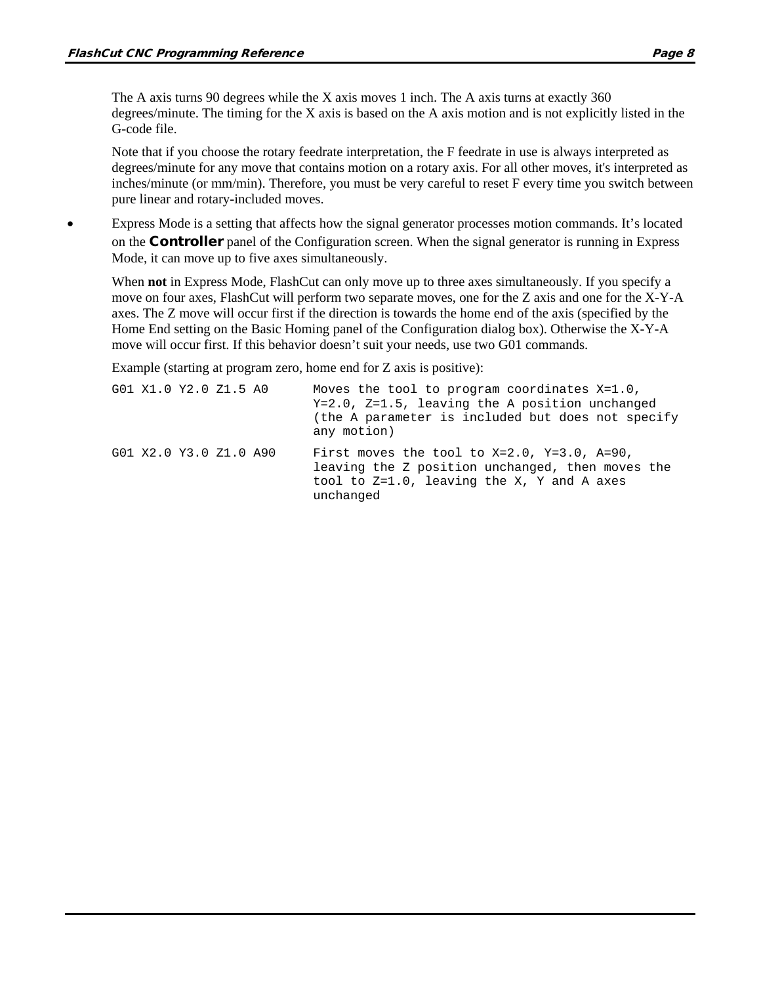The A axis turns 90 degrees while the X axis moves 1 inch. The A axis turns at exactly 360 degrees/minute. The timing for the X axis is based on the A axis motion and is not explicitly listed in the G-code file.

Note that if you choose the rotary feedrate interpretation, the F feedrate in use is always interpreted as degrees/minute for any move that contains motion on a rotary axis. For all other moves, it's interpreted as inches/minute (or mm/min). Therefore, you must be very careful to reset F every time you switch between pure linear and rotary-included moves.

• Express Mode is a setting that affects how the signal generator processes motion commands. It's located on the **Controller** panel of the Configuration screen. When the signal generator is running in Express Mode, it can move up to five axes simultaneously.

When **not** in Express Mode, FlashCut can only move up to three axes simultaneously. If you specify a move on four axes, FlashCut will perform two separate moves, one for the Z axis and one for the X-Y-A axes. The Z move will occur first if the direction is towards the home end of the axis (specified by the Home End setting on the Basic Homing panel of the Configuration dialog box). Otherwise the X-Y-A move will occur first. If this behavior doesn't suit your needs, use two G01 commands.

Example (starting at program zero, home end for Z axis is positive):

| G01 X1.0 Y2.0 Z1.5 A0  | Moves the tool to program coordinates X=1.0,<br>$Y=2.0$ , $Z=1.5$ , leaving the A position unchanged<br>(the A parameter is included but does not specify<br>any motion) |
|------------------------|--------------------------------------------------------------------------------------------------------------------------------------------------------------------------|
| G01 X2.0 Y3.0 Z1.0 A90 | First moves the tool to $X=2.0$ , $Y=3.0$ , $A=90$ ,<br>leaving the Z position unchanged, then moves the<br>tool to Z=1.0, leaving the X, Y and A axes<br>unchanged      |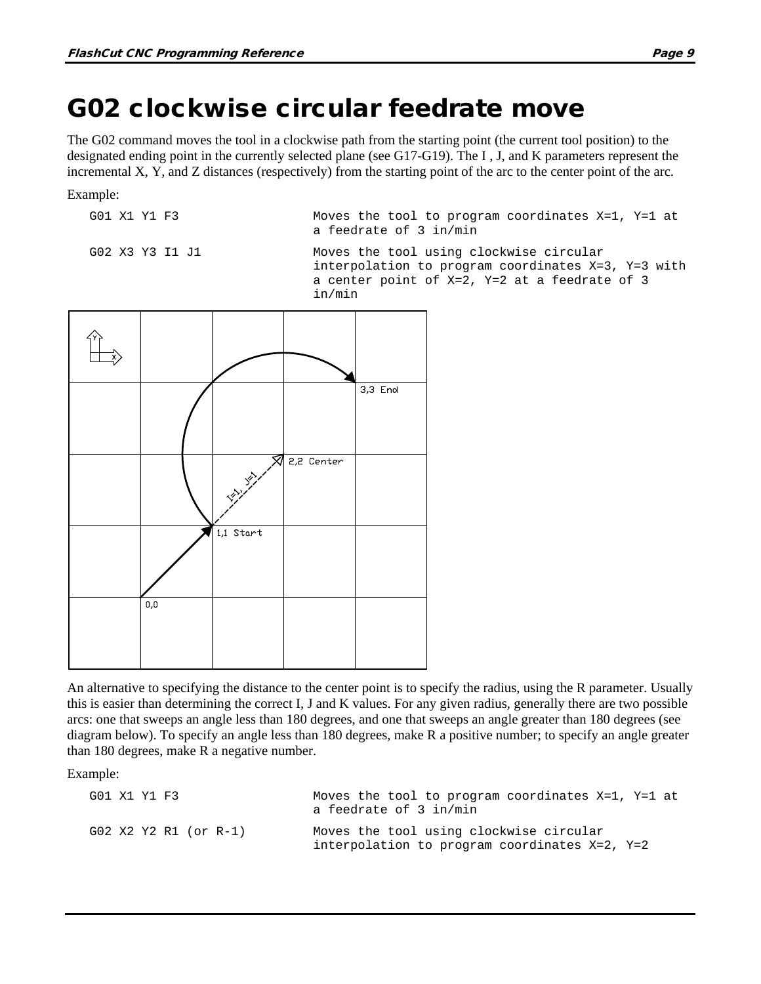## <span id="page-26-0"></span>G02 clockwise circular feedrate move

The G02 command moves the tool in a clockwise path from the starting point (the current tool position) to the designated ending point in the currently selected plane (see G17-G19). The I , J, and K parameters represent the incremental X, Y, and Z distances (respectively) from the starting point of the arc to the center point of the arc.

Example:

G01 X1 Y1 F3 Moves the tool to program coordinates X=1, Y=1 at a feedrate of 3 in/min

G02 X3 Y3 I1 J1 Moves the tool using clockwise circular interpolation to program coordinates X=3, Y=3 with a center point of X=2, Y=2 at a feedrate of 3 in/min



An alternative to specifying the distance to the center point is to specify the radius, using the R parameter. Usually this is easier than determining the correct I, J and K values. For any given radius, generally there are two possible arcs: one that sweeps an angle less than 180 degrees, and one that sweeps an angle greater than 180 degrees (see diagram below). To specify an angle less than 180 degrees, make R a positive number; to specify an angle greater than 180 degrees, make R a negative number.

Example:

| G01 X1 Y1 F3 |                       | Moves the tool to program coordinates $X=1$ , $Y=1$ at<br>a feedrate of 3 in/min         |
|--------------|-----------------------|------------------------------------------------------------------------------------------|
|              | G02 X2 Y2 R1 (or R-1) | Moves the tool using clockwise circular<br>interpolation to program coordinates X=2, Y=2 |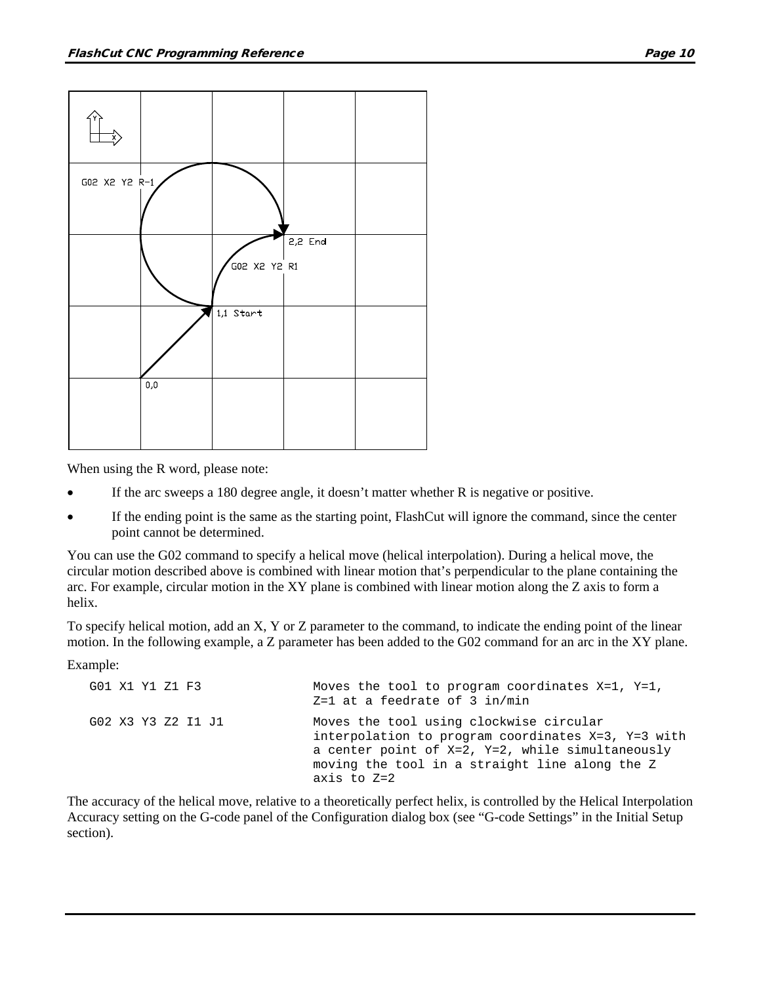



When using the R word, please note:

- If the arc sweeps a 180 degree angle, it doesn't matter whether R is negative or positive.
- If the ending point is the same as the starting point, FlashCut will ignore the command, since the center point cannot be determined.

You can use the G02 command to specify a helical move (helical interpolation). During a helical move, the circular motion described above is combined with linear motion that's perpendicular to the plane containing the arc. For example, circular motion in the XY plane is combined with linear motion along the Z axis to form a helix.

To specify helical motion, add an X, Y or Z parameter to the command, to indicate the ending point of the linear motion. In the following example, a Z parameter has been added to the G02 command for an arc in the XY plane.

Example:

| G01 X1 Y1 Z1 F3    | Moves the tool to program coordinates $X=1$ , $Y=1$ ,<br>$Z=1$ at a feedrate of 3 in/min                                                                                                                                  |
|--------------------|---------------------------------------------------------------------------------------------------------------------------------------------------------------------------------------------------------------------------|
| G02 X3 Y3 Z2 I1 J1 | Moves the tool using clockwise circular<br>interpolation to program coordinates $X=3$ , $Y=3$ with<br>a center point of X=2, Y=2, while simultaneously<br>moving the tool in a straight line along the Z<br>axis to $Z=2$ |

The accuracy of the helical move, relative to a theoretically perfect helix, is controlled by the Helical Interpolation Accuracy setting on the G-code panel of the Configuration dialog box (see "G-code Settings" in the Initial Setup section).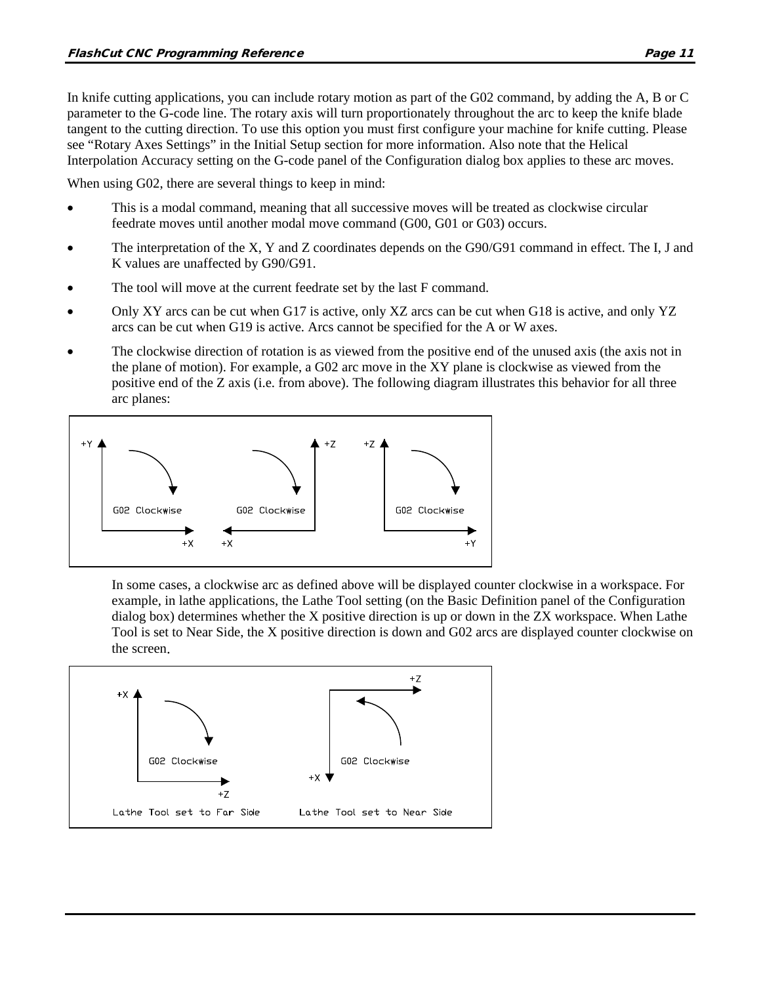In knife cutting applications, you can include rotary motion as part of the G02 command, by adding the A, B or C parameter to the G-code line. The rotary axis will turn proportionately throughout the arc to keep the knife blade tangent to the cutting direction. To use this option you must first configure your machine for knife cutting. Please see "Rotary Axes Settings" in the Initial Setup section for more information. Also note that the Helical Interpolation Accuracy setting on the G-code panel of the Configuration dialog box applies to these arc moves.

When using G02, there are several things to keep in mind:

- This is a modal command, meaning that all successive moves will be treated as clockwise circular feedrate moves until another modal move command (G00, G01 or G03) occurs.
- The interpretation of the X, Y and Z coordinates depends on the G90/G91 command in effect. The I, J and K values are unaffected by G90/G91.
- The tool will move at the current feedrate set by the last F command.
- Only XY arcs can be cut when G17 is active, only XZ arcs can be cut when G18 is active, and only YZ arcs can be cut when G19 is active. Arcs cannot be specified for the A or W axes.
- The clockwise direction of rotation is as viewed from the positive end of the unused axis (the axis not in the plane of motion). For example, a G02 arc move in the XY plane is clockwise as viewed from the positive end of the Z axis (i.e. from above). The following diagram illustrates this behavior for all three arc planes:



In some cases, a clockwise arc as defined above will be displayed counter clockwise in a workspace. For example, in lathe applications, the Lathe Tool setting (on the Basic Definition panel of the Configuration dialog box) determines whether the X positive direction is up or down in the ZX workspace. When Lathe Tool is set to Near Side, the X positive direction is down and G02 arcs are displayed counter clockwise on the screen.

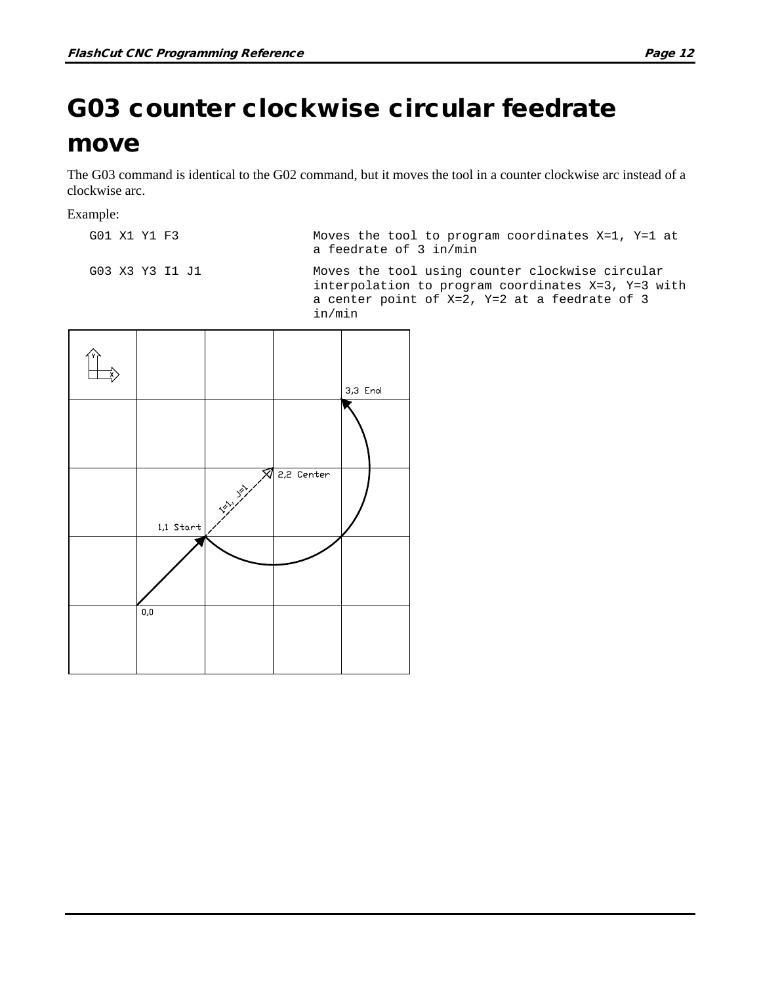# <span id="page-29-0"></span>G03 counter clockwise circular feedrate

### move

The G03 command is identical to the G02 command, but it moves the tool in a counter clockwise arc instead of a clockwise arc.

#### Example:

G01 X1 Y1 F3 Moves the tool to program coordinates X=1, Y=1 at a feedrate of 3 in/min

G03 X3 Y3 I1 J1 Moves the tool using counter clockwise circular interpolation to program coordinates X=3, Y=3 with a center point of X=2, Y=2 at a feedrate of 3 in/min

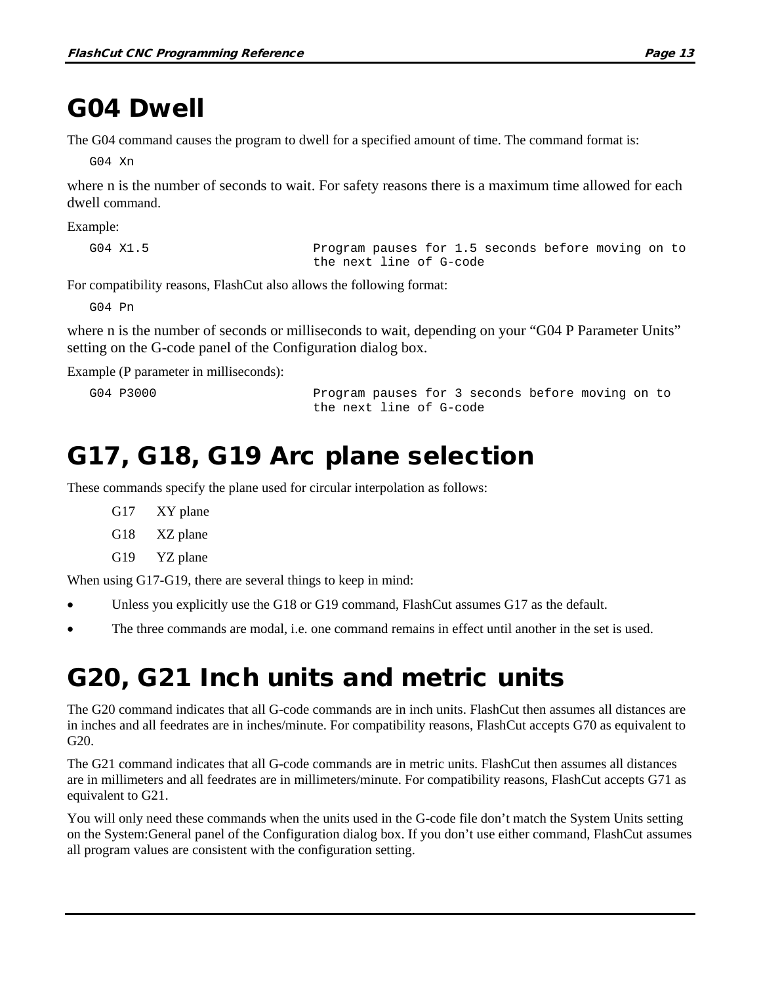## <span id="page-30-0"></span>G04 Dwell

The G04 command causes the program to dwell for a specified amount of time. The command format is:

G04 Xn

where n is the number of seconds to wait. For safety reasons there is a maximum time allowed for each dwell command.

Example:

G04 X1.5 Program pauses for 1.5 seconds before moving on to the next line of G-code

For compatibility reasons, FlashCut also allows the following format:

G04 Pn

where n is the number of seconds or milliseconds to wait, depending on your "G04 P Parameter Units" setting on the G-code panel of the Configuration dialog box.

Example (P parameter in milliseconds):

G04 P3000 Program pauses for 3 seconds before moving on to the next line of G-code

## <span id="page-30-1"></span>G17, G18, G19 Arc plane selection

These commands specify the plane used for circular interpolation as follows:

G17 XY plane G18 XZ plane G19 YZ plane

When using G17-G19, there are several things to keep in mind:

- Unless you explicitly use the G18 or G19 command, FlashCut assumes G17 as the default.
- The three commands are modal, i.e. one command remains in effect until another in the set is used.

## <span id="page-30-2"></span>G20, G21 Inch units and metric units

The G20 command indicates that all G-code commands are in inch units. FlashCut then assumes all distances are in inches and all feedrates are in inches/minute. For compatibility reasons, FlashCut accepts G70 as equivalent to G20.

The G21 command indicates that all G-code commands are in metric units. FlashCut then assumes all distances are in millimeters and all feedrates are in millimeters/minute. For compatibility reasons, FlashCut accepts G71 as equivalent to G21.

You will only need these commands when the units used in the G-code file don't match the System Units setting on the System:General panel of the Configuration dialog box. If you don't use either command, FlashCut assumes all program values are consistent with the configuration setting.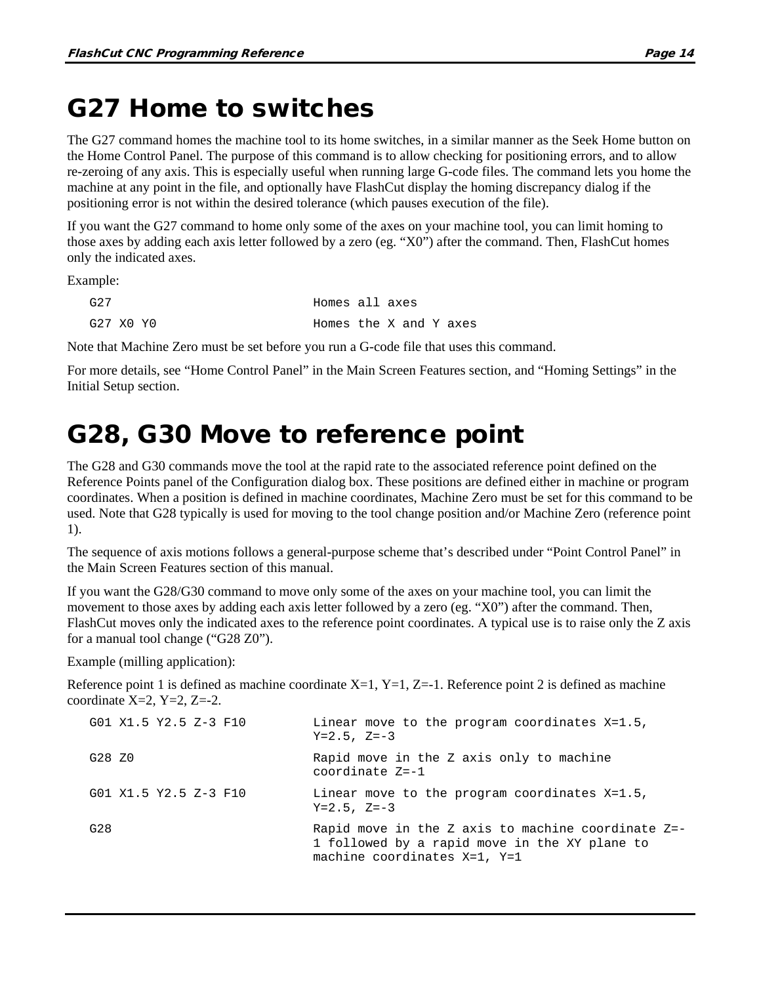## <span id="page-31-0"></span>G27 Home to switches

The G27 command homes the machine tool to its home switches, in a similar manner as the Seek Home button on the Home Control Panel. The purpose of this command is to allow checking for positioning errors, and to allow re-zeroing of any axis. This is especially useful when running large G-code files. The command lets you home the machine at any point in the file, and optionally have FlashCut display the homing discrepancy dialog if the positioning error is not within the desired tolerance (which pauses execution of the file).

If you want the G27 command to home only some of the axes on your machine tool, you can limit homing to those axes by adding each axis letter followed by a zero (eg. "X0") after the command. Then, FlashCut homes only the indicated axes.

Example:

| G27       |  | Homes all axes         |  |  |  |
|-----------|--|------------------------|--|--|--|
| G27 X0 Y0 |  | Homes the X and Y axes |  |  |  |

Note that Machine Zero must be set before you run a G-code file that uses this command.

For more details, see "Home Control Panel" in the Main Screen Features section, and "Homing Settings" in the Initial Setup section.

### <span id="page-31-1"></span>G28, G30 Move to reference point

The G28 and G30 commands move the tool at the rapid rate to the associated reference point defined on the Reference Points panel of the Configuration dialog box. These positions are defined either in machine or program coordinates. When a position is defined in machine coordinates, Machine Zero must be set for this command to be used. Note that G28 typically is used for moving to the tool change position and/or Machine Zero (reference point 1).

The sequence of axis motions follows a general-purpose scheme that's described under "Point Control Panel" in the Main Screen Features section of this manual.

If you want the G28/G30 command to move only some of the axes on your machine tool, you can limit the movement to those axes by adding each axis letter followed by a zero (eg. "X0") after the command. Then, FlashCut moves only the indicated axes to the reference point coordinates. A typical use is to raise only the Z axis for a manual tool change ("G28 Z0").

Example (milling application):

Reference point 1 is defined as machine coordinate  $X=1$ ,  $Y=1$ ,  $Z=-1$ . Reference point 2 is defined as machine coordinate  $X=2$ ,  $Y=2$ ,  $Z=-2$ .

| G01 X1.5 Y2.5 Z-3 F10 | Linear move to the program coordinates $X=1.5$ ,<br>$Y = 2.5$ , $Z = -3$                                                                   |
|-----------------------|--------------------------------------------------------------------------------------------------------------------------------------------|
| G28 Z0                | Rapid move in the Z axis only to machine<br>coordinate $Z=-1$                                                                              |
| G01 X1.5 Y2.5 Z-3 F10 | Linear move to the program coordinates X=1.5,<br>$Y = 2.5$ , $Z = -3$                                                                      |
| G28                   | Rapid move in the Z axis to machine coordinate $Z=-$<br>1 followed by a rapid move in the XY plane to<br>machine coordinates $X=1$ , $Y=1$ |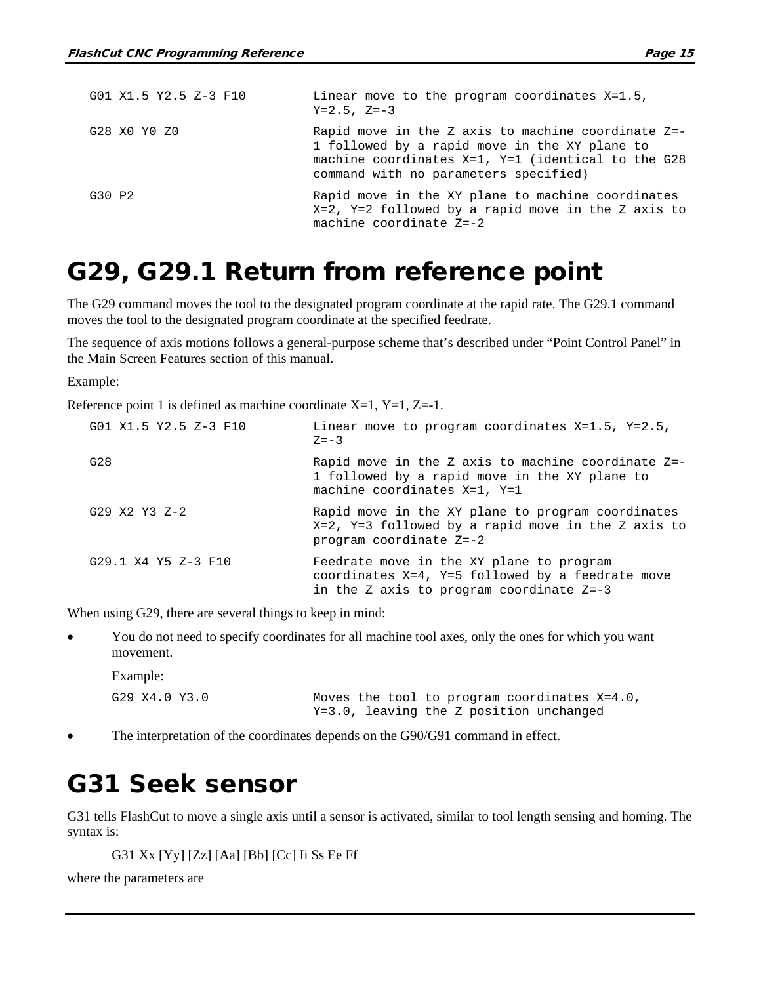| G01 X1.5 Y2.5 Z-3 F10 | Linear move to the program coordinates $X=1.5$ ,<br>$Y = 2.5$ , $Z = -3$                                                                                                                                  |
|-----------------------|-----------------------------------------------------------------------------------------------------------------------------------------------------------------------------------------------------------|
| G28 X0 Y0 Z0          | Rapid move in the Z axis to machine coordinate $Z=-$<br>1 followed by a rapid move in the XY plane to<br>machine coordinates $X=1$ , $Y=1$ (identical to the G28<br>command with no parameters specified) |
| G30 P2                | Rapid move in the XY plane to machine coordinates<br>$X=2$ , $Y=2$ followed by a rapid move in the Z axis to<br>machine coordinate $Z=-2$                                                                 |

### <span id="page-32-0"></span>G29, G29.1 Return from reference point

The G29 command moves the tool to the designated program coordinate at the rapid rate. The G29.1 command moves the tool to the designated program coordinate at the specified feedrate.

The sequence of axis motions follows a general-purpose scheme that's described under "Point Control Panel" in the Main Screen Features section of this manual.

Example:

Reference point 1 is defined as machine coordinate  $X=1$ ,  $Y=1$ ,  $Z=-1$ .

| G01 X1.5 Y2.5 Z-3 F10 | Linear move to program coordinates $X=1.5$ , $Y=2.5$ ,<br>$Z = -3$                                                                              |
|-----------------------|-------------------------------------------------------------------------------------------------------------------------------------------------|
| G28                   | Rapid move in the Z axis to machine coordinate $Z=-$<br>1 followed by a rapid move in the XY plane to<br>machine coordinates $X=1$ , $Y=1$      |
| G29 X2 Y3 Z-2         | Rapid move in the XY plane to program coordinates<br>$X=2$ , $Y=3$ followed by a rapid move in the Z axis to<br>program coordinate Z=-2         |
| G29.1 X4 Y5 Z-3 F10   | Feedrate move in the XY plane to program<br>coordinates $X=4$ , $Y=5$ followed by a feedrate move<br>in the Z axis to program coordinate $Z=-3$ |

When using G29, there are several things to keep in mind:

• You do not need to specify coordinates for all machine tool axes, only the ones for which you want movement.

Example:

G29 X4.0 Y3.0 Moves the tool to program coordinates X=4.0, Y=3.0, leaving the Z position unchanged

<span id="page-32-1"></span>The interpretation of the coordinates depends on the G90/G91 command in effect.

### G31 Seek sensor

G31 tells FlashCut to move a single axis until a sensor is activated, similar to tool length sensing and homing. The syntax is:

G31 Xx [Yy] [Zz] [Aa] [Bb] [Cc] Ii Ss Ee Ff

where the parameters are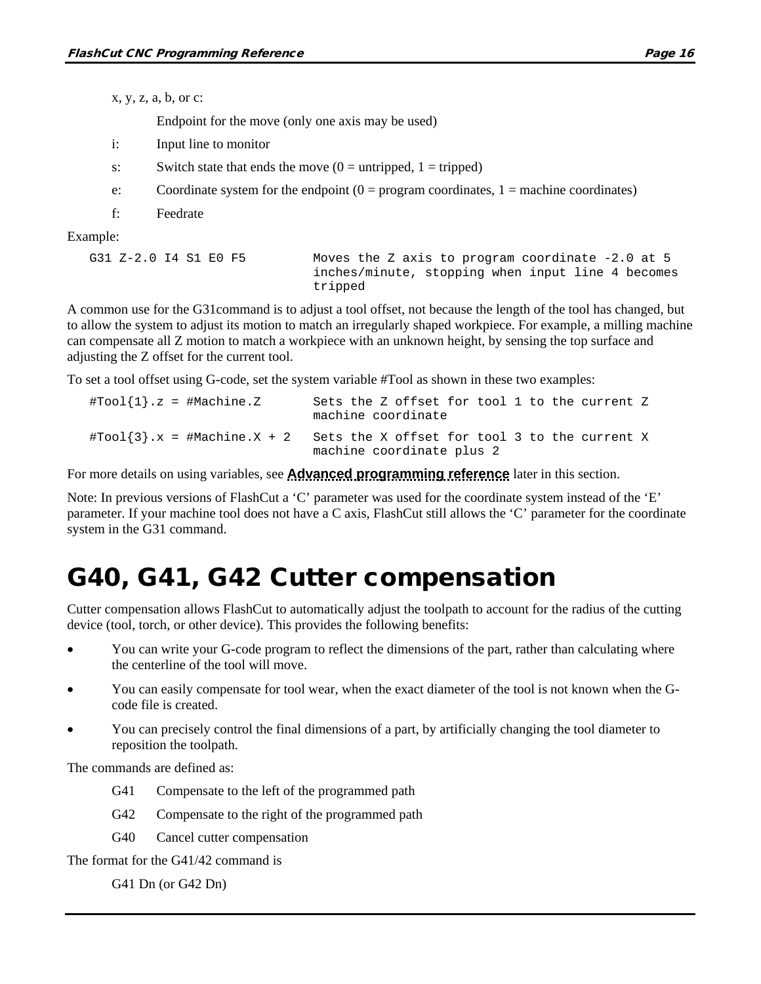x, y, z, a, b, or c:

Endpoint for the move (only one axis may be used)

- i: Input line to monitor
- s: Switch state that ends the move  $(0 = \text{untripped}, 1 = \text{tripped})$
- e: Coordinate system for the endpoint  $(0 = program coordinates, 1 = machine coordinates)$
- f: Feedrate

Example:

```
G31 Z-2.0 I4 S1 E0 F5 Moves the Z axis to program coordinate -2.0 at 5 
                             inches/minute, stopping when input line 4 becomes 
                             tripped
```
A common use for the G31command is to adjust a tool offset, not because the length of the tool has changed, but to allow the system to adjust its motion to match an irregularly shaped workpiece. For example, a milling machine can compensate all Z motion to match a workpiece with an unknown height, by sensing the top surface and adjusting the Z offset for the current tool.

To set a tool offset using G-code, set the system variable #Tool as shown in these two examples:

| $\texttt{\#Tool{1}.z = #Machine.Z}$                    | Sets the Z offset for tool 1 to the current Z<br>machine coordinate        |
|--------------------------------------------------------|----------------------------------------------------------------------------|
| $\texttt{\#Tool}\{3\}$ .x = $\texttt{\#Machine.X + 2}$ | Sets the X offset for tool 3 to the current X<br>machine coordinate plus 2 |

For more details on using variables, see **[Advanced programming reference](#page-67-0)** later in this section.

Note: In previous versions of FlashCut a 'C' parameter was used for the coordinate system instead of the 'E' parameter. If your machine tool does not have a C axis, FlashCut still allows the 'C' parameter for the coordinate system in the G31 command.

## <span id="page-33-0"></span>G40, G41, G42 Cutter compensation

Cutter compensation allows FlashCut to automatically adjust the toolpath to account for the radius of the cutting device (tool, torch, or other device). This provides the following benefits:

- You can write your G-code program to reflect the dimensions of the part, rather than calculating where the centerline of the tool will move.
- You can easily compensate for tool wear, when the exact diameter of the tool is not known when the Gcode file is created.
- You can precisely control the final dimensions of a part, by artificially changing the tool diameter to reposition the toolpath.

The commands are defined as:

- G41 Compensate to the left of the programmed path
- G42 Compensate to the right of the programmed path
- G40 Cancel cutter compensation

The format for the G41/42 command is

G41 Dn (or G42 Dn)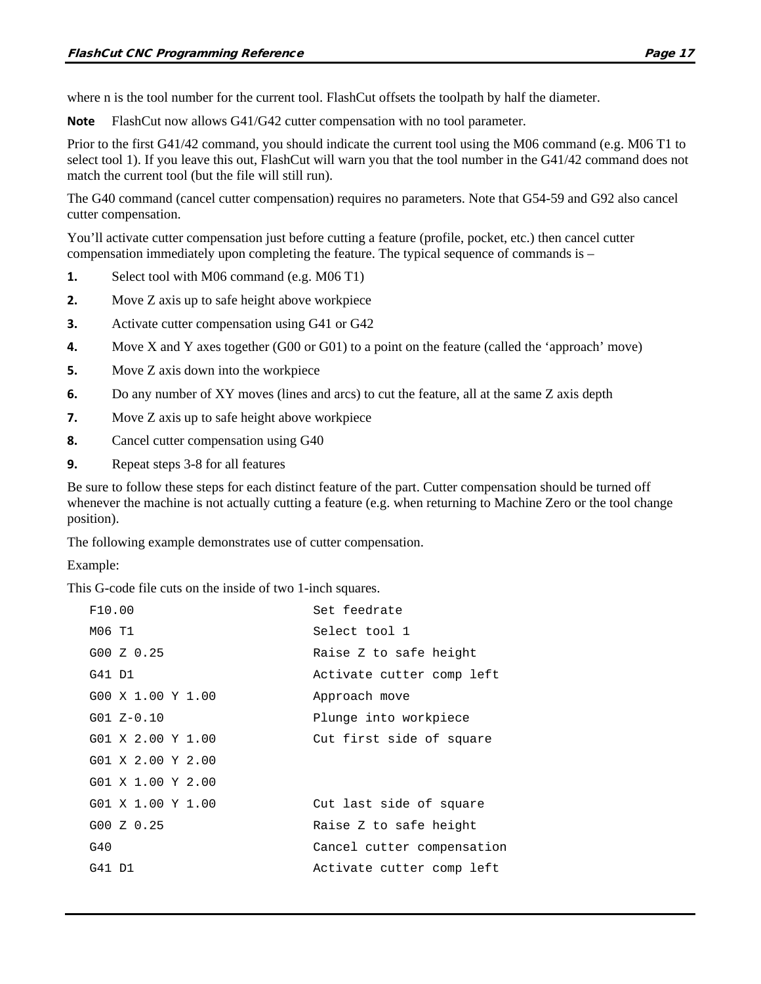where n is the tool number for the current tool. FlashCut offsets the toolpath by half the diameter.

**Note** FlashCut now allows G41/G42 cutter compensation with no tool parameter.

Prior to the first G41/42 command, you should indicate the current tool using the M06 command (e.g. M06 T1 to select tool 1). If you leave this out, FlashCut will warn you that the tool number in the G41/42 command does not match the current tool (but the file will still run).

The G40 command (cancel cutter compensation) requires no parameters. Note that G54-59 and G92 also cancel cutter compensation.

You'll activate cutter compensation just before cutting a feature (profile, pocket, etc.) then cancel cutter compensation immediately upon completing the feature. The typical sequence of commands is –

- **1.** Select tool with M06 command (e.g. M06 T1)
- **2.** Move Z axis up to safe height above workpiece
- **3.** Activate cutter compensation using G41 or G42
- **4.** Move X and Y axes together (G00 or G01) to a point on the feature (called the 'approach' move)
- **5.** Move Z axis down into the workpiece
- **6.** Do any number of XY moves (lines and arcs) to cut the feature, all at the same Z axis depth
- **7.** Move Z axis up to safe height above workpiece
- **8.** Cancel cutter compensation using G40
- **9.** Repeat steps 3-8 for all features

Be sure to follow these steps for each distinct feature of the part. Cutter compensation should be turned off whenever the machine is not actually cutting a feature (e.g. when returning to Machine Zero or the tool change position).

The following example demonstrates use of cutter compensation.

Example:

This G-code file cuts on the inside of two 1-inch squares.

| F10.00            | Set feedrate               |
|-------------------|----------------------------|
| M06 T1            | Select tool 1              |
| G00 Z 0.25        | Raise Z to safe height     |
| G41 D1            | Activate cutter comp left  |
| G00 X 1.00 Y 1.00 | Approach move              |
| $G01 Z-0.10$      | Plunge into workpiece      |
| G01 X 2.00 Y 1.00 | Cut first side of square   |
| G01 X 2.00 Y 2.00 |                            |
| G01 X 1.00 Y 2.00 |                            |
| G01 X 1.00 Y 1.00 | Cut last side of square    |
| G00Z0.25          | Raise Z to safe height     |
| G40               | Cancel cutter compensation |
| G41 D1            | Activate cutter comp left  |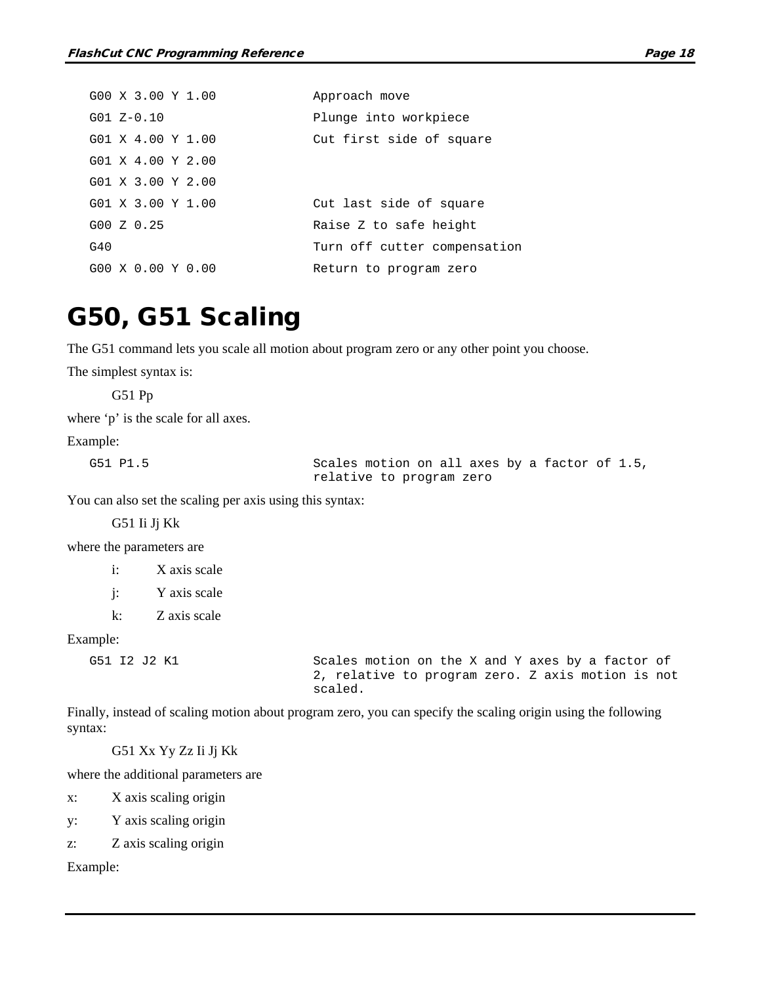|     | G00 X 3.00 Y 1.00             |  | Approach move                |
|-----|-------------------------------|--|------------------------------|
|     | $G01 Z-0.10$                  |  | Plunge into workpiece        |
|     | G01 X 4.00 Y 1.00             |  | Cut first side of square     |
|     | $G01 \times 4.00 \times 2.00$ |  |                              |
|     | $G01 \times 3.00 \times 2.00$ |  |                              |
|     | $G01 \times 3.00 \times 1.00$ |  | Cut last side of square      |
|     | G00Z0.25                      |  | Raise Z to safe height       |
| G40 |                               |  | Turn off cutter compensation |
|     | $G00 \times 0.00 \times 0.00$ |  | Return to program zero       |

### <span id="page-35-0"></span>G50, G51 Scaling

The G51 command lets you scale all motion about program zero or any other point you choose.

The simplest syntax is:

G51 Pp

where 'p' is the scale for all axes.

#### Example:

G51 P1.5 Scales motion on all axes by a factor of 1.5, relative to program zero

You can also set the scaling per axis using this syntax:

G51 Ii Jj Kk

where the parameters are

i: X axis scale j: Y axis scale k: Z axis scale

Example:

G51 I2 J2 K1 Scales motion on the X and Y axes by a factor of 2, relative to program zero. Z axis motion is not scaled.

Finally, instead of scaling motion about program zero, you can specify the scaling origin using the following syntax:

G51 Xx Yy Zz Ii Jj Kk

where the additional parameters are

x: X axis scaling origin

y: Y axis scaling origin

z: Z axis scaling origin

Example: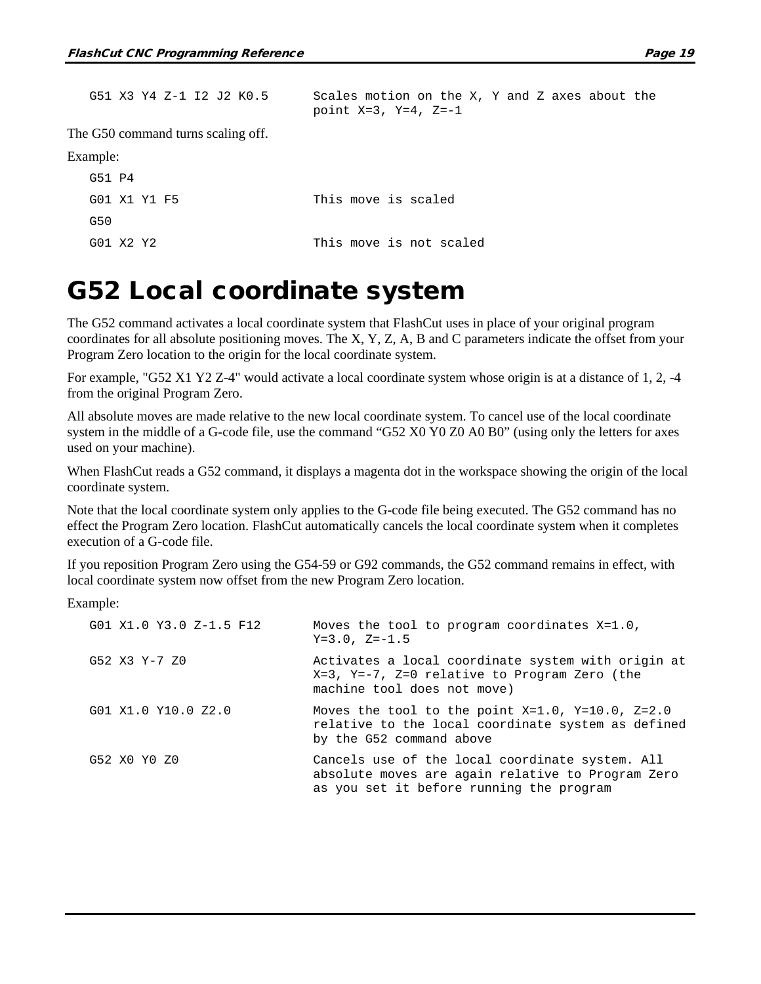| G51 X3 Y4 Z-1 I2 J2 K0.5           | Scales motion on the X, Y and Z axes about the<br>point $X=3$ , $Y=4$ , $Z=-1$ |
|------------------------------------|--------------------------------------------------------------------------------|
| The G50 command turns scaling off. |                                                                                |
| Example:                           |                                                                                |
| G51 P4                             |                                                                                |
| G01 X1 Y1 F5                       | This move is scaled                                                            |
| G50                                |                                                                                |
| G01 X2 Y2                          | This move is not scaled                                                        |

#### G52 Local coordinate system

The G52 command activates a local coordinate system that FlashCut uses in place of your original program coordinates for all absolute positioning moves. The X, Y, Z, A, B and C parameters indicate the offset from your Program Zero location to the origin for the local coordinate system.

For example, "G52 X1 Y2 Z-4" would activate a local coordinate system whose origin is at a distance of 1, 2, -4 from the original Program Zero.

All absolute moves are made relative to the new local coordinate system. To cancel use of the local coordinate system in the middle of a G-code file, use the command "G52 X0 Y0 Z0 A0 B0" (using only the letters for axes used on your machine).

When FlashCut reads a G52 command, it displays a magenta dot in the workspace showing the origin of the local coordinate system.

Note that the local coordinate system only applies to the G-code file being executed. The G52 command has no effect the Program Zero location. FlashCut automatically cancels the local coordinate system when it completes execution of a G-code file.

If you reposition Program Zero using the G54-59 or G92 commands, the G52 command remains in effect, with local coordinate system now offset from the new Program Zero location.

Example:

| G01 X1.0 Y3.0 Z-1.5 F12 | Moves the tool to program coordinates X=1.0,<br>$Y=3.0$ , $Z=-1.5$                                                                               |
|-------------------------|--------------------------------------------------------------------------------------------------------------------------------------------------|
| G52 X3 Y-7 Z0           | Activates a local coordinate system with origin at<br>$X=3$ , $Y=-7$ , $Z=0$ relative to Program Zero (the<br>machine tool does not move)        |
| G01 X1.0 Y10.0 Z2.0     | Moves the tool to the point $X=1.0$ , $Y=10.0$ , $Z=2.0$<br>relative to the local coordinate system as defined<br>by the G52 command above       |
| G52 X0 Y0 Z0            | Cancels use of the local coordinate system. All<br>absolute moves are again relative to Program Zero<br>as you set it before running the program |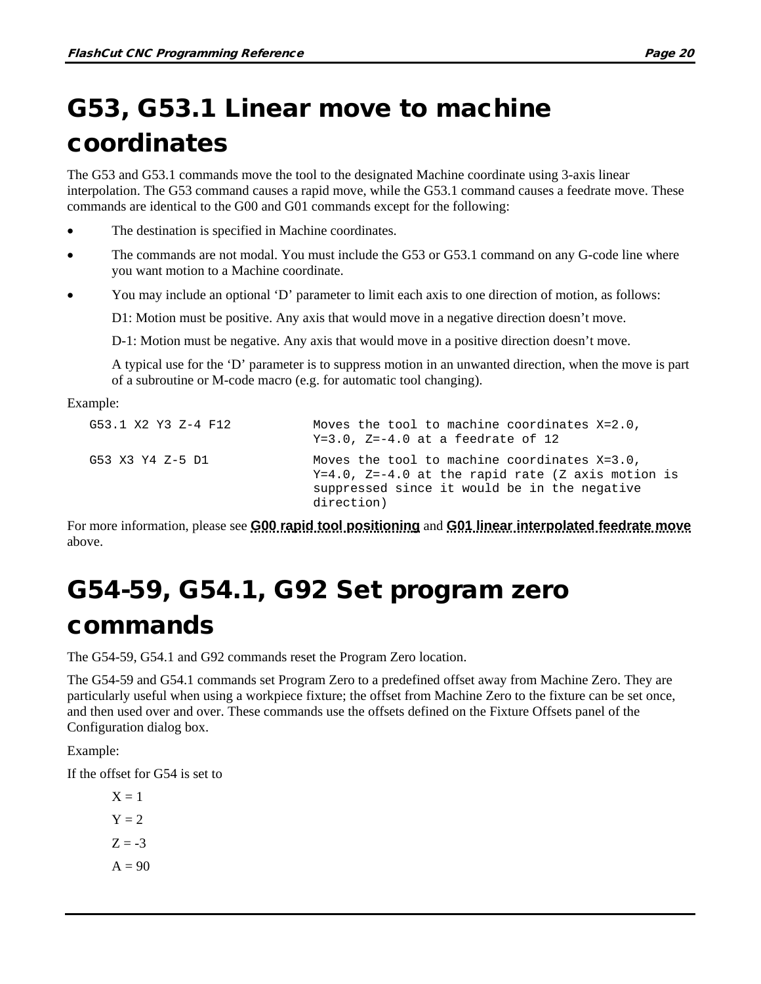# G53, G53.1 Linear move to machine coordinates

The G53 and G53.1 commands move the tool to the designated Machine coordinate using 3-axis linear interpolation. The G53 command causes a rapid move, while the G53.1 command causes a feedrate move. These commands are identical to the G00 and G01 commands except for the following:

- The destination is specified in Machine coordinates.
- The commands are not modal. You must include the G53 or G53.1 command on any G-code line where you want motion to a Machine coordinate.
- You may include an optional 'D' parameter to limit each axis to one direction of motion, as follows:

D1: Motion must be positive. Any axis that would move in a negative direction doesn't move.

D-1: Motion must be negative. Any axis that would move in a positive direction doesn't move.

A typical use for the 'D' parameter is to suppress motion in an unwanted direction, when the move is part of a subroutine or M-code macro (e.g. for automatic tool changing).

Example:

| G53.1 X2 Y3 Z-4 F12 | Moves the tool to machine coordinates X=2.0,<br>$Y=3.0$ , $Z=-4.0$ at a feedrate of 12                                                                                  |
|---------------------|-------------------------------------------------------------------------------------------------------------------------------------------------------------------------|
| G53 X3 Y4 Z-5 D1    | Moves the tool to machine coordinates $X=3.0$ ,<br>$Y=4.0$ , $Z=-4.0$ at the rapid rate (Z axis motion is<br>suppressed since it would be in the negative<br>direction) |

For more information, please see **[G00 rapid tool positioning](#page-23-0)** and **[G01 linear interpolated feedrate move](#page-24-0)** above.

# G54-59, G54.1, G92 Set program zero commands

The G54-59, G54.1 and G92 commands reset the Program Zero location.

The G54-59 and G54.1 commands set Program Zero to a predefined offset away from Machine Zero. They are particularly useful when using a workpiece fixture; the offset from Machine Zero to the fixture can be set once, and then used over and over. These commands use the offsets defined on the Fixture Offsets panel of the Configuration dialog box.

Example:

If the offset for G54 is set to

 $X = 1$  $Y = 2$  $Z = -3$  $A = 90$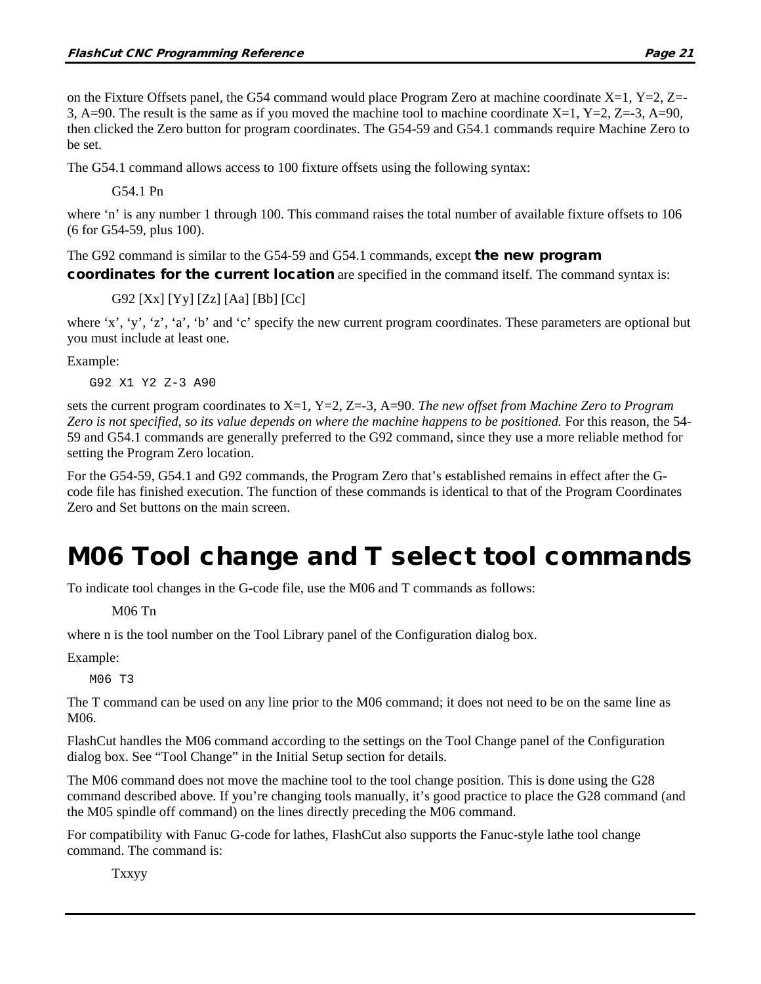on the Fixture Offsets panel, the G54 command would place Program Zero at machine coordinate  $X=1$ ,  $Y=2$ ,  $Z=$ 3, A=90. The result is the same as if you moved the machine tool to machine coordinate X=1, Y=2, Z=-3, A=90, then clicked the Zero button for program coordinates. The G54-59 and G54.1 commands require Machine Zero to be set.

The G54.1 command allows access to 100 fixture offsets using the following syntax:

G54.1 Pn

where 'n' is any number 1 through 100. This command raises the total number of available fixture offsets to 106 (6 for G54-59, plus 100).

The G92 command is similar to the G54-59 and G54.1 commands, except **the new program** 

coordinates for the current location are specified in the command itself. The command syntax is:

G92 [Xx] [Yy] [Zz] [Aa] [Bb] [Cc]

where 'x', 'y', 'z', 'a', 'b' and 'c' specify the new current program coordinates. These parameters are optional but you must include at least one.

Example:

G92 X1 Y2 Z-3 A90

sets the current program coordinates to X=1, Y=2, Z=-3, A=90. *The new offset from Machine Zero to Program Zero is not specified, so its value depends on where the machine happens to be positioned.* For this reason, the 54- 59 and G54.1 commands are generally preferred to the G92 command, since they use a more reliable method for setting the Program Zero location.

For the G54-59, G54.1 and G92 commands, the Program Zero that's established remains in effect after the Gcode file has finished execution. The function of these commands is identical to that of the Program Coordinates Zero and Set buttons on the main screen.

### M06 Tool change and T select tool commands

To indicate tool changes in the G-code file, use the M06 and T commands as follows:

M06 Tn

where n is the tool number on the Tool Library panel of the Configuration dialog box.

Example:

M06 T3

The T command can be used on any line prior to the M06 command; it does not need to be on the same line as M06.

FlashCut handles the M06 command according to the settings on the Tool Change panel of the Configuration dialog box. See "Tool Change" in the Initial Setup section for details.

The M06 command does not move the machine tool to the tool change position. This is done using the G28 command described above. If you're changing tools manually, it's good practice to place the G28 command (and the M05 spindle off command) on the lines directly preceding the M06 command.

For compatibility with Fanuc G-code for lathes, FlashCut also supports the Fanuc-style lathe tool change command. The command is:

Txxyy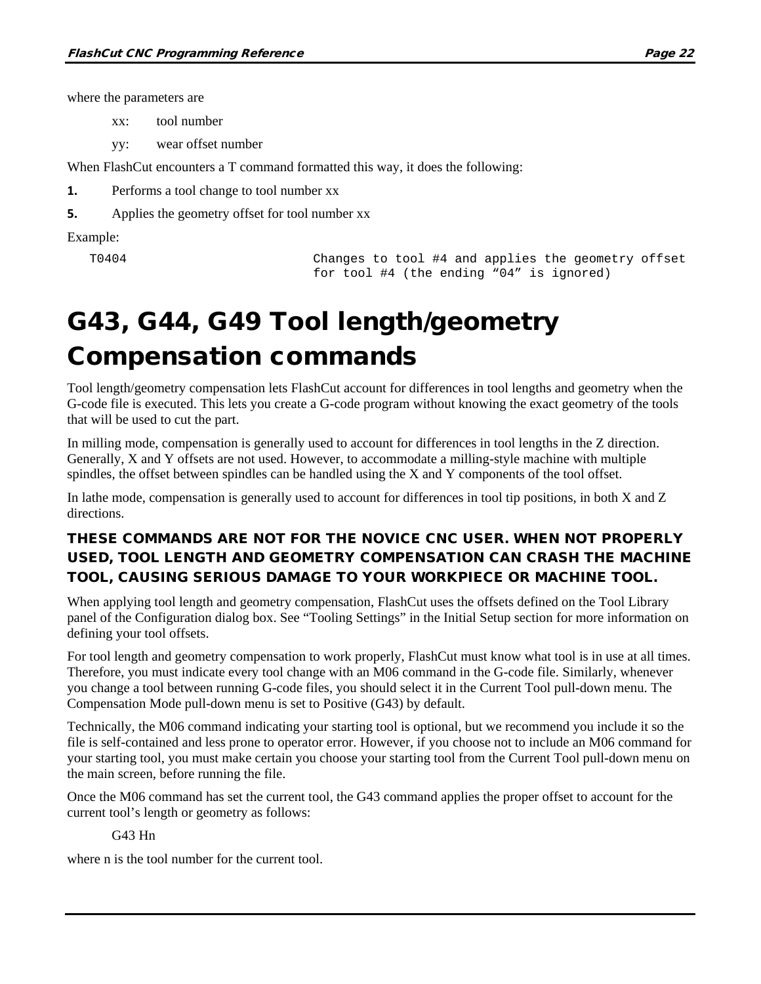where the parameters are

xx: tool number

yy: wear offset number

When FlashCut encounters a T command formatted this way, it does the following:

**1.** Performs a tool change to tool number xx

**5.** Applies the geometry offset for tool number xx

Example:

```
T0404 Changes to tool #4 and applies the geometry offset 
                        for tool #4 (the ending "04" is ignored)
```
# G43, G44, G49 Tool length/geometry Compensation commands

Tool length/geometry compensation lets FlashCut account for differences in tool lengths and geometry when the G-code file is executed. This lets you create a G-code program without knowing the exact geometry of the tools that will be used to cut the part.

In milling mode, compensation is generally used to account for differences in tool lengths in the Z direction. Generally, X and Y offsets are not used. However, to accommodate a milling-style machine with multiple spindles, the offset between spindles can be handled using the X and Y components of the tool offset.

In lathe mode, compensation is generally used to account for differences in tool tip positions, in both X and Z directions.

#### THESE COMMANDS ARE NOT FOR THE NOVICE CNC USER. WHEN NOT PROPERLY USED, TOOL LENGTH AND GEOMETRY COMPENSATION CAN CRASH THE MACHINE TOOL, CAUSING SERIOUS DAMAGE TO YOUR WORKPIECE OR MACHINE TOOL.

When applying tool length and geometry compensation, FlashCut uses the offsets defined on the Tool Library panel of the Configuration dialog box. See "Tooling Settings" in the Initial Setup section for more information on defining your tool offsets.

For tool length and geometry compensation to work properly, FlashCut must know what tool is in use at all times. Therefore, you must indicate every tool change with an M06 command in the G-code file. Similarly, whenever you change a tool between running G-code files, you should select it in the Current Tool pull-down menu. The Compensation Mode pull-down menu is set to Positive (G43) by default.

Technically, the M06 command indicating your starting tool is optional, but we recommend you include it so the file is self-contained and less prone to operator error. However, if you choose not to include an M06 command for your starting tool, you must make certain you choose your starting tool from the Current Tool pull-down menu on the main screen, before running the file.

Once the M06 command has set the current tool, the G43 command applies the proper offset to account for the current tool's length or geometry as follows:

#### G43 Hn

where n is the tool number for the current tool.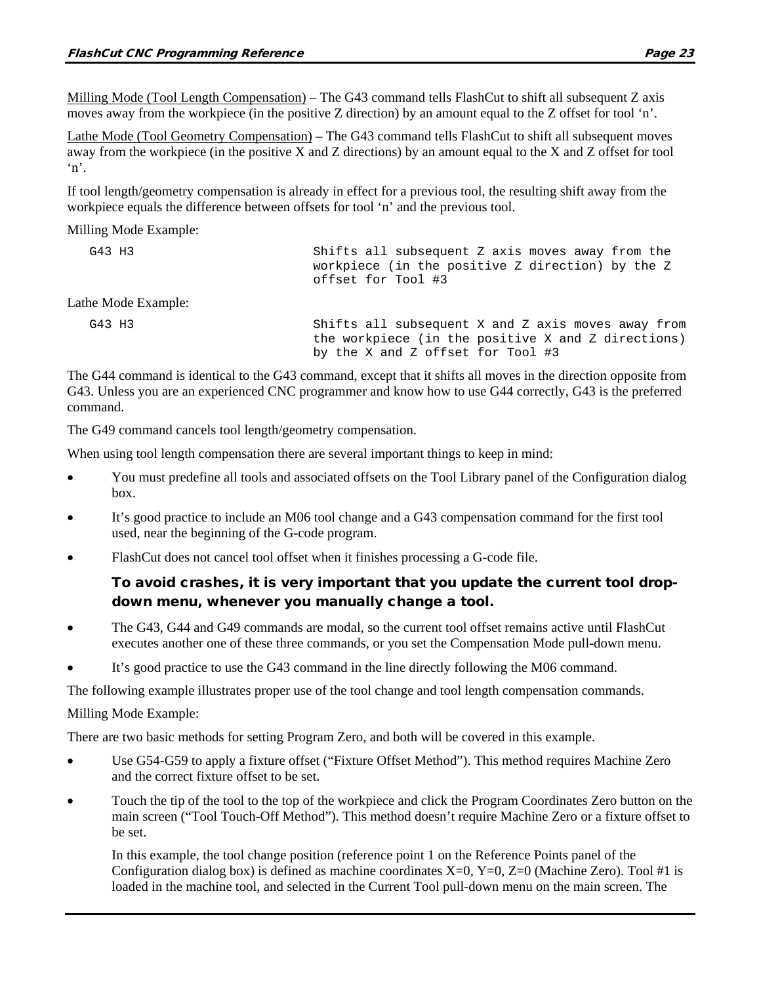Milling Mode (Tool Length Compensation) – The G43 command tells FlashCut to shift all subsequent Z axis moves away from the workpiece (in the positive Z direction) by an amount equal to the Z offset for tool 'n'.

Lathe Mode (Tool Geometry Compensation) – The G43 command tells FlashCut to shift all subsequent moves away from the workpiece (in the positive X and Z directions) by an amount equal to the X and Z offset for tool 'n'.

If tool length/geometry compensation is already in effect for a previous tool, the resulting shift away from the workpiece equals the difference between offsets for tool 'n' and the previous tool.

#### Milling Mode Example:

| G43 H3              | Shifts all subsequent Z axis moves away from the<br>workpiece (in the positive Z direction) by the Z<br>offset for Tool #3 |
|---------------------|----------------------------------------------------------------------------------------------------------------------------|
| Lathe Mode Example: |                                                                                                                            |
| G43 H3              | Shifts all subsequent X and Z axis moves away from<br>the workpiece (in the positive X and Z directions)                   |

The G44 command is identical to the G43 command, except that it shifts all moves in the direction opposite from G43. Unless you are an experienced CNC programmer and know how to use G44 correctly, G43 is the preferred command.

by the X and Z offset for Tool #3

The G49 command cancels tool length/geometry compensation.

When using tool length compensation there are several important things to keep in mind:

- You must predefine all tools and associated offsets on the Tool Library panel of the Configuration dialog box.
- It's good practice to include an M06 tool change and a G43 compensation command for the first tool used, near the beginning of the G-code program.
- FlashCut does not cancel tool offset when it finishes processing a G-code file.

#### To avoid crashes, it is very important that you update the current tool dropdown menu, whenever you manually change a tool.

- The G43, G44 and G49 commands are modal, so the current tool offset remains active until FlashCut executes another one of these three commands, or you set the Compensation Mode pull-down menu.
- It's good practice to use the G43 command in the line directly following the M06 command.

The following example illustrates proper use of the tool change and tool length compensation commands.

#### Milling Mode Example:

There are two basic methods for setting Program Zero, and both will be covered in this example.

- Use G54-G59 to apply a fixture offset ("Fixture Offset Method"). This method requires Machine Zero and the correct fixture offset to be set.
- Touch the tip of the tool to the top of the workpiece and click the Program Coordinates Zero button on the main screen ("Tool Touch-Off Method"). This method doesn't require Machine Zero or a fixture offset to be set.

In this example, the tool change position (reference point 1 on the Reference Points panel of the Configuration dialog box) is defined as machine coordinates  $X=0$ ,  $Y=0$ ,  $Z=0$  (Machine Zero). Tool #1 is loaded in the machine tool, and selected in the Current Tool pull-down menu on the main screen. The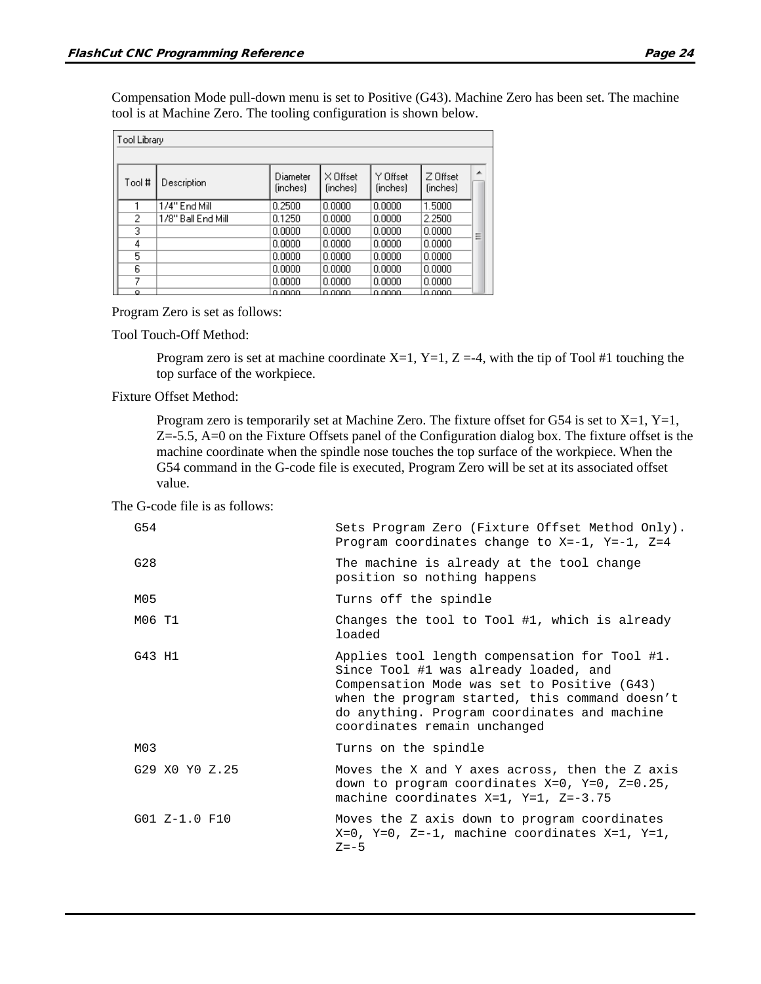Compensation Mode pull-down menu is set to Positive (G43). Machine Zero has been set. The machine tool is at Machine Zero. The tooling configuration is shown below.

| Tool Library |                     |                      |                      |                      |                      |   |
|--------------|---------------------|----------------------|----------------------|----------------------|----------------------|---|
|              |                     |                      |                      |                      |                      |   |
| # Tool       | Description         | Diameter<br>(inches) | X Offset<br>(inches) | Y Offset<br>(inches) | Z Offset<br>(inches) | ۰ |
|              | 1/4" End Mill       | 0.2500               | 0.0000               | 0.0000               | 1.5000               |   |
| 2            | 178'' Ball End Mill | 0.1250               | 0.0000               | 0.0000               | 2.2500               |   |
| 3            |                     | 0.0000               | 0.0000               | 0.0000               | 0.0000               | Ξ |
| 4            |                     | 0.0000               | 0.0000               | 0.0000               | 0.0000               |   |
| 5            |                     | 0.0000               | 0.0000               | 0.0000               | 0.0000               |   |
| 6            |                     | 0.0000               | 0.0000               | 0.0000               | 0.0000               |   |
| 7            |                     | 0.0000               | 0.0000               | 0.0000               | 0.0000               |   |
| Ω.           |                     | n nnnn               | o oooo               | o oooo               | o oooo               |   |

Program Zero is set as follows:

Tool Touch-Off Method:

Program zero is set at machine coordinate  $X=1$ ,  $Y=1$ ,  $Z=-4$ , with the tip of Tool #1 touching the top surface of the workpiece.

Fixture Offset Method:

Program zero is temporarily set at Machine Zero. The fixture offset for G54 is set to  $X=1$ ,  $Y=1$ , Z=-5.5, A=0 on the Fixture Offsets panel of the Configuration dialog box. The fixture offset is the machine coordinate when the spindle nose touches the top surface of the workpiece. When the G54 command in the G-code file is executed, Program Zero will be set at its associated offset value.

The G-code file is as follows:

| G54             | Sets Program Zero (Fixture Offset Method Only).<br>Program coordinates change to $X=-1$ , $Y=-1$ , $Z=4$                                                                                                                                                                |
|-----------------|-------------------------------------------------------------------------------------------------------------------------------------------------------------------------------------------------------------------------------------------------------------------------|
| G28             | The machine is already at the tool change<br>position so nothing happens                                                                                                                                                                                                |
| M05             | Turns off the spindle                                                                                                                                                                                                                                                   |
| M06 T1          | Changes the tool to Tool #1, which is already<br>loaded                                                                                                                                                                                                                 |
| G43 H1          | Applies tool length compensation for Tool #1.<br>Since Tool #1 was already loaded, and<br>Compensation Mode was set to Positive (G43)<br>when the program started, this command doesn't<br>do anything. Program coordinates and machine<br>coordinates remain unchanged |
| M03             | Turns on the spindle                                                                                                                                                                                                                                                    |
| G29 X0 Y0 Z.25  | Moves the X and Y axes across, then the Z axis<br>down to program coordinates $X=0$ , $Y=0$ , $Z=0.25$ ,<br>machine coordinates X=1, Y=1, Z=-3.75                                                                                                                       |
| $G01 Z-1.0 F10$ | Moves the Z axis down to program coordinates<br>$X=0$ , $Y=0$ , $Z=-1$ , machine coordinates $X=1$ , $Y=1$ ,<br>$Z = -5$                                                                                                                                                |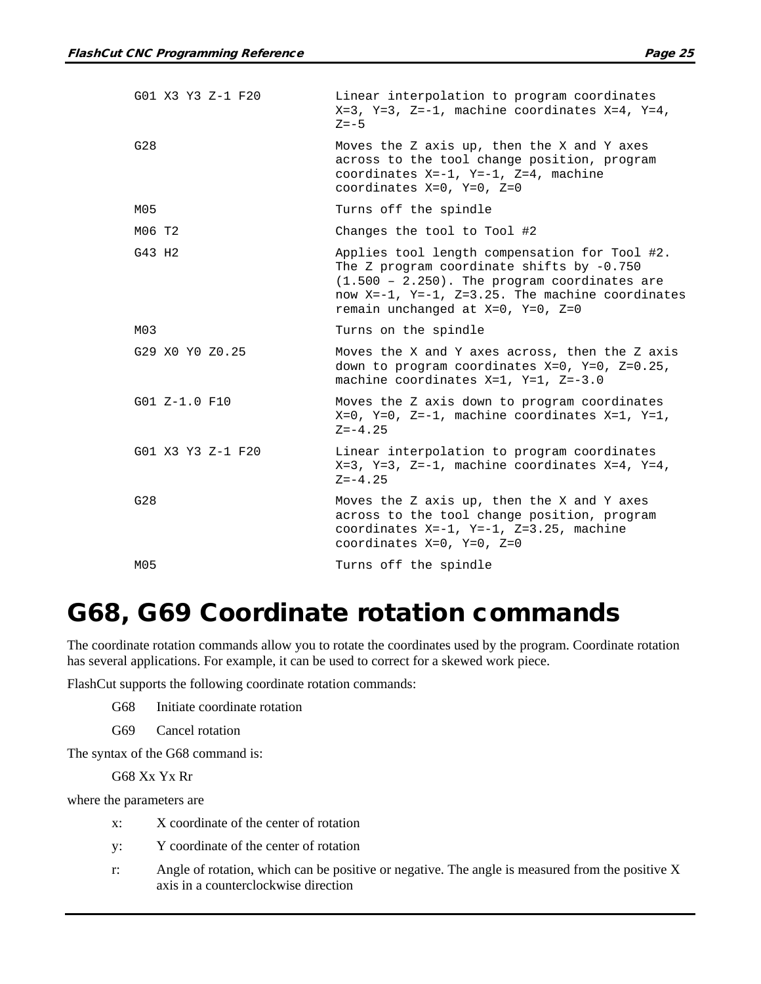| G01 X3 Y3 Z-1 F20 | Linear interpolation to program coordinates<br>$X=3$ , $Y=3$ , $Z=-1$ , machine coordinates $X=4$ , $Y=4$ ,<br>$Z = -5$                                                                                                                         |
|-------------------|-------------------------------------------------------------------------------------------------------------------------------------------------------------------------------------------------------------------------------------------------|
| G28               | Moves the Z axis up, then the X and Y axes<br>across to the tool change position, program<br>coordinates $X=-1$ , $Y=-1$ , $Z=4$ , machine<br>coordinates $X=0$ , $Y=0$ , $Z=0$                                                                 |
| M05               | Turns off the spindle                                                                                                                                                                                                                           |
| M06 T2            | Changes the tool to Tool #2                                                                                                                                                                                                                     |
| G43 H2            | Applies tool length compensation for Tool #2.<br>The Z program coordinate shifts by $-0.750$<br>$(1.500 - 2.250)$ . The program coordinates are<br>now X=-1, Y=-1, Z=3.25. The machine coordinates<br>remain unchanged at $X=0$ , $Y=0$ , $Z=0$ |
| M03               | Turns on the spindle                                                                                                                                                                                                                            |
| G29 X0 Y0 Z0.25   | Moves the X and Y axes across, then the Z axis<br>down to program coordinates X=0, Y=0, Z=0.25,<br>machine coordinates $X=1$ , $Y=1$ , $Z=-3.0$                                                                                                 |
| $G01 Z-1.0 F10$   | Moves the Z axis down to program coordinates<br>$X=0$ , $Y=0$ , $Z=-1$ , machine coordinates $X=1$ , $Y=1$ ,<br>$Z = -4.25$                                                                                                                     |
| G01 X3 Y3 Z-1 F20 | Linear interpolation to program coordinates<br>$X=3$ , $Y=3$ , $Z=-1$ , machine coordinates $X=4$ , $Y=4$ ,<br>$Z = -4.25$                                                                                                                      |
| G28               | Moves the Z axis up, then the X and Y axes<br>across to the tool change position, program<br>coordinates $X=-1$ , $Y=-1$ , $Z=3.25$ , machine<br>coordinates $X=0$ , $Y=0$ , $Z=0$                                                              |
| M05               | Turns off the spindle                                                                                                                                                                                                                           |

#### G68, G69 Coordinate rotation commands

The coordinate rotation commands allow you to rotate the coordinates used by the program. Coordinate rotation has several applications. For example, it can be used to correct for a skewed work piece.

FlashCut supports the following coordinate rotation commands:

G68 Initiate coordinate rotation

G69 Cancel rotation

The syntax of the G68 command is:

G68 Xx Yx Rr

where the parameters are

- x: X coordinate of the center of rotation
- y: Y coordinate of the center of rotation
- r: Angle of rotation, which can be positive or negative. The angle is measured from the positive  $X$ axis in a counterclockwise direction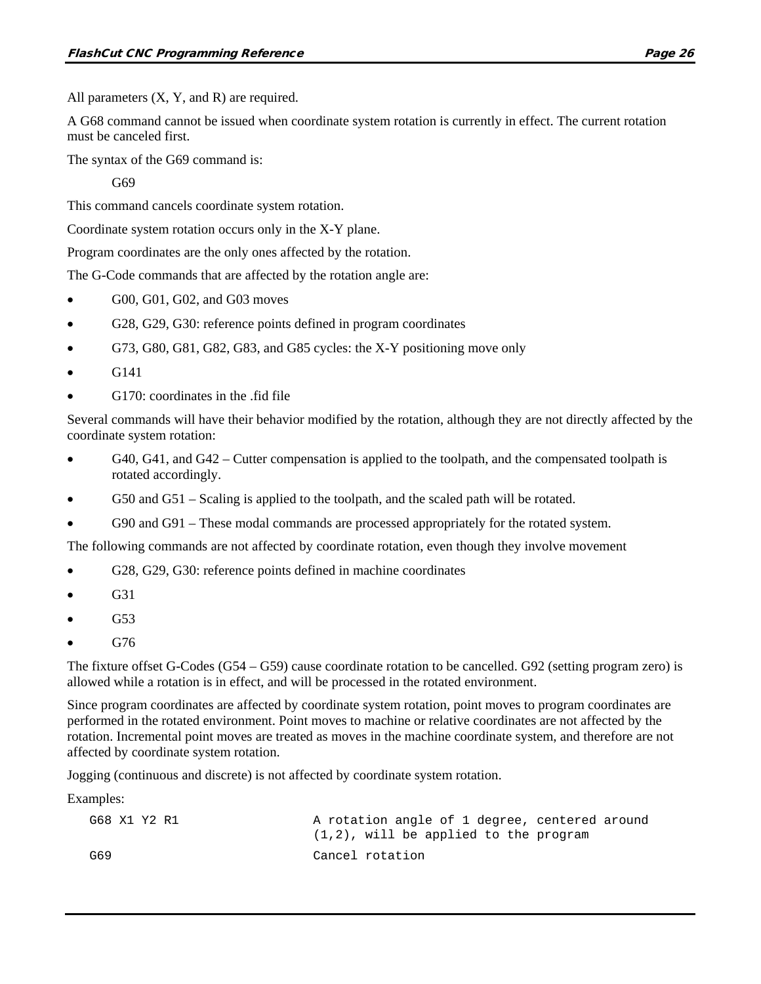All parameters  $(X, Y, and R)$  are required.

A G68 command cannot be issued when coordinate system rotation is currently in effect. The current rotation must be canceled first.

The syntax of the G69 command is:

G<sub>69</sub>

This command cancels coordinate system rotation.

Coordinate system rotation occurs only in the X-Y plane.

Program coordinates are the only ones affected by the rotation.

The G-Code commands that are affected by the rotation angle are:

- G00, G01, G02, and G03 moves
- G28, G29, G30: reference points defined in program coordinates
- G73, G80, G81, G82, G83, and G85 cycles: the X-Y positioning move only
- G141
- G170: coordinates in the .fid file

Several commands will have their behavior modified by the rotation, although they are not directly affected by the coordinate system rotation:

- G40, G41, and G42 Cutter compensation is applied to the toolpath, and the compensated toolpath is rotated accordingly.
- G50 and G51 Scaling is applied to the toolpath, and the scaled path will be rotated.
- G90 and G91 These modal commands are processed appropriately for the rotated system.

The following commands are not affected by coordinate rotation, even though they involve movement

- G28, G29, G30: reference points defined in machine coordinates
- G31
- G53
- G76

The fixture offset G-Codes (G54 – G59) cause coordinate rotation to be cancelled. G92 (setting program zero) is allowed while a rotation is in effect, and will be processed in the rotated environment.

Since program coordinates are affected by coordinate system rotation, point moves to program coordinates are performed in the rotated environment. Point moves to machine or relative coordinates are not affected by the rotation. Incremental point moves are treated as moves in the machine coordinate system, and therefore are not affected by coordinate system rotation.

Jogging (continuous and discrete) is not affected by coordinate system rotation.

Examples:

| G68 X1 Y2 R1 | A rotation angle of 1 degree, centered around |
|--------------|-----------------------------------------------|
|              | $(1,2)$ , will be applied to the program      |
| G69          | Cancel rotation                               |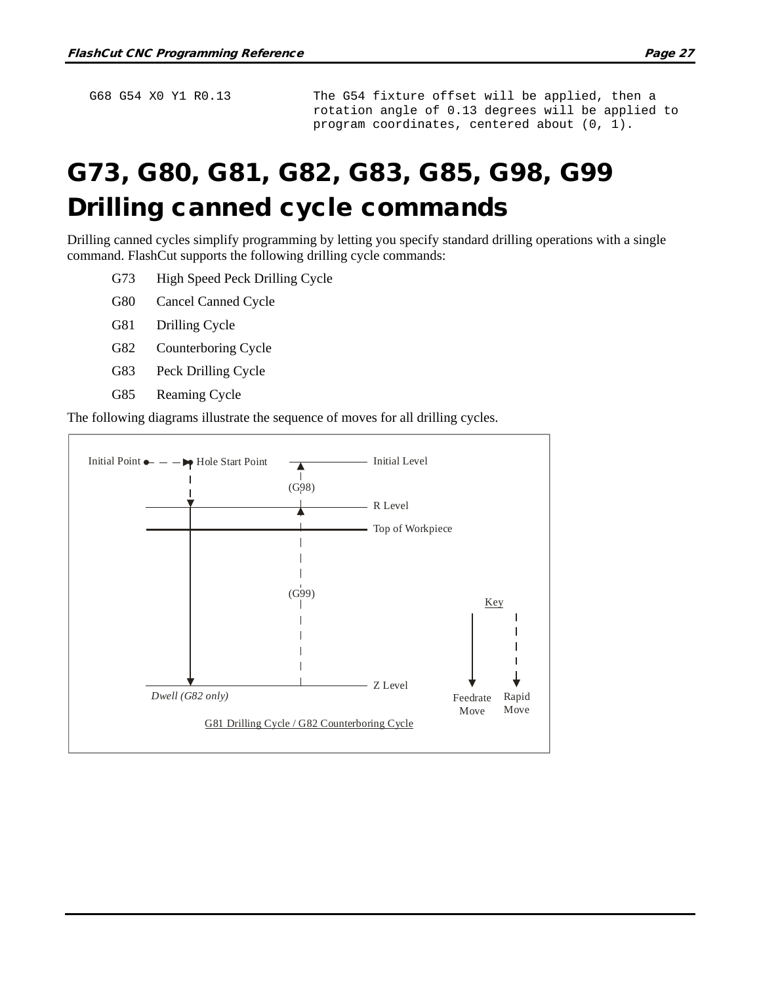G68 G54 X0 Y1 R0.13 The G54 fixture offset will be applied, then a rotation angle of 0.13 degrees will be applied to program coordinates, centered about (0, 1).

# G73, G80, G81, G82, G83, G85, G98, G99 Drilling canned cycle commands

Drilling canned cycles simplify programming by letting you specify standard drilling operations with a single command. FlashCut supports the following drilling cycle commands:

- G73 High Speed Peck Drilling Cycle
- G80 Cancel Canned Cycle
- G81 Drilling Cycle
- G82 Counterboring Cycle
- G83 Peck Drilling Cycle
- G85 Reaming Cycle

The following diagrams illustrate the sequence of moves for all drilling cycles.

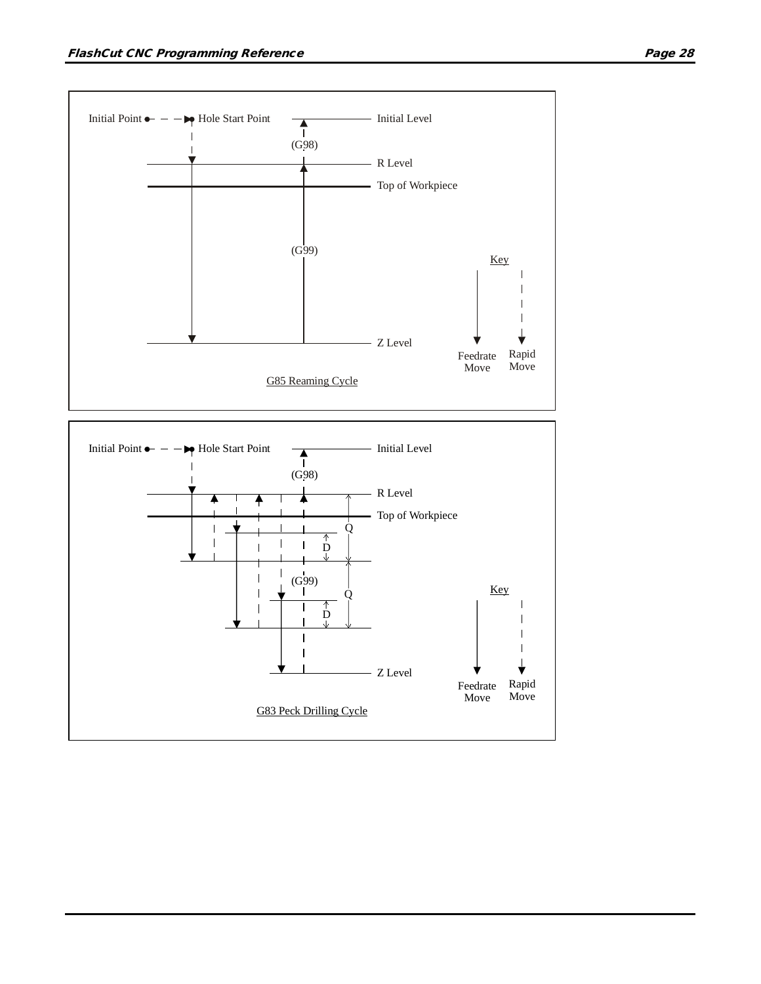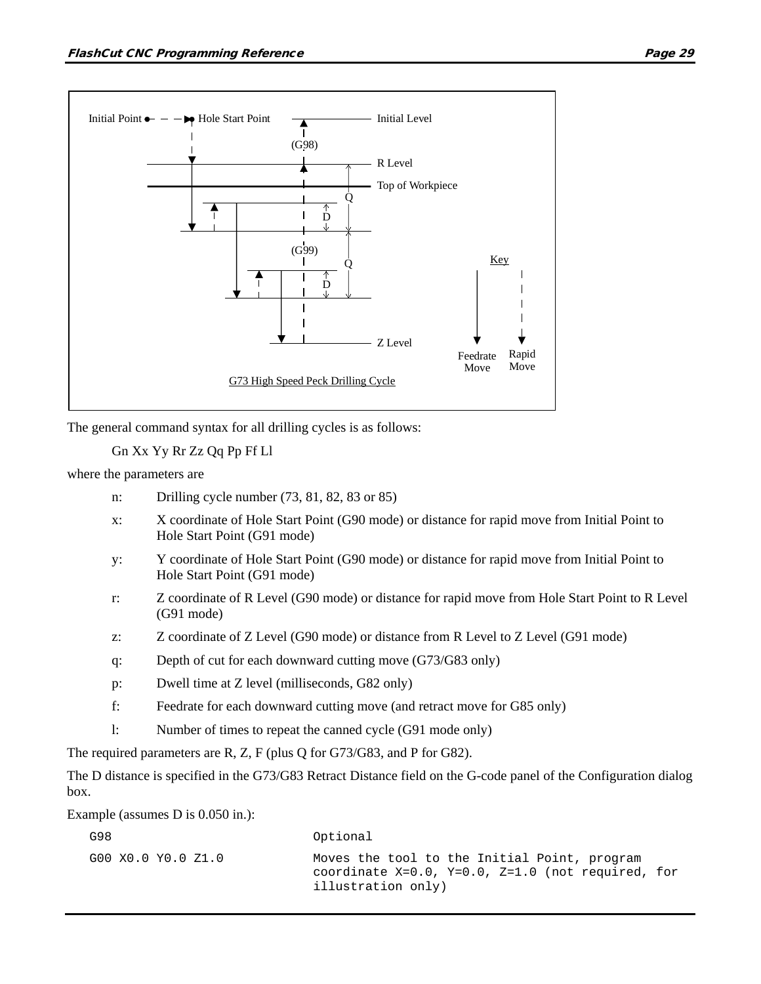

The general command syntax for all drilling cycles is as follows:

Gn Xx Yy Rr Zz Qq Pp Ff Ll

where the parameters are

- n: Drilling cycle number (73, 81, 82, 83 or 85)
- x: X coordinate of Hole Start Point (G90 mode) or distance for rapid move from Initial Point to Hole Start Point (G91 mode)
- y: Y coordinate of Hole Start Point (G90 mode) or distance for rapid move from Initial Point to Hole Start Point (G91 mode)
- r: Z coordinate of R Level (G90 mode) or distance for rapid move from Hole Start Point to R Level (G91 mode)
- z: Z coordinate of Z Level (G90 mode) or distance from R Level to Z Level (G91 mode)
- q: Depth of cut for each downward cutting move (G73/G83 only)
- p: Dwell time at Z level (milliseconds, G82 only)
- f: Feedrate for each downward cutting move (and retract move for G85 only)
- l: Number of times to repeat the canned cycle (G91 mode only)

The required parameters are R, Z, F (plus Q for G73/G83, and P for G82).

The D distance is specified in the G73/G83 Retract Distance field on the G-code panel of the Configuration dialog box.

Example (assumes D is 0.050 in.):

| G98                | Optional                                                                                                                        |
|--------------------|---------------------------------------------------------------------------------------------------------------------------------|
| G00 X0.0 Y0.0 Z1.0 | Moves the tool to the Initial Point, program<br>coordinate $X=0.0$ , $Y=0.0$ , $Z=1.0$ (not required, for<br>illustration only) |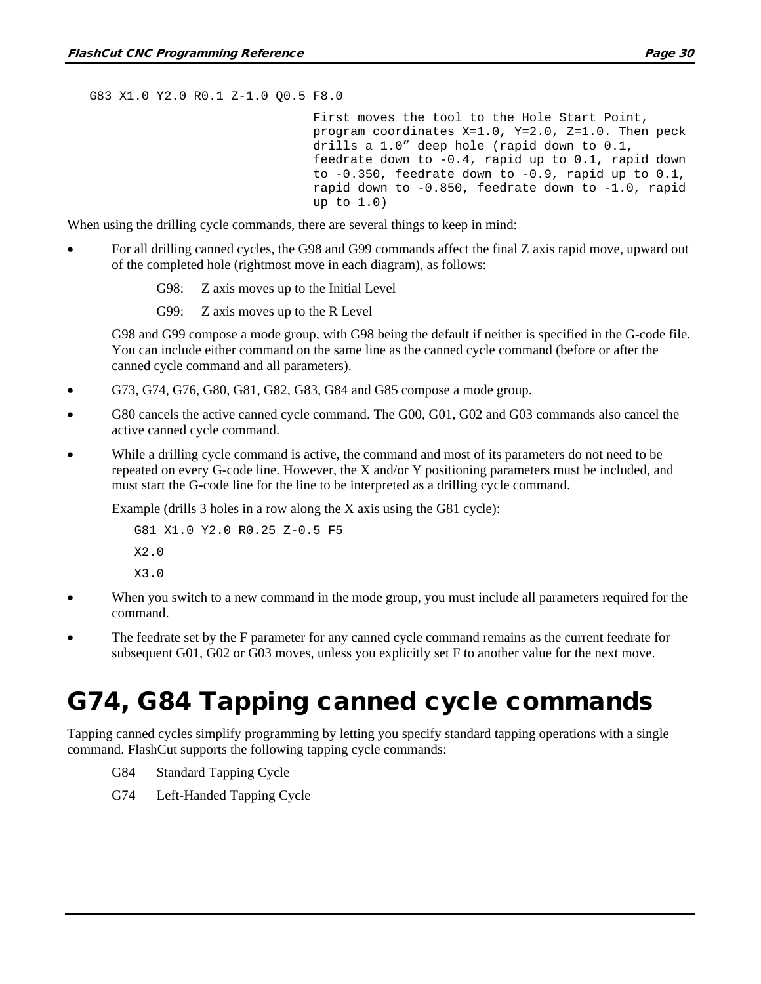G83 X1.0 Y2.0 R0.1 Z-1.0 Q0.5 F8.0

First moves the tool to the Hole Start Point, program coordinates X=1.0, Y=2.0, Z=1.0. Then peck drills a 1.0" deep hole (rapid down to 0.1, feedrate down to -0.4, rapid up to 0.1, rapid down to  $-0.350$ , feedrate down to  $-0.9$ , rapid up to  $0.1$ , rapid down to -0.850, feedrate down to -1.0, rapid up to 1.0)

When using the drilling cycle commands, there are several things to keep in mind:

- For all drilling canned cycles, the G98 and G99 commands affect the final Z axis rapid move, upward out of the completed hole (rightmost move in each diagram), as follows:
	- G98: Z axis moves up to the Initial Level
	- G99: Z axis moves up to the R Level

G98 and G99 compose a mode group, with G98 being the default if neither is specified in the G-code file. You can include either command on the same line as the canned cycle command (before or after the canned cycle command and all parameters).

- G73, G74, G76, G80, G81, G82, G83, G84 and G85 compose a mode group.
- G80 cancels the active canned cycle command. The G00, G01, G02 and G03 commands also cancel the active canned cycle command.
- While a drilling cycle command is active, the command and most of its parameters do not need to be repeated on every G-code line. However, the X and/or Y positioning parameters must be included, and must start the G-code line for the line to be interpreted as a drilling cycle command.

Example (drills 3 holes in a row along the X axis using the G81 cycle):

```
G81 X1.0 Y2.0 R0.25 Z-0.5 F5
X2.0
X3.0
```
- When you switch to a new command in the mode group, you must include all parameters required for the command.
- The feedrate set by the F parameter for any canned cycle command remains as the current feedrate for subsequent G01, G02 or G03 moves, unless you explicitly set F to another value for the next move.

#### G74, G84 Tapping canned cycle commands

Tapping canned cycles simplify programming by letting you specify standard tapping operations with a single command. FlashCut supports the following tapping cycle commands:

- G84 Standard Tapping Cycle
- G74 Left-Handed Tapping Cycle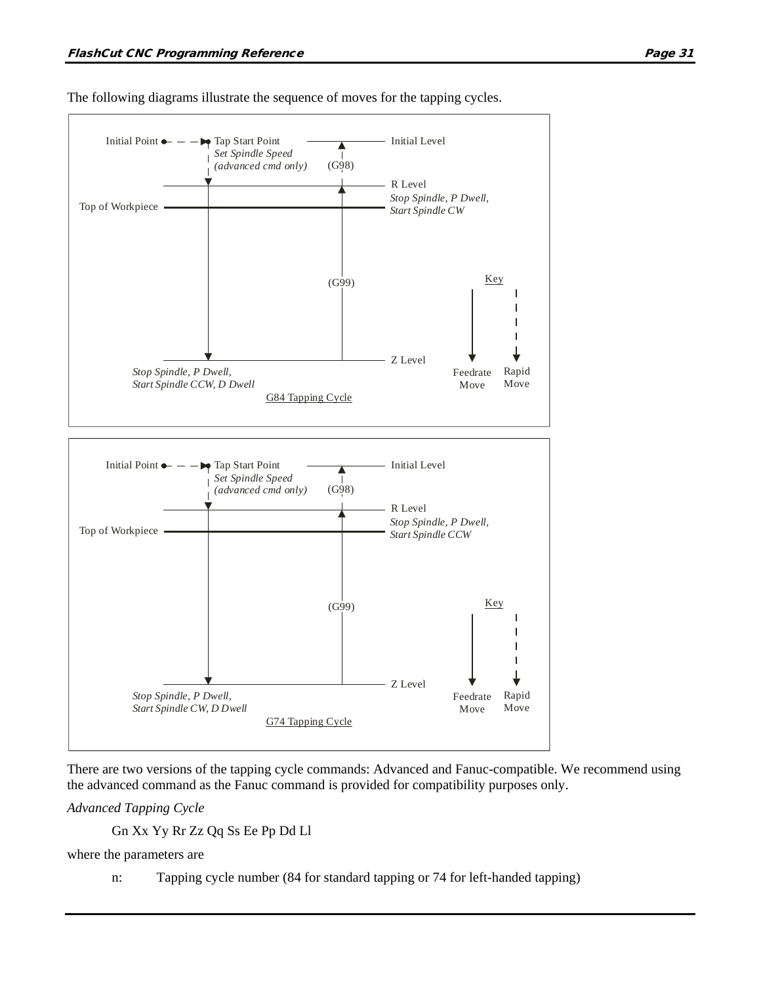

The following diagrams illustrate the sequence of moves for the tapping cycles.

There are two versions of the tapping cycle commands: Advanced and Fanuc-compatible. We recommend using the advanced command as the Fanuc command is provided for compatibility purposes only.

*Advanced Tapping Cycle*

Gn Xx Yy Rr Zz Qq Ss Ee Pp Dd Ll

where the parameters are

n: Tapping cycle number (84 for standard tapping or 74 for left-handed tapping)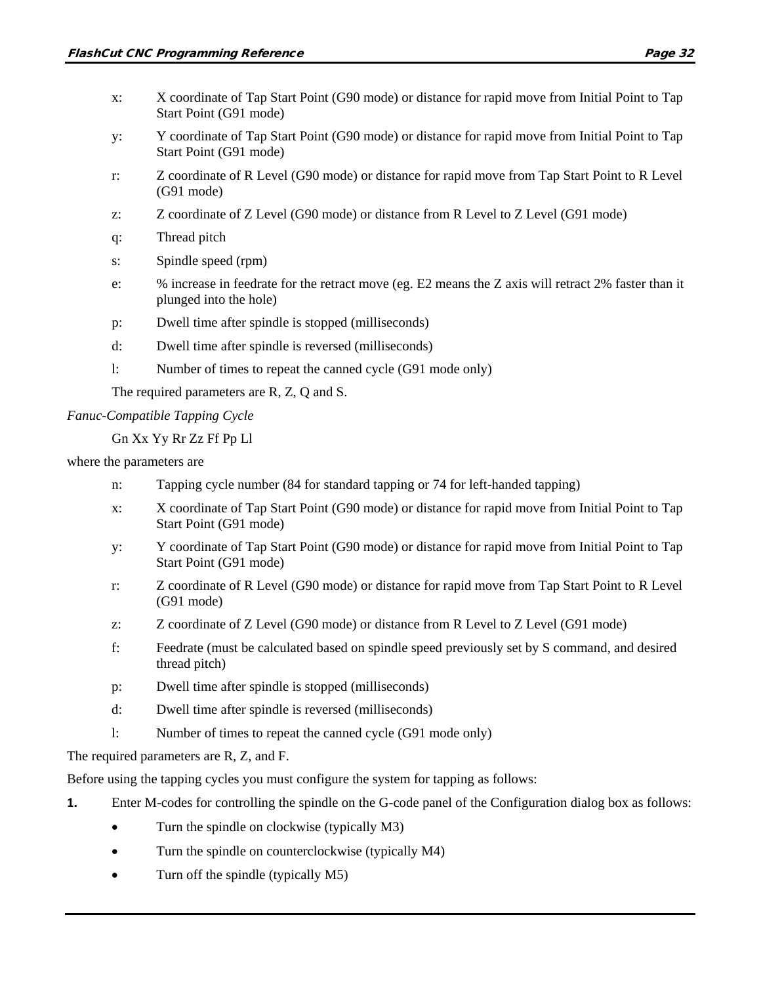- x: X coordinate of Tap Start Point (G90 mode) or distance for rapid move from Initial Point to Tap Start Point (G91 mode)
- y: Y coordinate of Tap Start Point (G90 mode) or distance for rapid move from Initial Point to Tap Start Point (G91 mode)
- r: Z coordinate of R Level (G90 mode) or distance for rapid move from Tap Start Point to R Level (G91 mode)
- z: Z coordinate of Z Level (G90 mode) or distance from R Level to Z Level (G91 mode)
- q: Thread pitch
- s: Spindle speed (rpm)
- e: % increase in feedrate for the retract move (eg. E2 means the Z axis will retract 2% faster than it plunged into the hole)
- p: Dwell time after spindle is stopped (milliseconds)
- d: Dwell time after spindle is reversed (milliseconds)
- l: Number of times to repeat the canned cycle (G91 mode only)

The required parameters are R, Z, Q and S.

#### *Fanuc-Compatible Tapping Cycle*

```
Gn Xx Yy Rr Zz Ff Pp Ll
```
where the parameters are

- n: Tapping cycle number (84 for standard tapping or 74 for left-handed tapping)
- x: X coordinate of Tap Start Point (G90 mode) or distance for rapid move from Initial Point to Tap Start Point (G91 mode)
- y: Y coordinate of Tap Start Point (G90 mode) or distance for rapid move from Initial Point to Tap Start Point (G91 mode)
- r: Z coordinate of R Level (G90 mode) or distance for rapid move from Tap Start Point to R Level (G91 mode)
- z: Z coordinate of Z Level (G90 mode) or distance from R Level to Z Level (G91 mode)
- f: Feedrate (must be calculated based on spindle speed previously set by S command, and desired thread pitch)
- p: Dwell time after spindle is stopped (milliseconds)
- d: Dwell time after spindle is reversed (milliseconds)
- l: Number of times to repeat the canned cycle (G91 mode only)

The required parameters are R, Z, and F.

Before using the tapping cycles you must configure the system for tapping as follows:

- **1.** Enter M-codes for controlling the spindle on the G-code panel of the Configuration dialog box as follows:
	- Turn the spindle on clockwise (typically M3)
	- Turn the spindle on counterclockwise (typically M4)
	- Turn off the spindle (typically M5)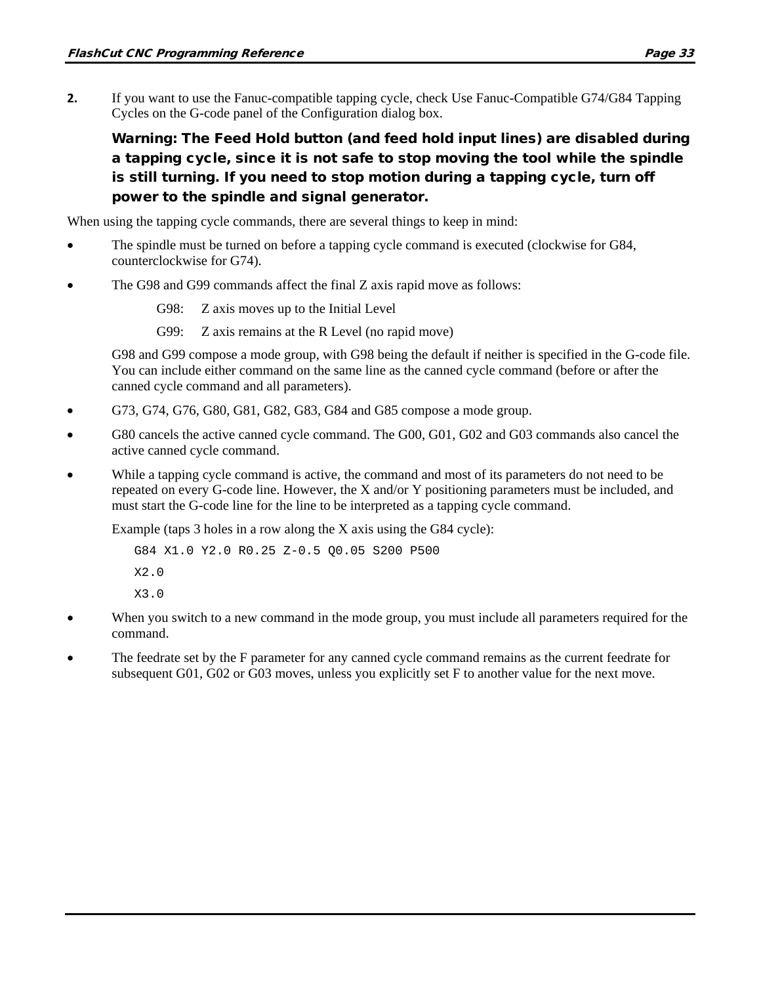**2.** If you want to use the Fanuc-compatible tapping cycle, check Use Fanuc-Compatible G74/G84 Tapping Cycles on the G-code panel of the Configuration dialog box.

Warning: The Feed Hold button (and feed hold input lines) are disabled during a tapping cycle, since it is not safe to stop moving the tool while the spindle is still turning. If you need to stop motion during a tapping cycle, turn off power to the spindle and signal generator.

When using the tapping cycle commands, there are several things to keep in mind:

- The spindle must be turned on before a tapping cycle command is executed (clockwise for G84, counterclockwise for G74).
- The G98 and G99 commands affect the final Z axis rapid move as follows:

G98: Z axis moves up to the Initial Level

G99: Z axis remains at the R Level (no rapid move)

G98 and G99 compose a mode group, with G98 being the default if neither is specified in the G-code file. You can include either command on the same line as the canned cycle command (before or after the canned cycle command and all parameters).

- G73, G74, G76, G80, G81, G82, G83, G84 and G85 compose a mode group.
- G80 cancels the active canned cycle command. The G00, G01, G02 and G03 commands also cancel the active canned cycle command.
- While a tapping cycle command is active, the command and most of its parameters do not need to be repeated on every G-code line. However, the X and/or Y positioning parameters must be included, and must start the G-code line for the line to be interpreted as a tapping cycle command.

Example (taps  $3$  holes in a row along the X axis using the G84 cycle):

```
G84 X1.0 Y2.0 R0.25 Z-0.5 Q0.05 S200 P500
X2.0
X3.0
```
- When you switch to a new command in the mode group, you must include all parameters required for the command.
- The feedrate set by the F parameter for any canned cycle command remains as the current feedrate for subsequent G01, G02 or G03 moves, unless you explicitly set F to another value for the next move.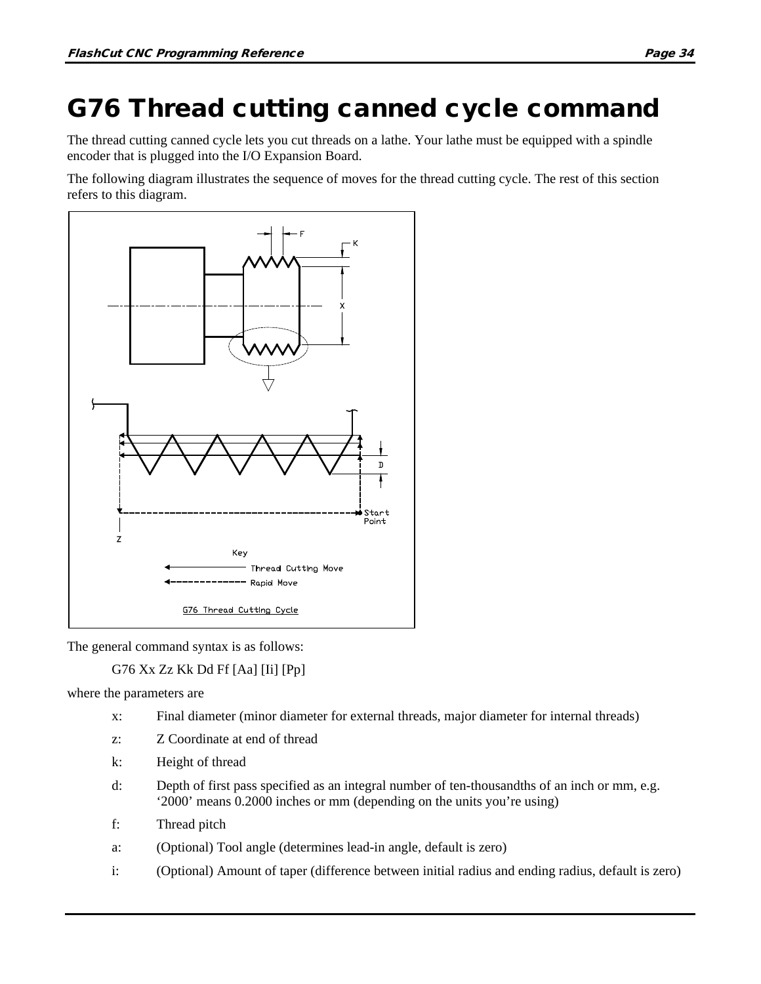# G76 Thread cutting canned cycle command

The thread cutting canned cycle lets you cut threads on a lathe. Your lathe must be equipped with a spindle encoder that is plugged into the I/O Expansion Board.

The following diagram illustrates the sequence of moves for the thread cutting cycle. The rest of this section refers to this diagram.



The general command syntax is as follows:

G76 Xx Zz Kk Dd Ff [Aa] [Ii] [Pp]

where the parameters are

- x: Final diameter (minor diameter for external threads, major diameter for internal threads)
- z: Z Coordinate at end of thread
- k: Height of thread
- d: Depth of first pass specified as an integral number of ten-thousandths of an inch or mm, e.g. '2000' means 0.2000 inches or mm (depending on the units you're using)
- f: Thread pitch
- a: (Optional) Tool angle (determines lead-in angle, default is zero)
- i: (Optional) Amount of taper (difference between initial radius and ending radius, default is zero)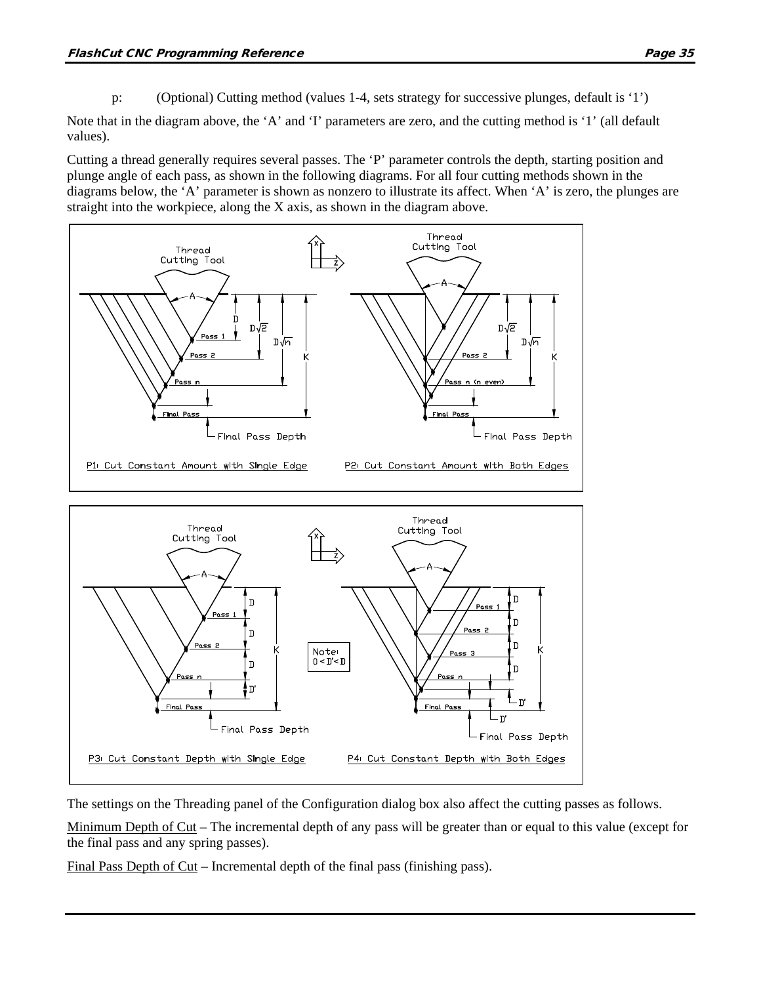p: (Optional) Cutting method (values 1-4, sets strategy for successive plunges, default is '1')

Note that in the diagram above, the 'A' and 'I' parameters are zero, and the cutting method is '1' (all default values).

Cutting a thread generally requires several passes. The 'P' parameter controls the depth, starting position and plunge angle of each pass, as shown in the following diagrams. For all four cutting methods shown in the diagrams below, the 'A' parameter is shown as nonzero to illustrate its affect. When 'A' is zero, the plunges are straight into the workpiece, along the X axis, as shown in the diagram above.



The settings on the Threading panel of the Configuration dialog box also affect the cutting passes as follows.

Minimum Depth of Cut – The incremental depth of any pass will be greater than or equal to this value (except for the final pass and any spring passes).

Final Pass Depth of Cut – Incremental depth of the final pass (finishing pass).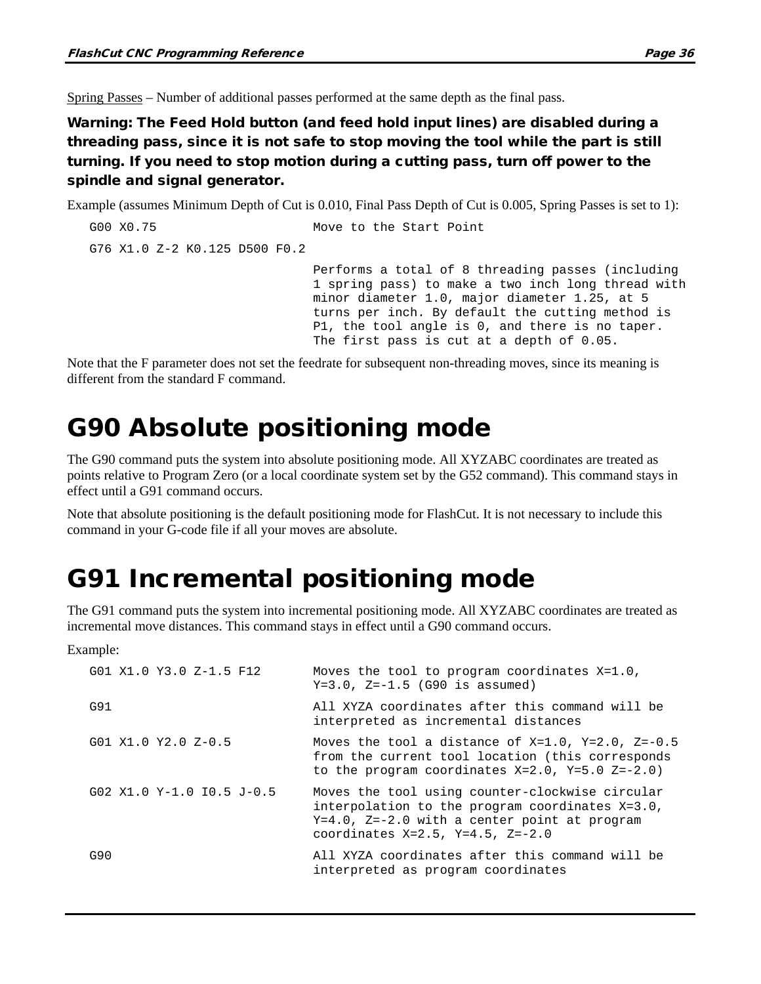Spring Passes – Number of additional passes performed at the same depth as the final pass.

Warning: The Feed Hold button (and feed hold input lines) are disabled during a threading pass, since it is not safe to stop moving the tool while the part is still turning. If you need to stop motion during a cutting pass, turn off power to the spindle and signal generator.

Example (assumes Minimum Depth of Cut is 0.010, Final Pass Depth of Cut is 0.005, Spring Passes is set to 1):

```
G00 X0.75 Move to the Start Point
G76 X1.0 Z-2 K0.125 D500 F0.2
                             Performs a total of 8 threading passes (including 
                             1 spring pass) to make a two inch long thread with 
                             minor diameter 1.0, major diameter 1.25, at 5 
                             turns per inch. By default the cutting method is 
                             P1, the tool angle is 0, and there is no taper. 
                             The first pass is cut at a depth of 0.05.
```
Note that the F parameter does not set the feedrate for subsequent non-threading moves, since its meaning is different from the standard F command.

## G90 Absolute positioning mode

The G90 command puts the system into absolute positioning mode. All XYZABC coordinates are treated as points relative to Program Zero (or a local coordinate system set by the G52 command). This command stays in effect until a G91 command occurs.

Note that absolute positioning is the default positioning mode for FlashCut. It is not necessary to include this command in your G-code file if all your moves are absolute.

## G91 Incremental positioning mode

The G91 command puts the system into incremental positioning mode. All XYZABC coordinates are treated as incremental move distances. This command stays in effect until a G90 command occurs.

Example:

| G01 X1.0 Y3.0 Z-1.5 F12     | Moves the tool to program coordinates X=1.0,<br>$Y=3.0$ , $Z=-1.5$ (G90 is assumed)                                                                                                                 |
|-----------------------------|-----------------------------------------------------------------------------------------------------------------------------------------------------------------------------------------------------|
| G91                         | All XYZA coordinates after this command will be<br>interpreted as incremental distances                                                                                                             |
| $G01 X1.0 Y2.0 Z-0.5$       | Moves the tool a distance of $X=1.0$ , $Y=2.0$ , $Z=-0.5$<br>from the current tool location (this corresponds<br>to the program coordinates $X=2.0$ , $Y=5.0$ $Z=-2.0$ )                            |
| $G02 X1.0 Y-1.0 I0.5 J-0.5$ | Moves the tool using counter-clockwise circular<br>interpolation to the program coordinates X=3.0,<br>$Y=4.0$ , $Z=-2.0$ with a center point at program<br>coordinates $X=2.5$ , $Y=4.5$ , $Z=-2.0$ |
| G90                         | All XYZA coordinates after this command will be<br>interpreted as program coordinates                                                                                                               |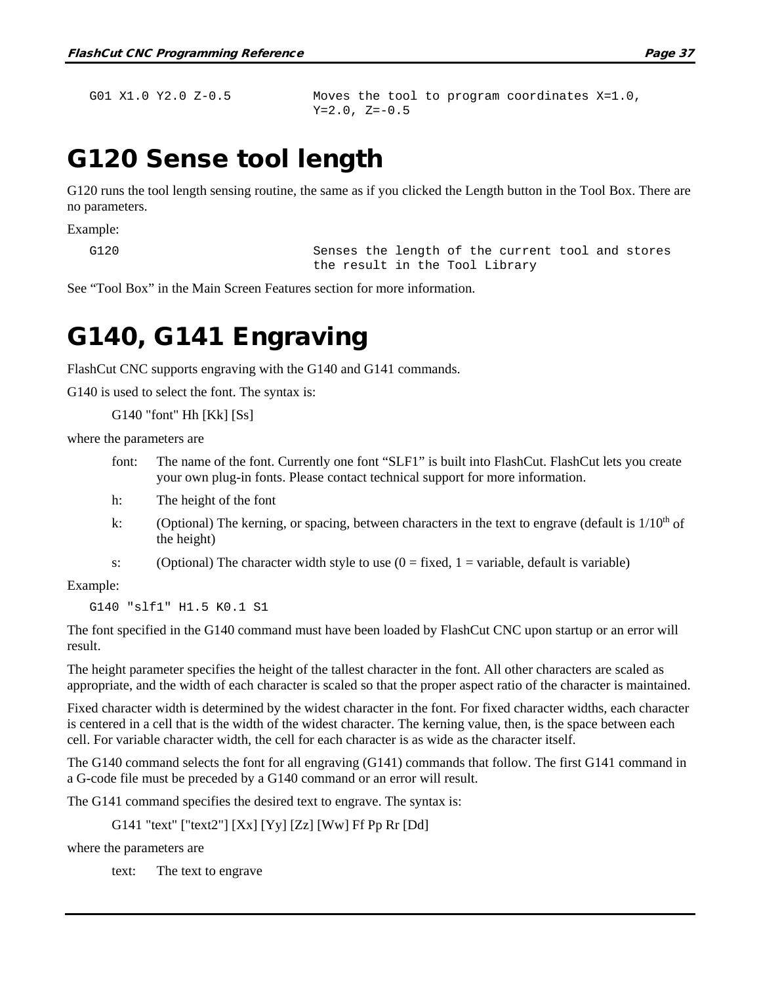G01 X1.0 Y2.0 Z-0.5 Moves the tool to program coordinates X=1.0,  $Y=2.0, Z=-0.5$ 

## G120 Sense tool length

G120 runs the tool length sensing routine, the same as if you clicked the Length button in the Tool Box. There are no parameters.

Example:

G120 Senses the length of the current tool and stores the result in the Tool Library

See "Tool Box" in the Main Screen Features section for more information.

#### G140, G141 Engraving

FlashCut CNC supports engraving with the G140 and G141 commands.

G140 is used to select the font. The syntax is:

G140 "font" Hh [Kk] [Ss]

where the parameters are

- font: The name of the font. Currently one font "SLF1" is built into FlashCut. FlashCut lets you create your own plug-in fonts. Please contact technical support for more information.
- h: The height of the font
- k: (Optional) The kerning, or spacing, between characters in the text to engrave (default is  $1/10^{th}$  of the height)
- s: (Optional) The character width style to use  $(0 = fixed, 1 = variable, default is variable)$

Example:

G140 "slf1" H1.5 K0.1 S1

The font specified in the G140 command must have been loaded by FlashCut CNC upon startup or an error will result.

The height parameter specifies the height of the tallest character in the font. All other characters are scaled as appropriate, and the width of each character is scaled so that the proper aspect ratio of the character is maintained.

Fixed character width is determined by the widest character in the font. For fixed character widths, each character is centered in a cell that is the width of the widest character. The kerning value, then, is the space between each cell. For variable character width, the cell for each character is as wide as the character itself.

The G140 command selects the font for all engraving (G141) commands that follow. The first G141 command in a G-code file must be preceded by a G140 command or an error will result.

The G141 command specifies the desired text to engrave. The syntax is:

G141 "text" ["text2"] [Xx] [Yy] [Zz] [Ww] Ff Pp Rr [Dd]

where the parameters are

text: The text to engrave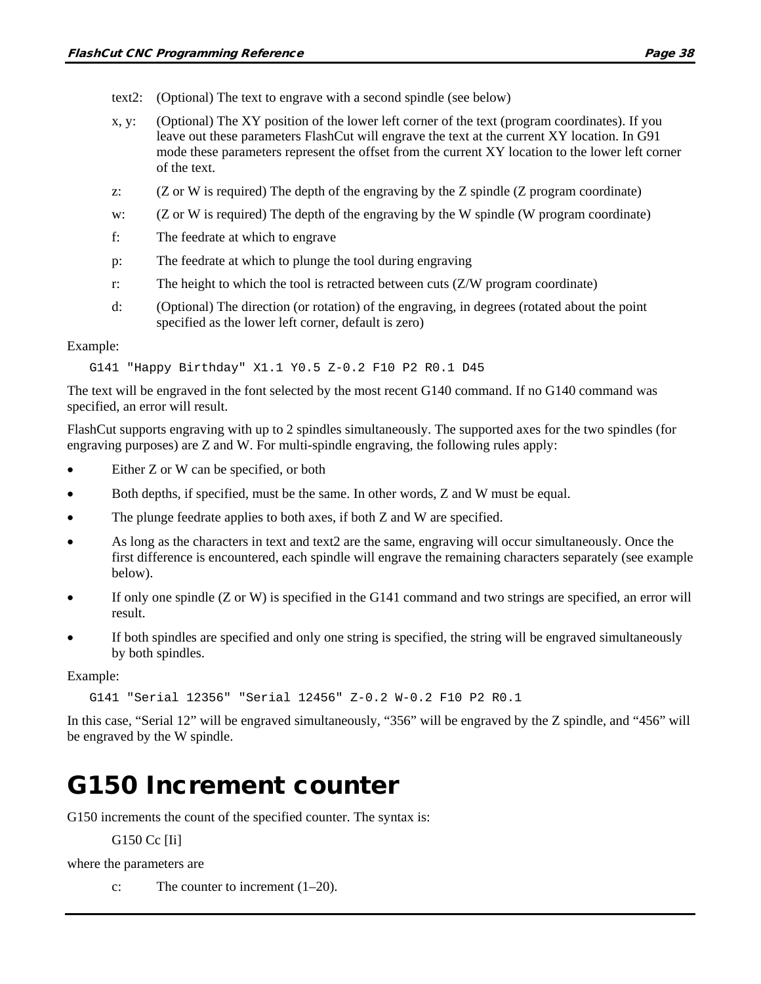- text2: (Optional) The text to engrave with a second spindle (see below)
- x, y: (Optional) The XY position of the lower left corner of the text (program coordinates). If you leave out these parameters FlashCut will engrave the text at the current XY location. In G91 mode these parameters represent the offset from the current XY location to the lower left corner of the text.
- z: (Z or W is required) The depth of the engraving by the Z spindle (Z program coordinate)
- w: (Z or W is required) The depth of the engraving by the W spindle (W program coordinate)
- f: The feedrate at which to engrave
- p: The feedrate at which to plunge the tool during engraving
- r: The height to which the tool is retracted between cuts (Z/W program coordinate)
- d: (Optional) The direction (or rotation) of the engraving, in degrees (rotated about the point specified as the lower left corner, default is zero)

#### Example:

G141 "Happy Birthday" X1.1 Y0.5 Z-0.2 F10 P2 R0.1 D45

The text will be engraved in the font selected by the most recent G140 command. If no G140 command was specified, an error will result.

FlashCut supports engraving with up to 2 spindles simultaneously. The supported axes for the two spindles (for engraving purposes) are Z and W. For multi-spindle engraving, the following rules apply:

- Either Z or W can be specified, or both
- Both depths, if specified, must be the same. In other words, Z and W must be equal.
- The plunge feedrate applies to both axes, if both Z and W are specified.
- As long as the characters in text and text2 are the same, engraving will occur simultaneously. Once the first difference is encountered, each spindle will engrave the remaining characters separately (see example below).
- If only one spindle (Z or W) is specified in the G141 command and two strings are specified, an error will result.
- If both spindles are specified and only one string is specified, the string will be engraved simultaneously by both spindles.

Example:

G141 "Serial 12356" "Serial 12456" Z-0.2 W-0.2 F10 P2 R0.1

In this case, "Serial 12" will be engraved simultaneously, "356" will be engraved by the Z spindle, and "456" will be engraved by the W spindle.

## G150 Increment counter

G150 increments the count of the specified counter. The syntax is:

G150 Cc [Ii]

where the parameters are

c: The counter to increment  $(1-20)$ .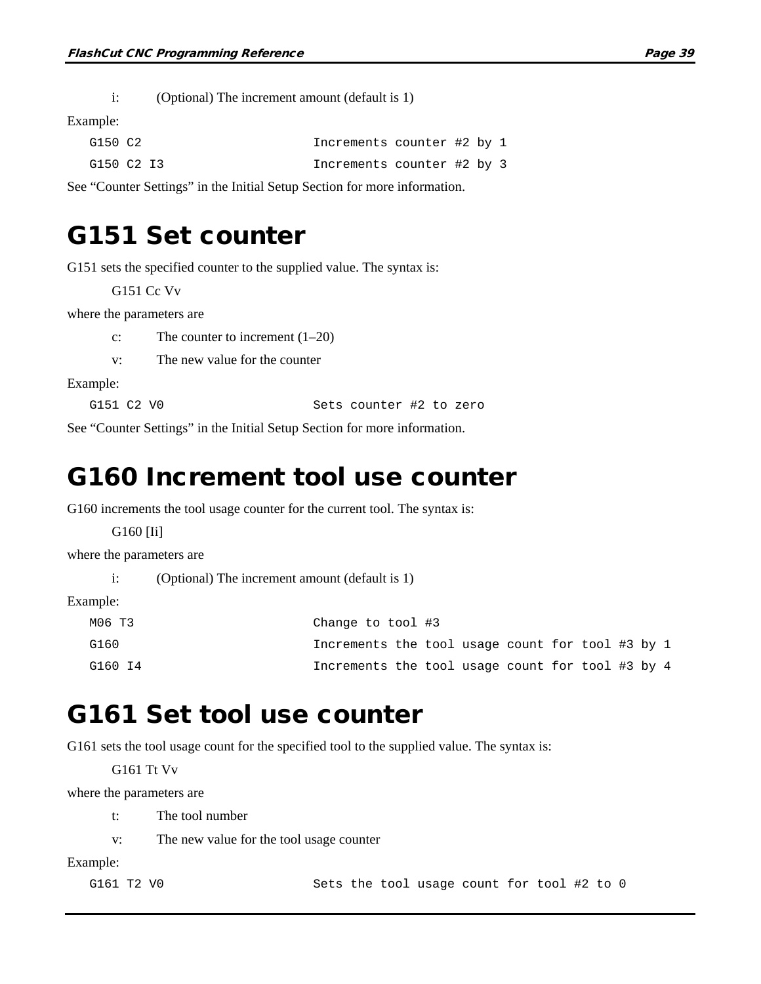i: (Optional) The increment amount (default is 1)

Example:

| G150 C2    | Increments counter #2 by 1 |  |  |
|------------|----------------------------|--|--|
| G150 C2 I3 | Increments counter #2 by 3 |  |  |

See "Counter Settings" in the Initial Setup Section for more information.

#### G151 Set counter

G151 sets the specified counter to the supplied value. The syntax is:

G151 Cc Vv

where the parameters are

c: The counter to increment (1–20)

v: The new value for the counter

Example:

G151 C2 V0 Sets counter #2 to zero

See "Counter Settings" in the Initial Setup Section for more information.

#### G160 Increment tool use counter

G160 increments the tool usage counter for the current tool. The syntax is:

G160 [Ii]

where the parameters are

```
i: (Optional) The increment amount (default is 1)
```
Example:

| МО6 Т3  | Change to tool #3                                |  |  |  |  |  |
|---------|--------------------------------------------------|--|--|--|--|--|
| G160    | Increments the tool usage count for tool #3 by 1 |  |  |  |  |  |
| G160 I4 | Increments the tool usage count for tool #3 by 4 |  |  |  |  |  |

#### G161 Set tool use counter

G161 sets the tool usage count for the specified tool to the supplied value. The syntax is:

G161 Tt Vv

where the parameters are

t: The tool number

v: The new value for the tool usage counter

Example:

G161 T2 V0 Sets the tool usage count for tool #2 to 0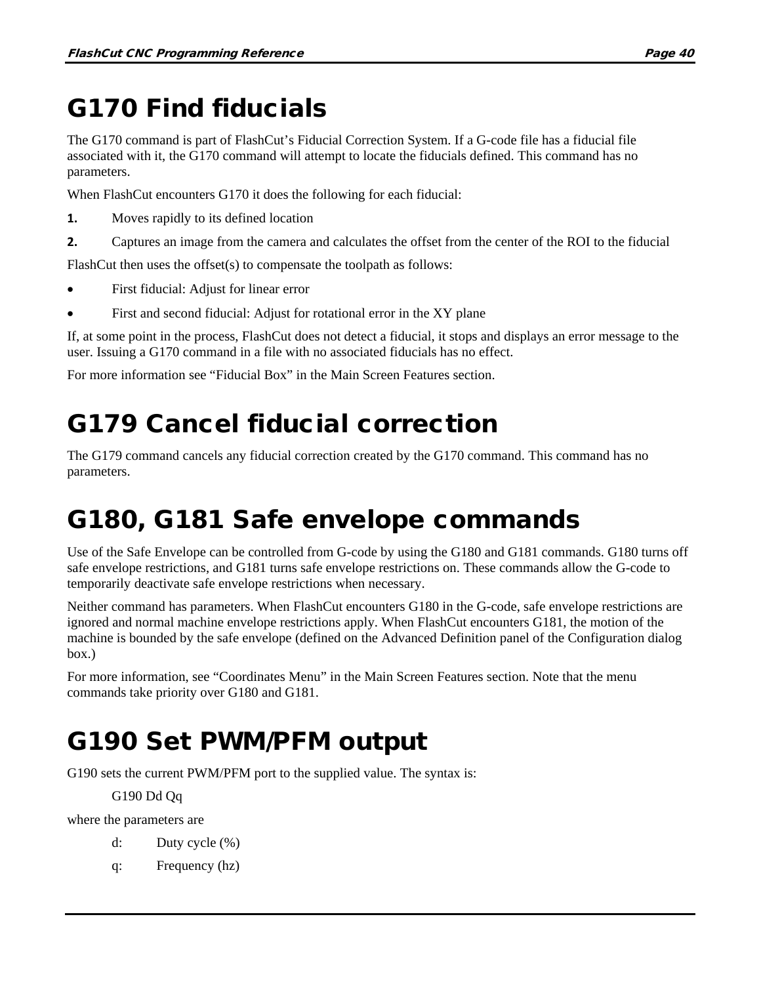# G170 Find fiducials

The G170 command is part of FlashCut's Fiducial Correction System. If a G-code file has a fiducial file associated with it, the G170 command will attempt to locate the fiducials defined. This command has no parameters.

When FlashCut encounters G170 it does the following for each fiducial:

- **1.** Moves rapidly to its defined location
- **2.** Captures an image from the camera and calculates the offset from the center of the ROI to the fiducial

FlashCut then uses the offset(s) to compensate the toolpath as follows:

- First fiducial: Adjust for linear error
- First and second fiducial: Adjust for rotational error in the XY plane

If, at some point in the process, FlashCut does not detect a fiducial, it stops and displays an error message to the user. Issuing a G170 command in a file with no associated fiducials has no effect.

For more information see "Fiducial Box" in the Main Screen Features section.

# G179 Cancel fiducial correction

The G179 command cancels any fiducial correction created by the G170 command. This command has no parameters.

## G180, G181 Safe envelope commands

Use of the Safe Envelope can be controlled from G-code by using the G180 and G181 commands. G180 turns off safe envelope restrictions, and G181 turns safe envelope restrictions on. These commands allow the G-code to temporarily deactivate safe envelope restrictions when necessary.

Neither command has parameters. When FlashCut encounters G180 in the G-code, safe envelope restrictions are ignored and normal machine envelope restrictions apply. When FlashCut encounters G181, the motion of the machine is bounded by the safe envelope (defined on the Advanced Definition panel of the Configuration dialog box.)

For more information, see "Coordinates Menu" in the Main Screen Features section. Note that the menu commands take priority over G180 and G181.

# G190 Set PWM/PFM output

G190 sets the current PWM/PFM port to the supplied value. The syntax is:

#### G190 Dd Qq

where the parameters are

- d: Duty cycle (%)
- q: Frequency (hz)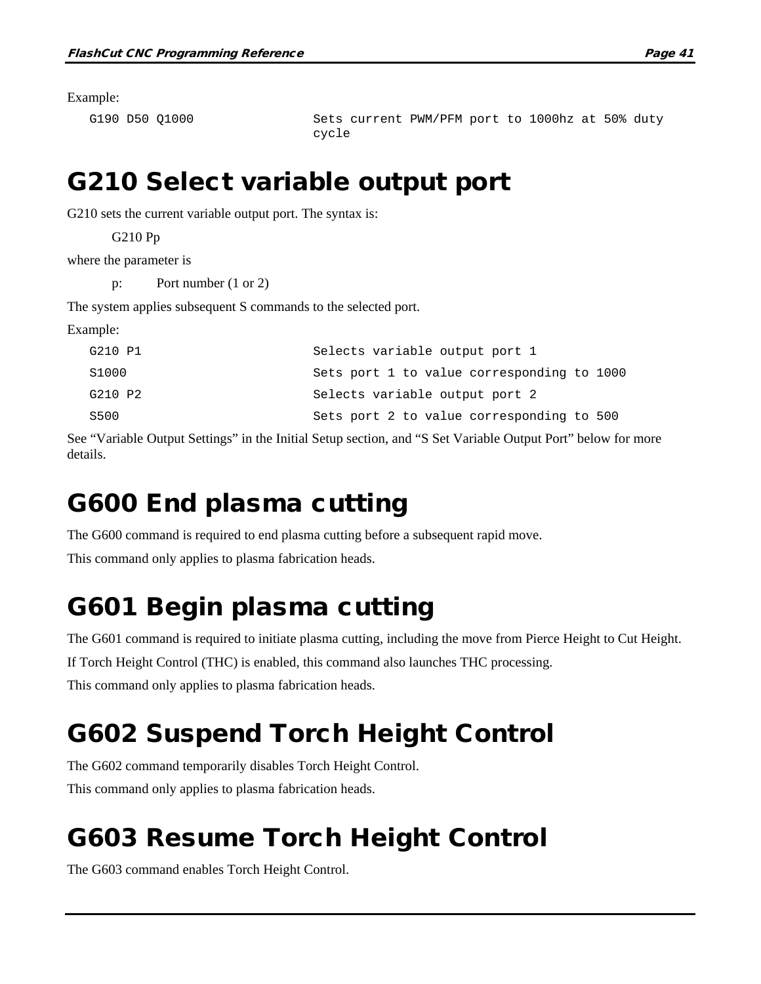Example:

G190 D50 Q1000 Sets current PWM/PFM port to 1000hz at 50% duty cycle

## G210 Select variable output port

G210 sets the current variable output port. The syntax is:

G210 Pp

where the parameter is

p: Port number (1 or 2)

The system applies subsequent S commands to the selected port.

Example:

| G210 P1 | Selects variable output port 1             |
|---------|--------------------------------------------|
| S1000   | Sets port 1 to value corresponding to 1000 |
| G210 P2 | Selects variable output port 2             |
| S500    | Sets port 2 to value corresponding to 500  |

See "Variable Output Settings" in the Initial Setup section, and "S Set Variable Output Port" below for more details.

# G600 End plasma cutting

The G600 command is required to end plasma cutting before a subsequent rapid move.

This command only applies to plasma fabrication heads.

## G601 Begin plasma cutting

The G601 command is required to initiate plasma cutting, including the move from Pierce Height to Cut Height. If Torch Height Control (THC) is enabled, this command also launches THC processing. This command only applies to plasma fabrication heads.

# G602 Suspend Torch Height Control

The G602 command temporarily disables Torch Height Control. This command only applies to plasma fabrication heads.

# G603 Resume Torch Height Control

The G603 command enables Torch Height Control.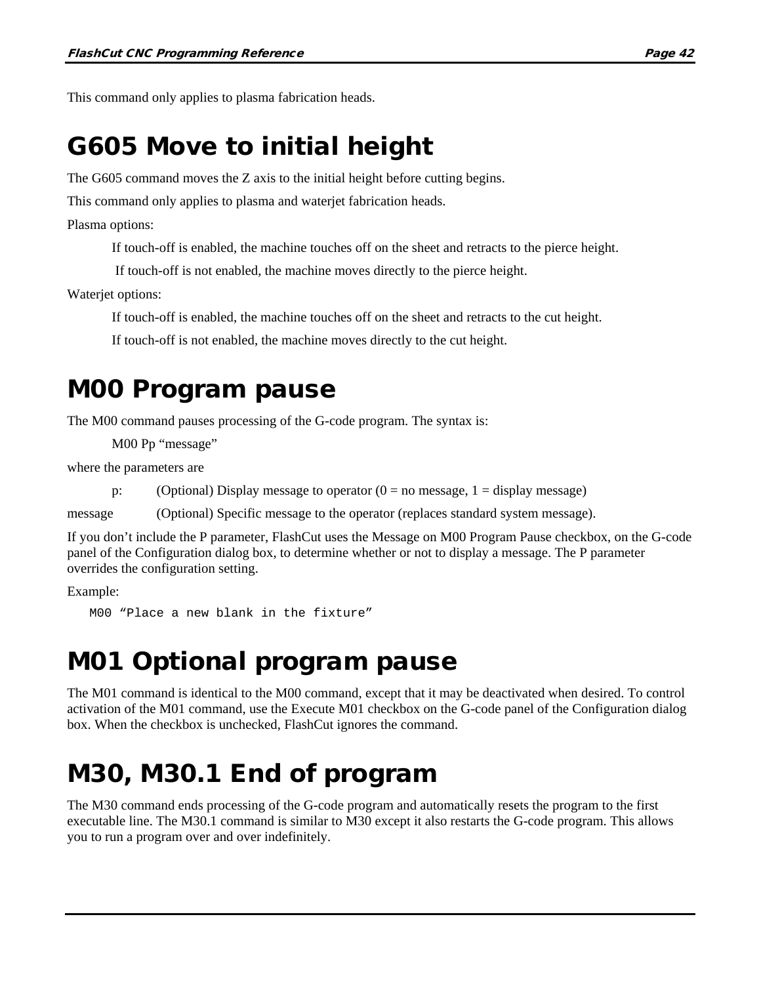This command only applies to plasma fabrication heads.

## G605 Move to initial height

The G605 command moves the Z axis to the initial height before cutting begins.

This command only applies to plasma and waterjet fabrication heads.

Plasma options:

If touch-off is enabled, the machine touches off on the sheet and retracts to the pierce height.

If touch-off is not enabled, the machine moves directly to the pierce height.

Waterjet options:

If touch-off is enabled, the machine touches off on the sheet and retracts to the cut height.

If touch-off is not enabled, the machine moves directly to the cut height.

#### M00 Program pause

The M00 command pauses processing of the G-code program. The syntax is:

M00 Pp "message"

where the parameters are

p: (Optional) Display message to operator  $(0 = no message, 1 = display)$  message)

message (Optional) Specific message to the operator (replaces standard system message).

If you don't include the P parameter, FlashCut uses the Message on M00 Program Pause checkbox, on the G-code panel of the Configuration dialog box, to determine whether or not to display a message. The P parameter overrides the configuration setting.

Example:

M00 "Place a new blank in the fixture"

### M01 Optional program pause

The M01 command is identical to the M00 command, except that it may be deactivated when desired. To control activation of the M01 command, use the Execute M01 checkbox on the G-code panel of the Configuration dialog box. When the checkbox is unchecked, FlashCut ignores the command.

## M30, M30.1 End of program

The M30 command ends processing of the G-code program and automatically resets the program to the first executable line. The M30.1 command is similar to M30 except it also restarts the G-code program. This allows you to run a program over and over indefinitely.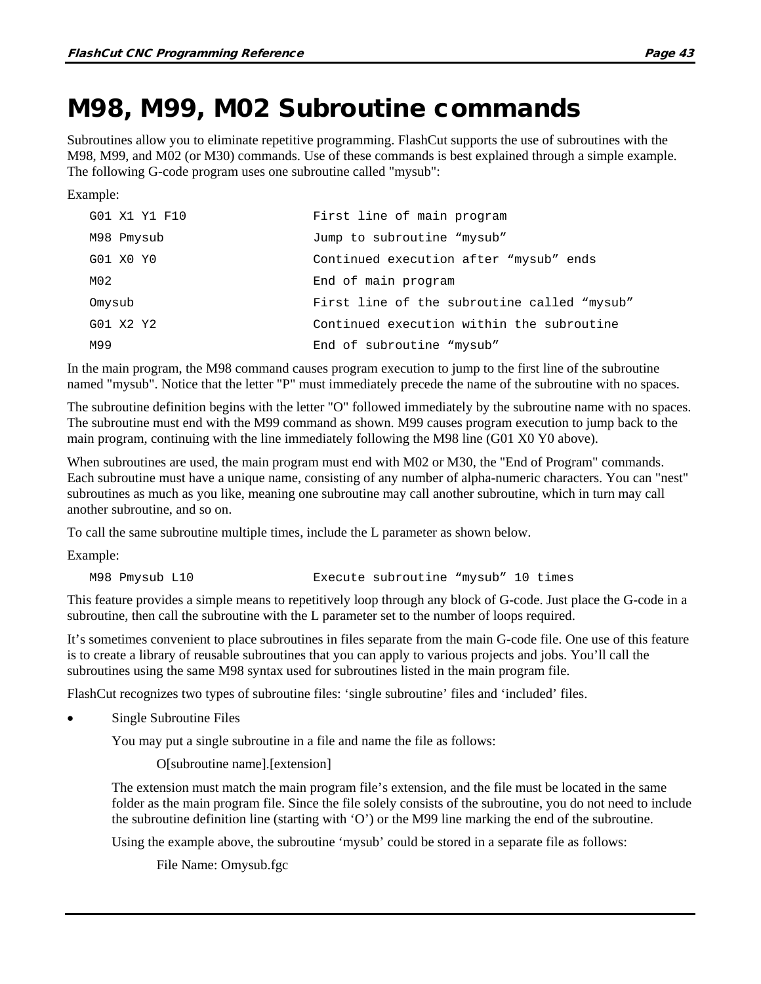### M98, M99, M02 Subroutine commands

Subroutines allow you to eliminate repetitive programming. FlashCut supports the use of subroutines with the M98, M99, and M02 (or M30) commands. Use of these commands is best explained through a simple example. The following G-code program uses one subroutine called "mysub":

Example:

| G01 X1 Y1 F10 | First line of main program                  |
|---------------|---------------------------------------------|
| M98 Pmysub    | Jump to subroutine "mysub"                  |
| G01 X0 Y0     | Continued execution after "mysub" ends      |
| M02           | End of main program                         |
| Omysub        | First line of the subroutine called "mysub" |
| G01 X2 Y2     | Continued execution within the subroutine   |
| M99           | End of subroutine "mysub"                   |

In the main program, the M98 command causes program execution to jump to the first line of the subroutine named "mysub". Notice that the letter "P" must immediately precede the name of the subroutine with no spaces.

The subroutine definition begins with the letter "O" followed immediately by the subroutine name with no spaces. The subroutine must end with the M99 command as shown. M99 causes program execution to jump back to the main program, continuing with the line immediately following the M98 line (G01 X0 Y0 above).

When subroutines are used, the main program must end with M02 or M30, the "End of Program" commands. Each subroutine must have a unique name, consisting of any number of alpha-numeric characters. You can "nest" subroutines as much as you like, meaning one subroutine may call another subroutine, which in turn may call another subroutine, and so on.

To call the same subroutine multiple times, include the L parameter as shown below.

Example:

M98 Pmysub L10 Execute subroutine "mysub" 10 times

This feature provides a simple means to repetitively loop through any block of G-code. Just place the G-code in a subroutine, then call the subroutine with the L parameter set to the number of loops required.

It's sometimes convenient to place subroutines in files separate from the main G-code file. One use of this feature is to create a library of reusable subroutines that you can apply to various projects and jobs. You'll call the subroutines using the same M98 syntax used for subroutines listed in the main program file.

FlashCut recognizes two types of subroutine files: 'single subroutine' files and 'included' files.

Single Subroutine Files

You may put a single subroutine in a file and name the file as follows:

O[subroutine name].[extension]

The extension must match the main program file's extension, and the file must be located in the same folder as the main program file. Since the file solely consists of the subroutine, you do not need to include the subroutine definition line (starting with 'O') or the M99 line marking the end of the subroutine.

Using the example above, the subroutine 'mysub' could be stored in a separate file as follows:

File Name: Omysub.fgc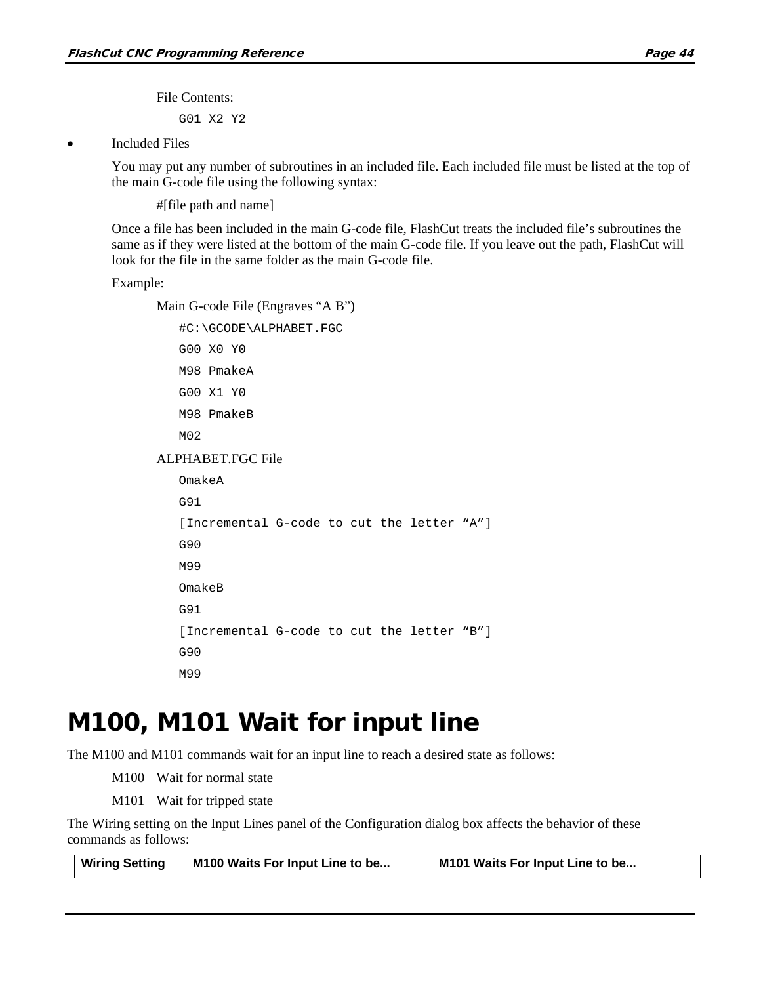File Contents:

G01 X2 Y2

**Included Files** 

You may put any number of subroutines in an included file. Each included file must be listed at the top of the main G-code file using the following syntax:

#[file path and name]

Once a file has been included in the main G-code file, FlashCut treats the included file's subroutines the same as if they were listed at the bottom of the main G-code file. If you leave out the path, FlashCut will look for the file in the same folder as the main G-code file.

Example:

Main G-code File (Engraves "A B")

#C:\GCODE\ALPHABET.FGC

G00 X0 Y0 M98 PmakeA G00 X1 Y0 M98 PmakeB M02 ALPHABET.FGC File OmakeA G91 [Incremental G-code to cut the letter "A"] G90 M99 OmakeB G91 [Incremental G-code to cut the letter "B"] G90 M99

#### M100, M101 Wait for input line

The M100 and M101 commands wait for an input line to reach a desired state as follows:

M100 Wait for normal state

M101 Wait for tripped state

The Wiring setting on the Input Lines panel of the Configuration dialog box affects the behavior of these commands as follows:

| <b>Wiring Setting</b><br>M100 Waits For Input Line to be<br>M101 Waits For Input Line to be |
|---------------------------------------------------------------------------------------------|
|---------------------------------------------------------------------------------------------|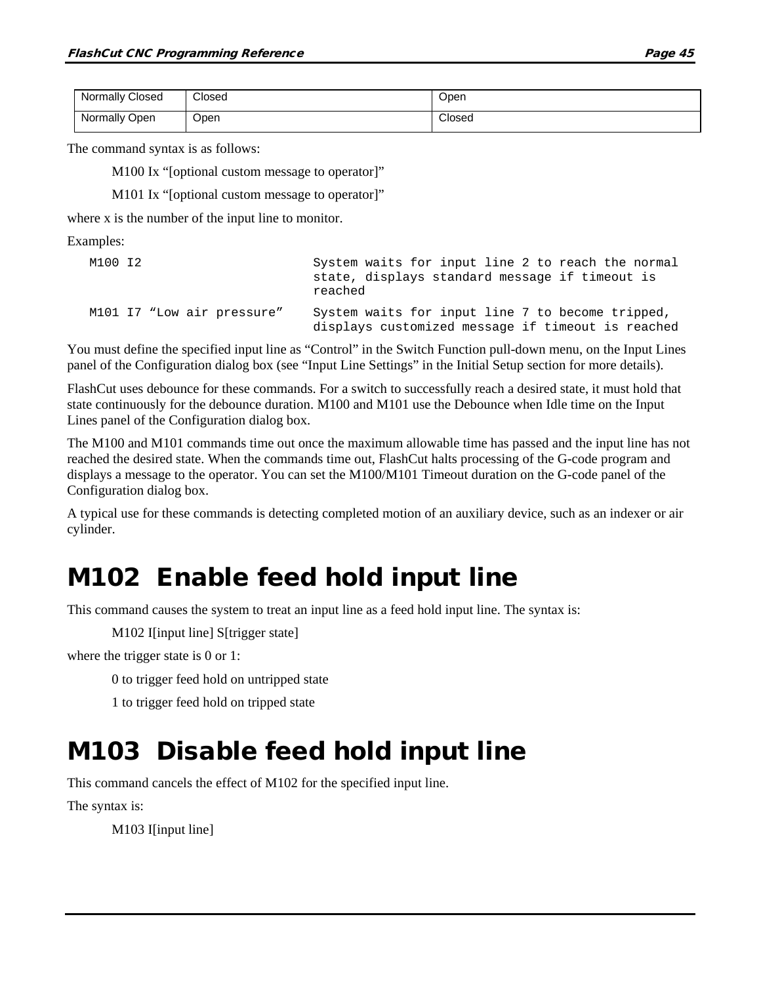| <b>Normally Closed</b> | Closed | Open   |
|------------------------|--------|--------|
| Normally Open          | Open   | Closed |

The command syntax is as follows:

M100 Ix "[optional custom message to operator]"

M101 Ix "[optional custom message to operator]"

where x is the number of the input line to monitor.

Examples:

| M100 I2 |                            | System waits for input line 2 to reach the normal<br>state, displays standard message if timeout is<br>reached |
|---------|----------------------------|----------------------------------------------------------------------------------------------------------------|
|         | M101 I7 "Low air pressure" | System waits for input line 7 to become tripped,<br>displays customized message if timeout is reached          |

You must define the specified input line as "Control" in the Switch Function pull-down menu, on the Input Lines panel of the Configuration dialog box (see "Input Line Settings" in the Initial Setup section for more details).

FlashCut uses debounce for these commands. For a switch to successfully reach a desired state, it must hold that state continuously for the debounce duration. M100 and M101 use the Debounce when Idle time on the Input Lines panel of the Configuration dialog box.

The M100 and M101 commands time out once the maximum allowable time has passed and the input line has not reached the desired state. When the commands time out, FlashCut halts processing of the G-code program and displays a message to the operator. You can set the M100/M101 Timeout duration on the G-code panel of the Configuration dialog box.

A typical use for these commands is detecting completed motion of an auxiliary device, such as an indexer or air cylinder.

### M102 Enable feed hold input line

This command causes the system to treat an input line as a feed hold input line. The syntax is:

M102 I[input line] S[trigger state]

where the trigger state is 0 or 1:

0 to trigger feed hold on untripped state

1 to trigger feed hold on tripped state

#### M103 Disable feed hold input line

This command cancels the effect of M102 for the specified input line.

The syntax is:

M103 I[input line]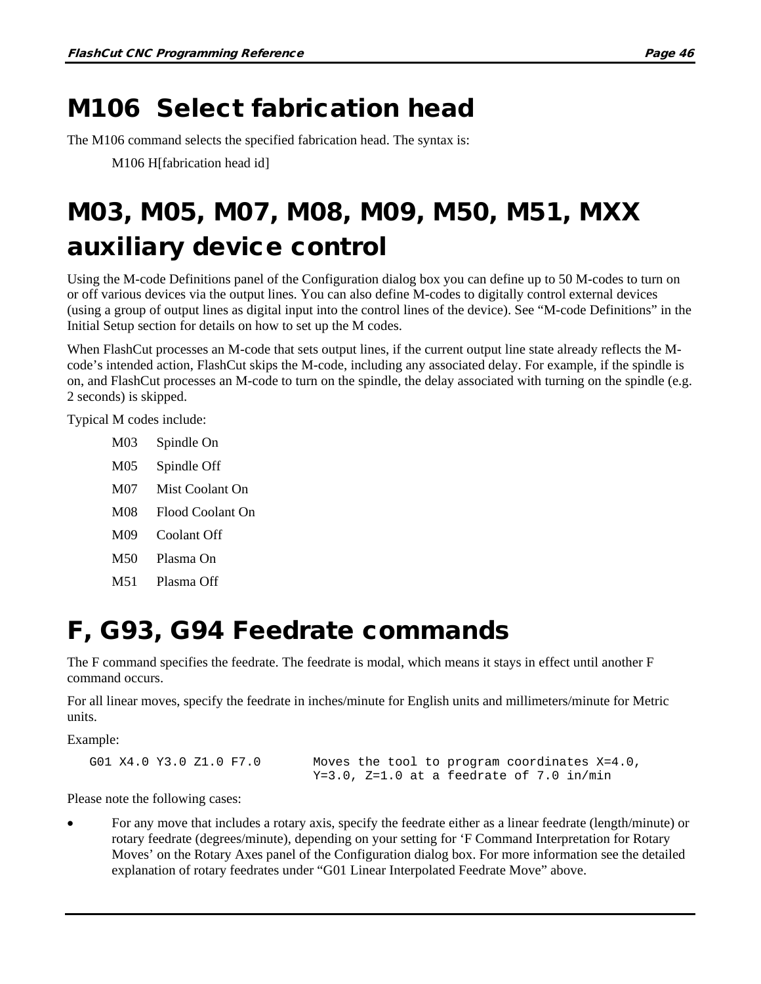## M106 Select fabrication head

The M106 command selects the specified fabrication head. The syntax is:

M106 H[fabrication head id]

# M03, M05, M07, M08, M09, M50, M51, MXX auxiliary device control

Using the M-code Definitions panel of the Configuration dialog box you can define up to 50 M-codes to turn on or off various devices via the output lines. You can also define M-codes to digitally control external devices (using a group of output lines as digital input into the control lines of the device). See "M-code Definitions" in the Initial Setup section for details on how to set up the M codes.

When FlashCut processes an M-code that sets output lines, if the current output line state already reflects the Mcode's intended action, FlashCut skips the M-code, including any associated delay. For example, if the spindle is on, and FlashCut processes an M-code to turn on the spindle, the delay associated with turning on the spindle (e.g. 2 seconds) is skipped.

Typical M codes include:

- M03 Spindle On
- M05 Spindle Off
- M07 Mist Coolant On
- M08 Flood Coolant On
- M09 Coolant Off
- M50 Plasma On
- M51 Plasma Off

## F, G93, G94 Feedrate commands

The F command specifies the feedrate. The feedrate is modal, which means it stays in effect until another F command occurs.

For all linear moves, specify the feedrate in inches/minute for English units and millimeters/minute for Metric units.

Example:

G01 X4.0 Y3.0 Z1.0 F7.0 Moves the tool to program coordinates X=4.0, Y=3.0, Z=1.0 at a feedrate of 7.0 in/min

Please note the following cases:

• For any move that includes a rotary axis, specify the feedrate either as a linear feedrate (length/minute) or rotary feedrate (degrees/minute), depending on your setting for 'F Command Interpretation for Rotary Moves' on the Rotary Axes panel of the Configuration dialog box. For more information see the detailed explanation of rotary feedrates under "G01 Linear Interpolated Feedrate Move" above.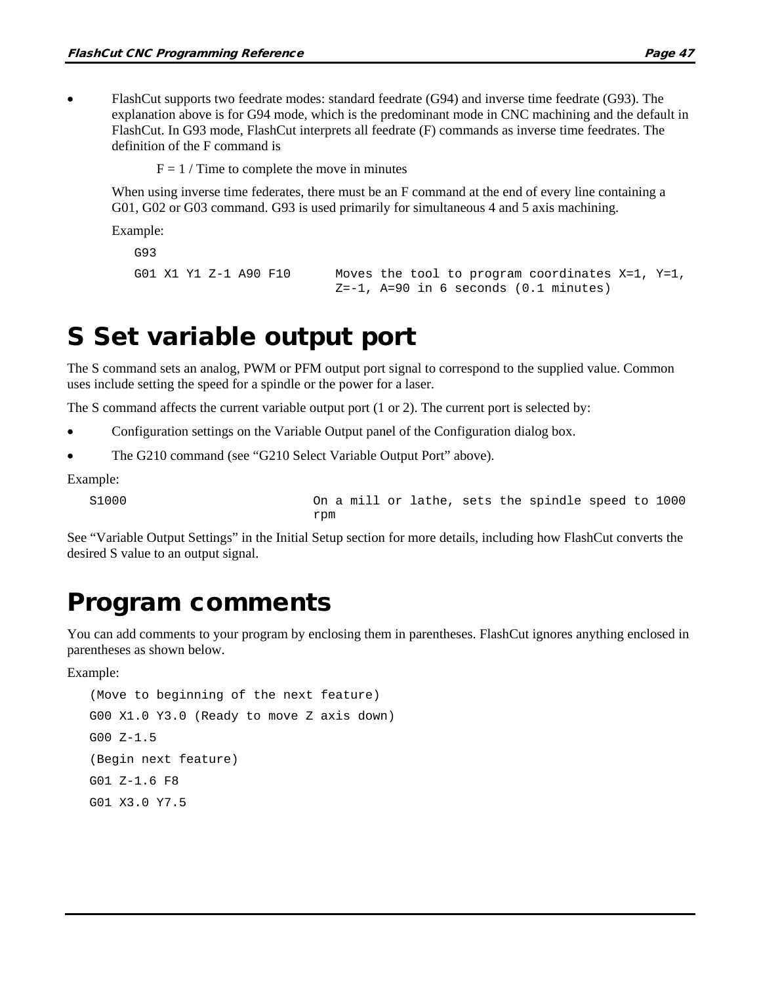• FlashCut supports two feedrate modes: standard feedrate (G94) and inverse time feedrate (G93). The explanation above is for G94 mode, which is the predominant mode in CNC machining and the default in FlashCut. In G93 mode, FlashCut interprets all feedrate (F) commands as inverse time feedrates. The definition of the F command is

 $F = 1 /$  Time to complete the move in minutes

When using inverse time federates, there must be an F command at the end of every line containing a G01, G02 or G03 command. G93 is used primarily for simultaneous 4 and 5 axis machining.

Example:

```
G93
```

```
G01 X1 Y1 Z-1 A90 F10 Moves the tool to program coordinates X=1, Y=1,
                          Z=-1, A=90 in 6 seconds (0.1 minutes)
```
### S Set variable output port

The S command sets an analog, PWM or PFM output port signal to correspond to the supplied value. Common uses include setting the speed for a spindle or the power for a laser.

The S command affects the current variable output port (1 or 2). The current port is selected by:

- Configuration settings on the Variable Output panel of the Configuration dialog box.
- The G210 command (see "G210 Select Variable Output Port" above).

Example:

S1000 On a mill or lathe, sets the spindle speed to 1000 rpm

See "Variable Output Settings" in the Initial Setup section for more details, including how FlashCut converts the desired S value to an output signal.

#### Program comments

You can add comments to your program by enclosing them in parentheses. FlashCut ignores anything enclosed in parentheses as shown below.

Example:

```
(Move to beginning of the next feature)
G00 X1.0 Y3.0 (Ready to move Z axis down)
G00 Z-1.5
(Begin next feature)
G01 Z-1.6 F8
G01 X3.0 Y7.5
```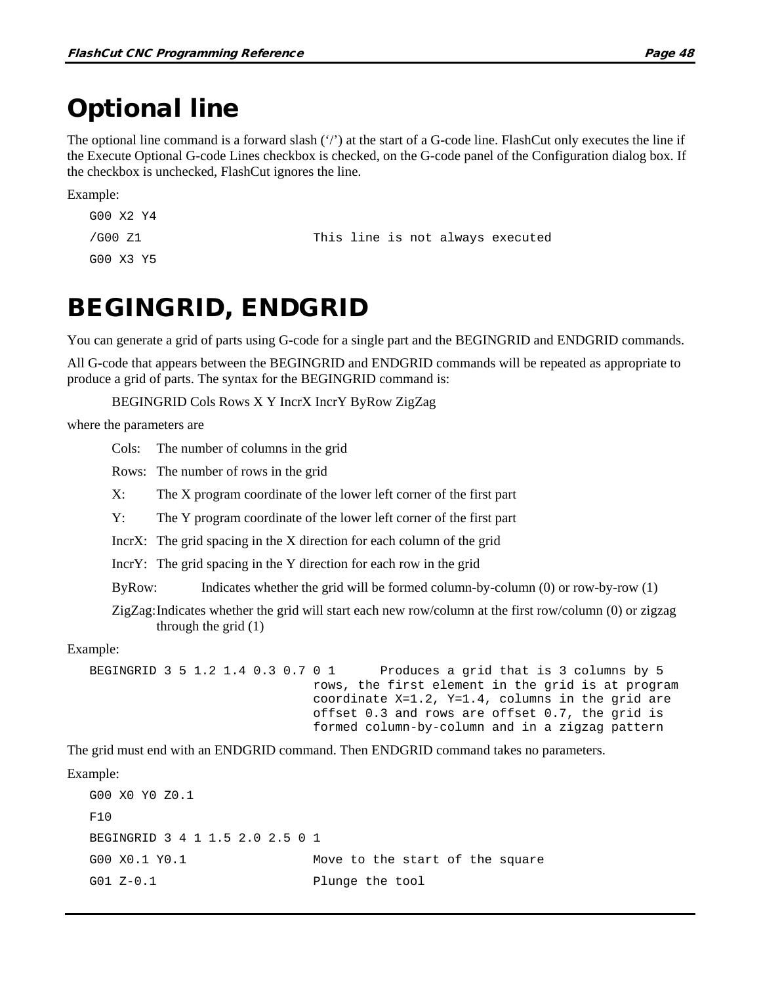#### Optional line

The optional line command is a forward slash ('/') at the start of a G-code line. FlashCut only executes the line if the Execute Optional G-code Lines checkbox is checked, on the G-code panel of the Configuration dialog box. If the checkbox is unchecked, FlashCut ignores the line.

Example:

```
G00 X2 Y4
/G00 Z1 This line is not always executed
G00 X3 Y5
```
### BEGINGRID, ENDGRID

You can generate a grid of parts using G-code for a single part and the BEGINGRID and ENDGRID commands.

All G-code that appears between the BEGINGRID and ENDGRID commands will be repeated as appropriate to produce a grid of parts. The syntax for the BEGINGRID command is:

BEGINGRID Cols Rows X Y IncrX IncrY ByRow ZigZag

where the parameters are

Cols: The number of columns in the grid

Rows: The number of rows in the grid

X: The X program coordinate of the lower left corner of the first part

Y: The Y program coordinate of the lower left corner of the first part

IncrX: The grid spacing in the X direction for each column of the grid

IncrY: The grid spacing in the Y direction for each row in the grid

ByRow: Indicates whether the grid will be formed column-by-column (0) or row-by-row (1)

ZigZag:Indicates whether the grid will start each new row/column at the first row/column (0) or zigzag through the grid (1)

#### Example:

BEGINGRID 3 5 1.2 1.4 0.3 0.7 0 1 Produces a grid that is 3 columns by 5 rows, the first element in the grid is at program coordinate X=1.2, Y=1.4, columns in the grid are offset 0.3 and rows are offset 0.7, the grid is formed column-by-column and in a zigzag pattern

The grid must end with an ENDGRID command. Then ENDGRID command takes no parameters.

Example:

G00 X0 Y0 Z0.1  $F10$ BEGINGRID 3 4 1 1.5 2.0 2.5 0 1 G00 X0.1 Y0.1 Move to the start of the square G01 Z-0.1 Plunge the tool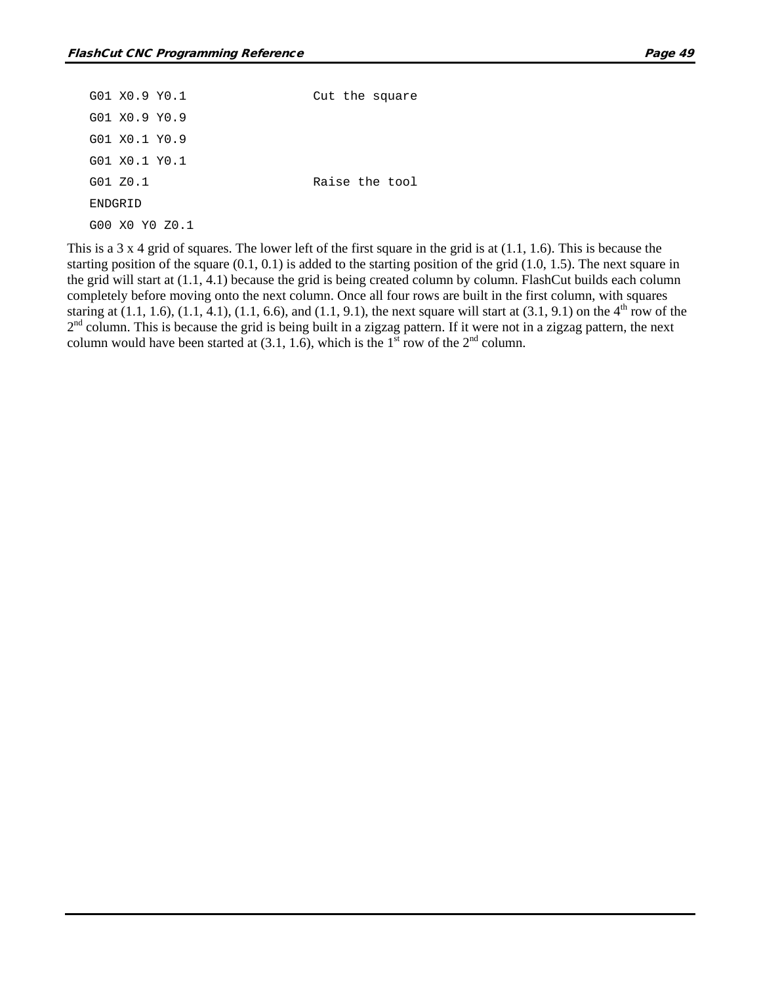| G01 X0.9 Y0.1  | Cut the square |
|----------------|----------------|
| G01 X0.9 Y0.9  |                |
| G01 X0.1 Y0.9  |                |
| G01 X0.1 Y0.1  |                |
| G01 Z0.1       | Raise the tool |
| ENDGRID        |                |
| G00 X0 Y0 Z0.1 |                |

This is a 3 x 4 grid of squares. The lower left of the first square in the grid is at  $(1.1, 1.6)$ . This is because the starting position of the square  $(0.1, 0.1)$  is added to the starting position of the grid  $(1.0, 1.5)$ . The next square in the grid will start at (1.1, 4.1) because the grid is being created column by column. FlashCut builds each column completely before moving onto the next column. Once all four rows are built in the first column, with squares staring at  $(1.1, 1.6)$ ,  $(1.1, 4.1)$ ,  $(1.1, 6.6)$ , and  $(1.1, 9.1)$ , the next square will start at  $(3.1, 9.1)$  on the 4<sup>th</sup> row of the  $2<sup>nd</sup>$  column. This is because the grid is being built in a zigzag pattern. If it were not in a zigzag pattern, the next column would have been started at  $(3.1, 1.6)$ , which is the 1<sup>st</sup> row of the 2<sup>nd</sup> column.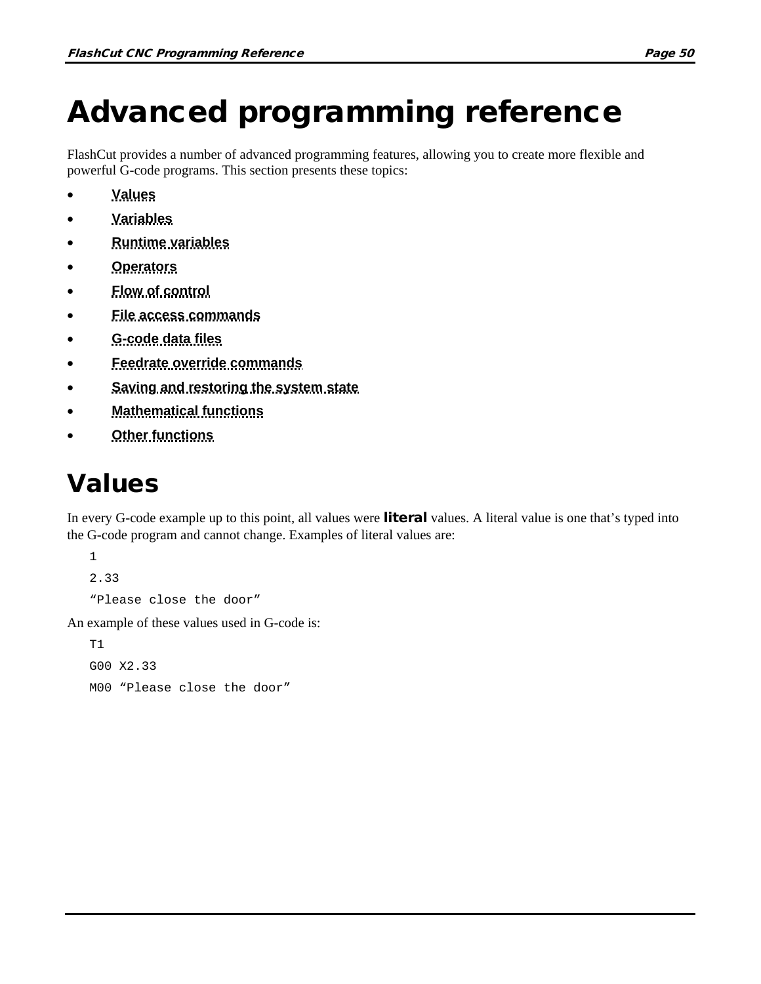# Advanced programming reference

FlashCut provides a number of advanced programming features, allowing you to create more flexible and powerful G-code programs. This section presents these topics:

- **[Values](#page-67-0)**
- **[Variables](#page-68-0)**
- **[Runtime variables](#page-74-0)**
- **[Operators](#page-76-0)**
- **[Flow of control](#page-79-0)**
- **[File access commands](#page-83-0)**
- **[G-code data files](#page-85-0)**
- **[Feedrate override commands](#page-87-0)**
- **[Saving and restoring the system state](#page-88-0)**
- **[Mathematical functions](#page-90-0)**
- **[Other functions](#page-94-0)**

### <span id="page-67-0"></span>Values

In every G-code example up to this point, all values were literal values. A literal value is one that's typed into the G-code program and cannot change. Examples of literal values are:

1 2.33 "Please close the door"

An example of these values used in G-code is:

 $T1$ G00 X2.33 M00 "Please close the door"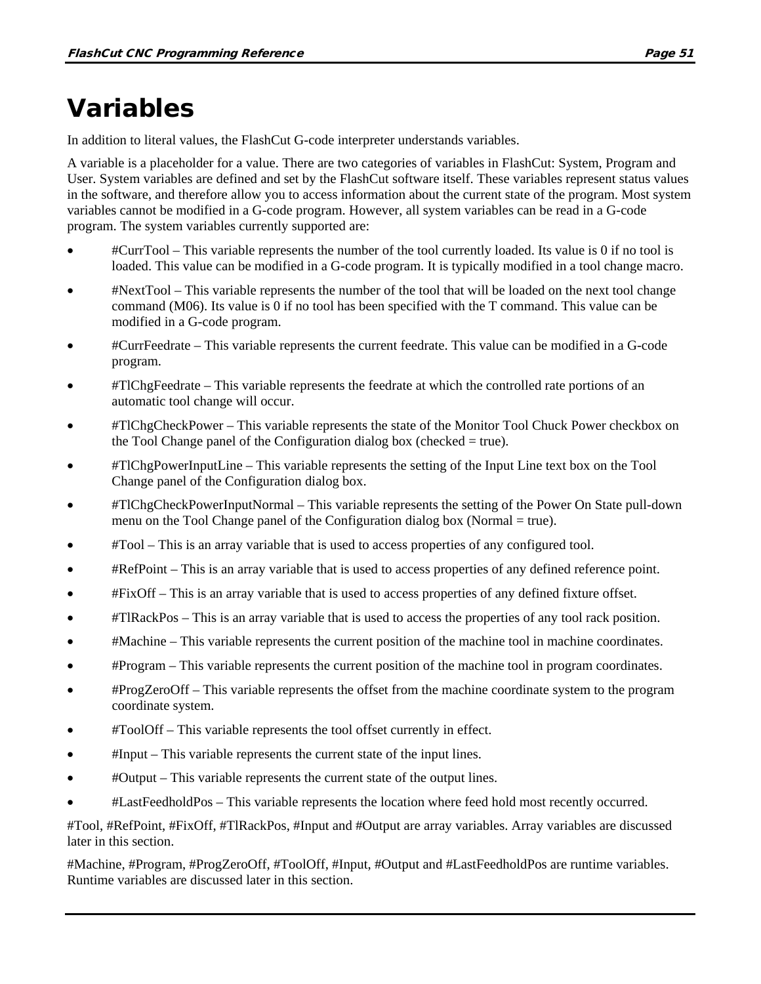## <span id="page-68-0"></span>Variables

In addition to literal values, the FlashCut G-code interpreter understands variables.

A variable is a placeholder for a value. There are two categories of variables in FlashCut: System, Program and User. System variables are defined and set by the FlashCut software itself. These variables represent status values in the software, and therefore allow you to access information about the current state of the program. Most system variables cannot be modified in a G-code program. However, all system variables can be read in a G-code program. The system variables currently supported are:

- #CurrTool This variable represents the number of the tool currently loaded. Its value is 0 if no tool is loaded. This value can be modified in a G-code program. It is typically modified in a tool change macro.
- #NextTool This variable represents the number of the tool that will be loaded on the next tool change command (M06). Its value is 0 if no tool has been specified with the T command. This value can be modified in a G-code program.
- #CurrFeedrate This variable represents the current feedrate. This value can be modified in a G-code program.
- #TlChgFeedrate This variable represents the feedrate at which the controlled rate portions of an automatic tool change will occur.
- #TlChgCheckPower This variable represents the state of the Monitor Tool Chuck Power checkbox on the Tool Change panel of the Configuration dialog box (checked  $=$  true).
- #TlChgPowerInputLine This variable represents the setting of the Input Line text box on the Tool Change panel of the Configuration dialog box.
- #TlChgCheckPowerInputNormal This variable represents the setting of the Power On State pull-down menu on the Tool Change panel of the Configuration dialog box (Normal = true).
- #Tool This is an array variable that is used to access properties of any configured tool.
- #RefPoint This is an array variable that is used to access properties of any defined reference point.
- #FixOff This is an array variable that is used to access properties of any defined fixture offset.
- #TlRackPos This is an array variable that is used to access the properties of any tool rack position.
- #Machine This variable represents the current position of the machine tool in machine coordinates.
- #Program This variable represents the current position of the machine tool in program coordinates.
- #ProgZeroOff This variable represents the offset from the machine coordinate system to the program coordinate system.
- #ToolOff This variable represents the tool offset currently in effect.
- #Input This variable represents the current state of the input lines.
- #Output This variable represents the current state of the output lines.
- #LastFeedholdPos This variable represents the location where feed hold most recently occurred.

#Tool, #RefPoint, #FixOff, #TlRackPos, #Input and #Output are array variables. Array variables are discussed later in this section.

#Machine, #Program, #ProgZeroOff, #ToolOff, #Input, #Output and #LastFeedholdPos are runtime variables. Runtime variables are discussed later in this section.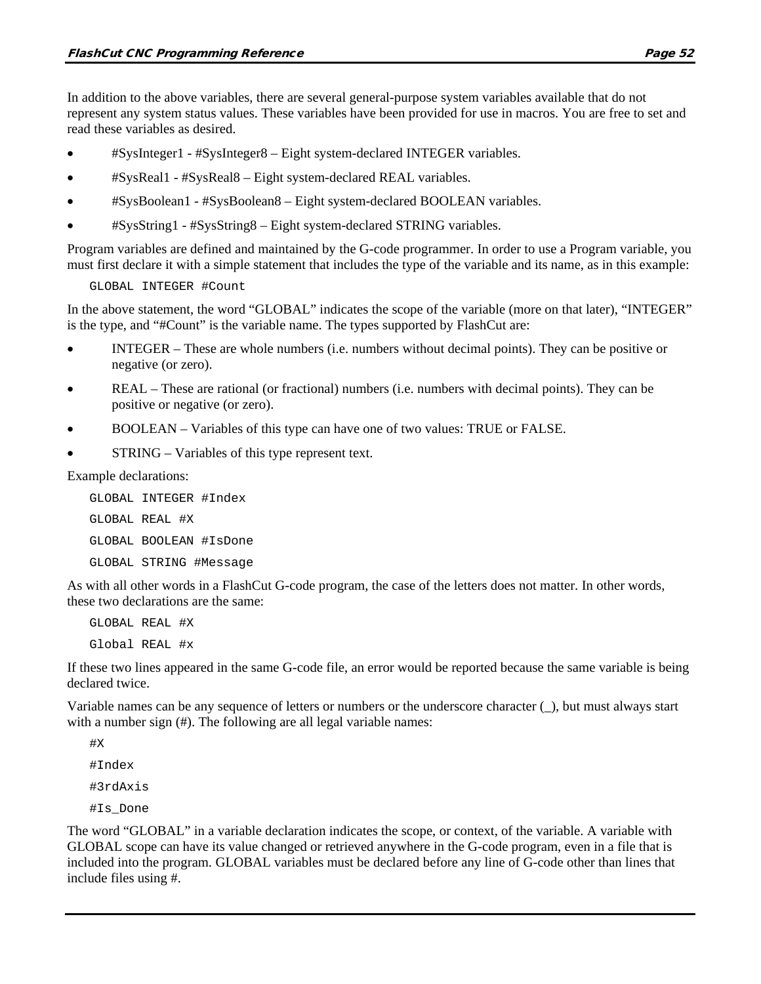In addition to the above variables, there are several general-purpose system variables available that do not represent any system status values. These variables have been provided for use in macros. You are free to set and read these variables as desired.

- #SysInteger1 #SysInteger8 Eight system-declared INTEGER variables.
- #SysReal1 #SysReal8 Eight system-declared REAL variables.
- #SysBoolean1 #SysBoolean8 Eight system-declared BOOLEAN variables.
- #SysString1 #SysString8 Eight system-declared STRING variables.

Program variables are defined and maintained by the G-code programmer. In order to use a Program variable, you must first declare it with a simple statement that includes the type of the variable and its name, as in this example:

GLOBAL INTEGER #Count

In the above statement, the word "GLOBAL" indicates the scope of the variable (more on that later), "INTEGER" is the type, and "#Count" is the variable name. The types supported by FlashCut are:

- INTEGER These are whole numbers (i.e. numbers without decimal points). They can be positive or negative (or zero).
- REAL These are rational (or fractional) numbers (i.e. numbers with decimal points). They can be positive or negative (or zero).
- BOOLEAN Variables of this type can have one of two values: TRUE or FALSE.
- STRING Variables of this type represent text.

Example declarations:

GLOBAL INTEGER #Index GLOBAL REAL #X GLOBAL BOOLEAN #IsDone GLOBAL STRING #Message

As with all other words in a FlashCut G-code program, the case of the letters does not matter. In other words, these two declarations are the same:

GLOBAL REAL #X Global REAL #x

If these two lines appeared in the same G-code file, an error would be reported because the same variable is being declared twice.

Variable names can be any sequence of letters or numbers or the underscore character (\_), but must always start with a number sign  $(\#)$ . The following are all legal variable names:

#X #Index #3rdAxis #Is\_Done

The word "GLOBAL" in a variable declaration indicates the scope, or context, of the variable. A variable with GLOBAL scope can have its value changed or retrieved anywhere in the G-code program, even in a file that is included into the program. GLOBAL variables must be declared before any line of G-code other than lines that include files using #.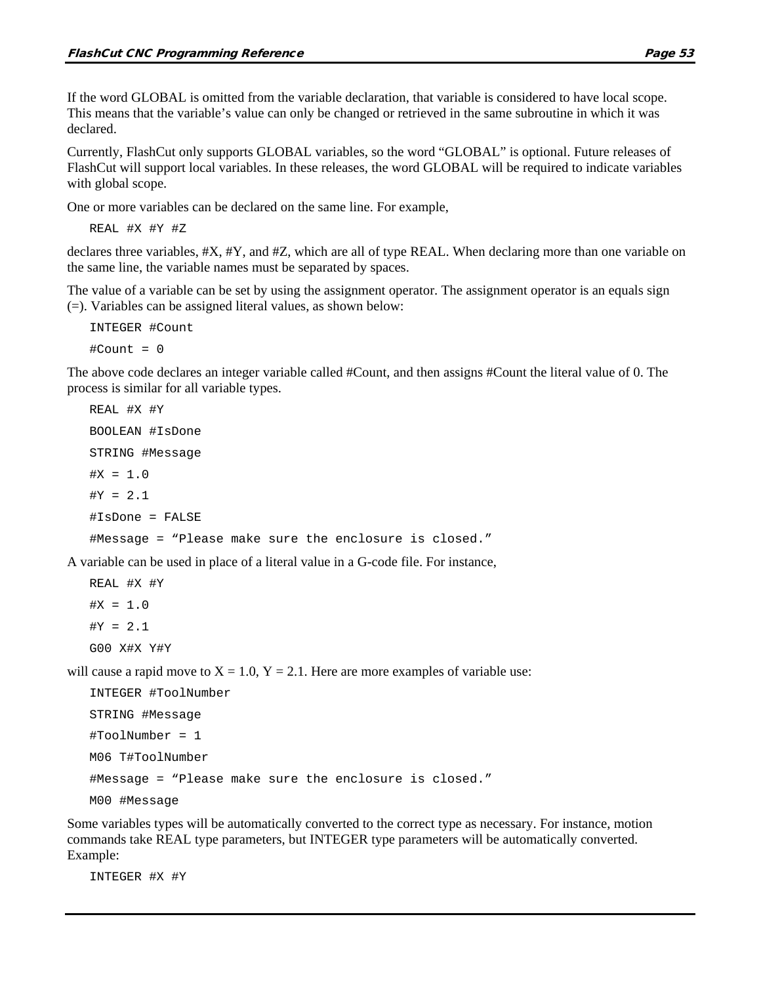If the word GLOBAL is omitted from the variable declaration, that variable is considered to have local scope. This means that the variable's value can only be changed or retrieved in the same subroutine in which it was declared.

Currently, FlashCut only supports GLOBAL variables, so the word "GLOBAL" is optional. Future releases of FlashCut will support local variables. In these releases, the word GLOBAL will be required to indicate variables with global scope.

One or more variables can be declared on the same line. For example,

REAL #X #Y #Z

declares three variables, #X, #Y, and #Z, which are all of type REAL. When declaring more than one variable on the same line, the variable names must be separated by spaces.

The value of a variable can be set by using the assignment operator. The assignment operator is an equals sign (=). Variables can be assigned literal values, as shown below:

INTEGER #Count  $#Count = 0$ 

The above code declares an integer variable called #Count, and then assigns #Count the literal value of 0. The process is similar for all variable types.

```
REAL #X #Y
BOOLEAN #IsDone
STRING #Message
#X = 1.0#Y = 2.1#IsDone = FALSE
#Message = "Please make sure the enclosure is closed."
```
A variable can be used in place of a literal value in a G-code file. For instance,

REAL #X #Y  $#X = 1.0$  $#Y = 2.1$ G00 X#X Y#Y

will cause a rapid move to  $X = 1.0$ ,  $Y = 2.1$ . Here are more examples of variable use:

```
INTEGER #ToolNumber
STRING #Message
#ToolNumber = 1
M06 T#ToolNumber
#Message = "Please make sure the enclosure is closed."
M00 #Message
```
Some variables types will be automatically converted to the correct type as necessary. For instance, motion commands take REAL type parameters, but INTEGER type parameters will be automatically converted. Example:

INTEGER #X #Y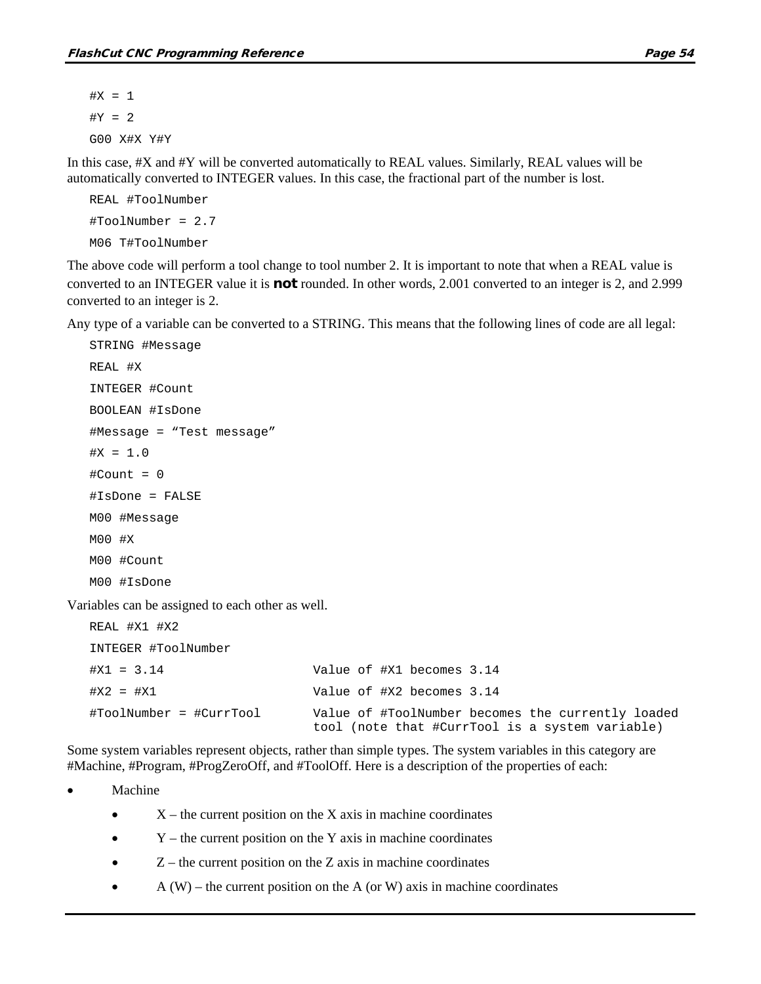$#X = 1$  $#Y = 2$ G00 X#X Y#Y

In this case, #X and #Y will be converted automatically to REAL values. Similarly, REAL values will be automatically converted to INTEGER values. In this case, the fractional part of the number is lost.

```
REAL #ToolNumber
#ToolNumber = 2.7
M06 T#ToolNumber
```
The above code will perform a tool change to tool number 2. It is important to note that when a REAL value is converted to an INTEGER value it is not rounded. In other words, 2.001 converted to an integer is 2, and 2.999 converted to an integer is 2.

Any type of a variable can be converted to a STRING. This means that the following lines of code are all legal:

```
STRING #Message
REAL #X
INTEGER #Count
BOOLEAN #IsDone
#Message = "Test message"
#X = 1.0#Count = 0#IsDone = FALSE
M00 #Message
M00 #X
M00 #Count
M00 #IsDone
```
Variables can be assigned to each other as well.

| REAL #X1 #X2            |                                                                                                      |
|-------------------------|------------------------------------------------------------------------------------------------------|
| INTEGER #ToolNumber     |                                                                                                      |
| $#X1 = 3.14$            | Value of #X1 becomes 3.14                                                                            |
| $#X2 = #X1$             | Value of #X2 becomes 3.14                                                                            |
| #ToolNumber = #CurrTool | Value of #ToolNumber becomes the currently loaded<br>tool (note that #CurrTool is a system variable) |

Some system variables represent objects, rather than simple types. The system variables in this category are #Machine, #Program, #ProgZeroOff, and #ToolOff. Here is a description of the properties of each:

**Machine** 

- $\bullet$   $X$  the current position on the X axis in machine coordinates
- $Y$  the current position on the Y axis in machine coordinates
- $\bullet$   $\mathbb{Z}$  the current position on the Z axis in machine coordinates
- $A (W)$  the current position on the A (or W) axis in machine coordinates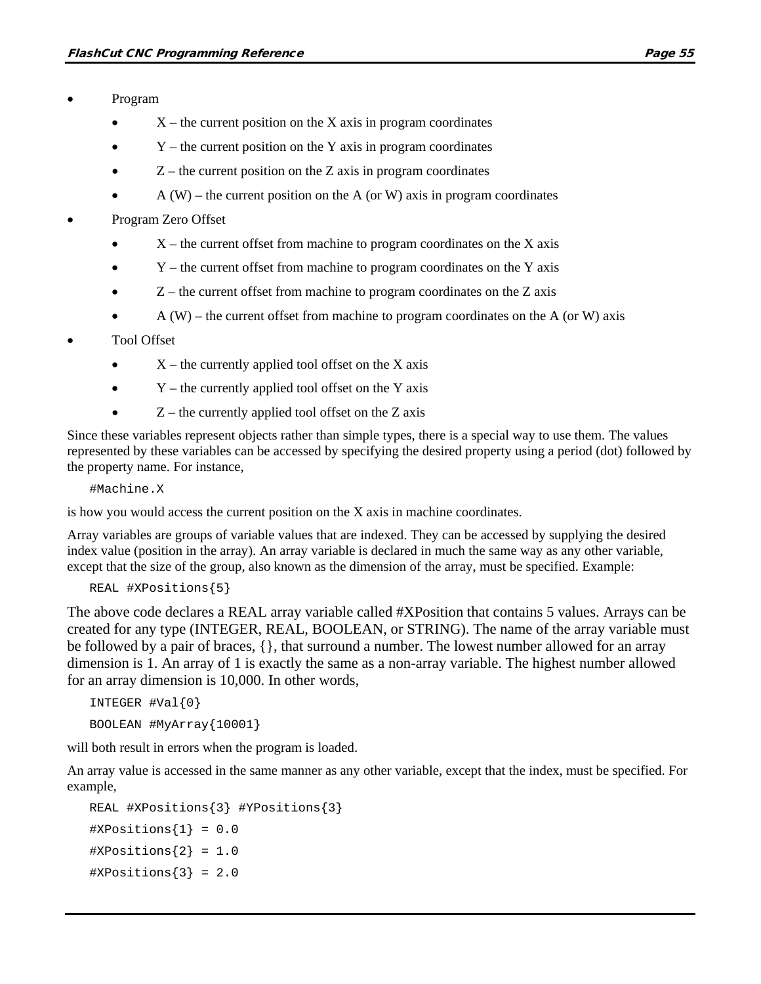- Program
	- $X$  the current position on the X axis in program coordinates
	- $Y$  the current position on the Y axis in program coordinates
	- $Z$  the current position on the  $Z$  axis in program coordinates
	- $A (W)$  the current position on the A (or W) axis in program coordinates
- Program Zero Offset
	- $\bullet$   $X$  the current offset from machine to program coordinates on the X axis
	- $\bullet$  Y the current offset from machine to program coordinates on the Y axis
	- $Z$  the current offset from machine to program coordinates on the  $Z$  axis
	- $A(W)$  the current offset from machine to program coordinates on the A (or W) axis

#### • Tool Offset

- $X$  the currently applied tool offset on the X axis
- $Y$  the currently applied tool offset on the Y axis
- $Z$  the currently applied tool offset on the  $Z$  axis

Since these variables represent objects rather than simple types, there is a special way to use them. The values represented by these variables can be accessed by specifying the desired property using a period (dot) followed by the property name. For instance,

#Machine.X

is how you would access the current position on the X axis in machine coordinates.

Array variables are groups of variable values that are indexed. They can be accessed by supplying the desired index value (position in the array). An array variable is declared in much the same way as any other variable, except that the size of the group, also known as the dimension of the array, must be specified. Example:

```
REAL #XPositions{5}
```
The above code declares a REAL array variable called #XPosition that contains 5 values. Arrays can be created for any type (INTEGER, REAL, BOOLEAN, or STRING). The name of the array variable must be followed by a pair of braces, {}, that surround a number. The lowest number allowed for an array dimension is 1. An array of 1 is exactly the same as a non-array variable. The highest number allowed for an array dimension is 10,000. In other words,

```
INTEGER #Val{0}
BOOLEAN #MyArray{10001}
```
will both result in errors when the program is loaded.

An array value is accessed in the same manner as any other variable, except that the index, must be specified. For example,

```
REAL #XPositions{3} #YPositions{3}
#XPositions{1} = 0.0#XPositions{2} = 1.0#XPositions{3} = 2.0
```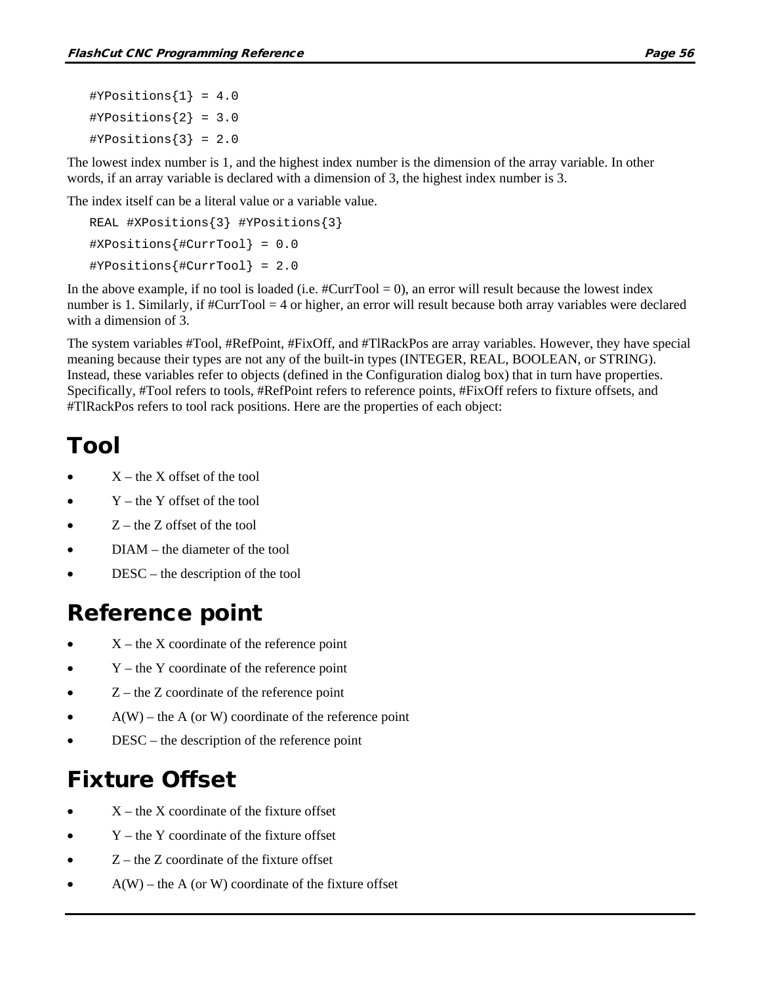The lowest index number is 1, and the highest index number is the dimension of the array variable. In other words, if an array variable is declared with a dimension of 3, the highest index number is 3.

The index itself can be a literal value or a variable value.

```
REAL #XPositions{3} #YPositions{3}
#XPositions{#CurrTool} = 0.0
#YPositions{#CurrTool} = 2.0
```
In the above example, if no tool is loaded (i.e.  $\#\text{CurrTool} = 0$ ), an error will result because the lowest index number is 1. Similarly, if #CurrTool = 4 or higher, an error will result because both array variables were declared with a dimension of 3.

The system variables #Tool, #RefPoint, #FixOff, and #TlRackPos are array variables. However, they have special meaning because their types are not any of the built-in types (INTEGER, REAL, BOOLEAN, or STRING). Instead, these variables refer to objects (defined in the Configuration dialog box) that in turn have properties. Specifically, #Tool refers to tools, #RefPoint refers to reference points, #FixOff refers to fixture offsets, and #TlRackPos refers to tool rack positions. Here are the properties of each object:

### Tool

- $X$  the X offset of the tool
- $Y$  the Y offset of the tool
- $Z$  the  $Z$  offset of the tool
- DIAM the diameter of the tool
- DESC the description of the tool

### Reference point

- $X$  the X coordinate of the reference point
- $Y$  the Y coordinate of the reference point
- $Z$  the  $Z$  coordinate of the reference point
- $A(W)$  the A (or W) coordinate of the reference point
- DESC the description of the reference point

## Fixture Offset

- $X$  the X coordinate of the fixture offset
- $Y$  the Y coordinate of the fixture offset
- $Z$  the  $Z$  coordinate of the fixture offset
- $A(W)$  the A (or W) coordinate of the fixture offset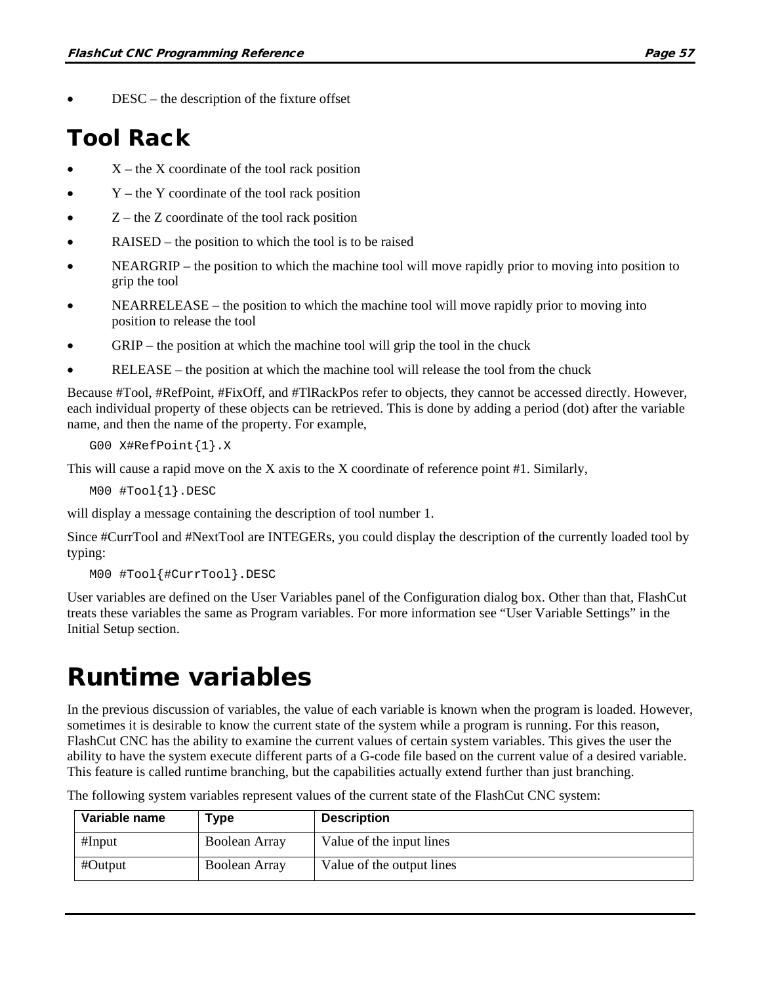$DESC -$  the description of the fixture offset

### Tool Rack

- $X$  the X coordinate of the tool rack position
- $Y$  the Y coordinate of the tool rack position
- $Z$  the  $Z$  coordinate of the tool rack position
- RAISED the position to which the tool is to be raised
- NEARGRIP the position to which the machine tool will move rapidly prior to moving into position to grip the tool
- NEARRELEASE the position to which the machine tool will move rapidly prior to moving into position to release the tool
- GRIP the position at which the machine tool will grip the tool in the chuck
- RELEASE the position at which the machine tool will release the tool from the chuck

Because #Tool, #RefPoint, #FixOff, and #TlRackPos refer to objects, they cannot be accessed directly. However, each individual property of these objects can be retrieved. This is done by adding a period (dot) after the variable name, and then the name of the property. For example,

```
G00 X#RefPoint{1}.X
```
This will cause a rapid move on the X axis to the X coordinate of reference point #1. Similarly,

M00 #Tool{1}.DESC

will display a message containing the description of tool number 1.

Since #CurrTool and #NextTool are INTEGERs, you could display the description of the currently loaded tool by typing:

```
M00 #Tool{#CurrTool}.DESC
```
User variables are defined on the User Variables panel of the Configuration dialog box. Other than that, FlashCut treats these variables the same as Program variables. For more information see "User Variable Settings" in the Initial Setup section.

## Runtime variables

In the previous discussion of variables, the value of each variable is known when the program is loaded. However, sometimes it is desirable to know the current state of the system while a program is running. For this reason, FlashCut CNC has the ability to examine the current values of certain system variables. This gives the user the ability to have the system execute different parts of a G-code file based on the current value of a desired variable. This feature is called runtime branching, but the capabilities actually extend further than just branching.

The following system variables represent values of the current state of the FlashCut CNC system:

| Variable name | Type                 | <b>Description</b>        |
|---------------|----------------------|---------------------------|
| #Input        | <b>Boolean Array</b> | Value of the input lines  |
| #Output       | Boolean Array        | Value of the output lines |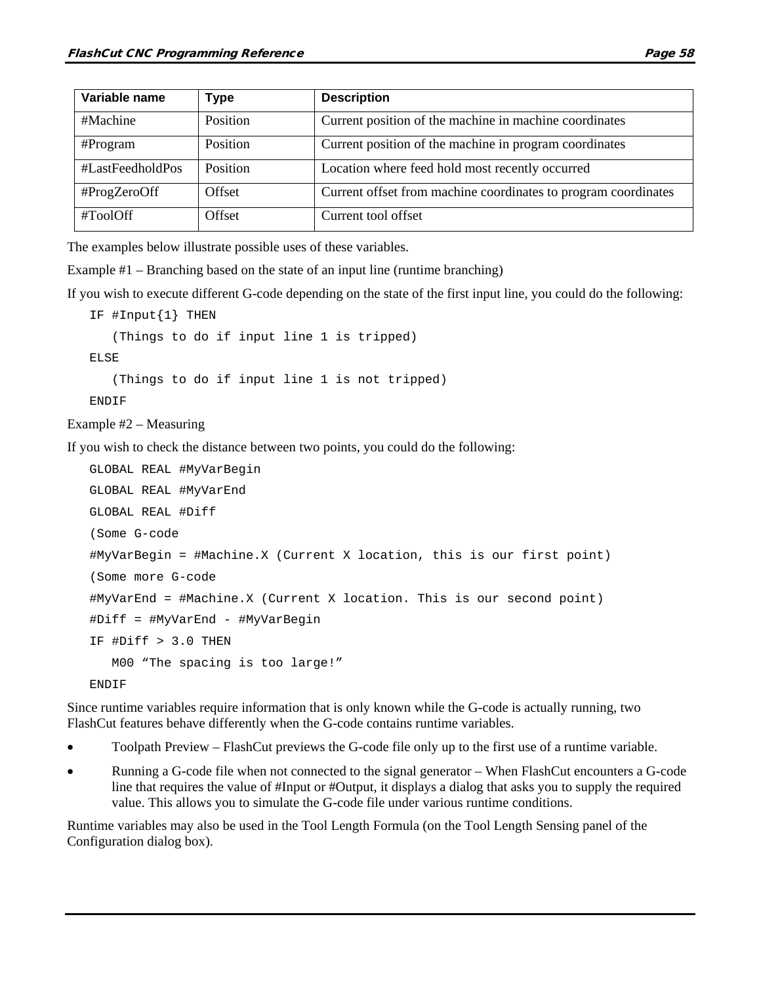| Variable name    | <b>Type</b> | <b>Description</b>                                             |
|------------------|-------------|----------------------------------------------------------------|
| #Machine         | Position    | Current position of the machine in machine coordinates         |
| #Program         | Position    | Current position of the machine in program coordinates         |
| #LastFeedholdPos | Position    | Location where feed hold most recently occurred                |
| #ProgZeroOff     | Offset      | Current offset from machine coordinates to program coordinates |
| #ToolOff         | Offset      | Current tool offset                                            |

The examples below illustrate possible uses of these variables.

Example #1 – Branching based on the state of an input line (runtime branching)

If you wish to execute different G-code depending on the state of the first input line, you could do the following:

```
IF #Input{1} THEN
```
(Things to do if input line 1 is tripped)

ELSE

(Things to do if input line 1 is not tripped)

ENDIF

Example #2 – Measuring

If you wish to check the distance between two points, you could do the following:

```
GLOBAL REAL #MyVarBegin
GLOBAL REAL #MyVarEnd
GLOBAL REAL #Diff
(Some G-code
#MyVarBegin = #Machine.X (Current X location, this is our first point)
(Some more G-code
#MyVarEnd = #Machine.X (Current X location. This is our second point)
#Diff = #MyVarEnd - #MyVarBegin
IF #Diff > 3.0 THEN
   M00 "The spacing is too large!"
ENDIF
```
Since runtime variables require information that is only known while the G-code is actually running, two FlashCut features behave differently when the G-code contains runtime variables.

- Toolpath Preview FlashCut previews the G-code file only up to the first use of a runtime variable.
- Running a G-code file when not connected to the signal generator When FlashCut encounters a G-code line that requires the value of #Input or #Output, it displays a dialog that asks you to supply the required value. This allows you to simulate the G-code file under various runtime conditions.

Runtime variables may also be used in the Tool Length Formula (on the Tool Length Sensing panel of the Configuration dialog box).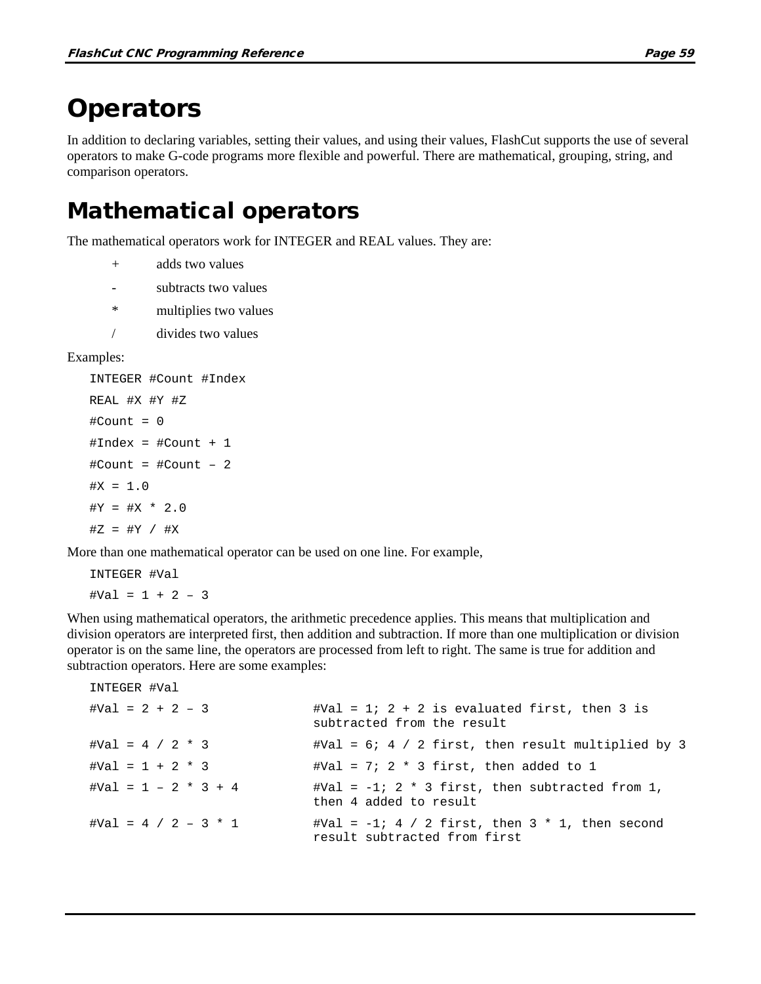### **Operators**

In addition to declaring variables, setting their values, and using their values, FlashCut supports the use of several operators to make G-code programs more flexible and powerful. There are mathematical, grouping, string, and comparison operators.

### Mathematical operators

The mathematical operators work for INTEGER and REAL values. They are:

- + adds two values
- subtracts two values
- \* multiplies two values
- / divides two values

#### Examples:

```
INTEGER #Count #Index
REAL #X #Y #Z
#Count = 0#Index = #Count + 1
#Count = #Count – 2
#X = 1.0#Y = #X * 2.0#Z = #Y / #X
```
More than one mathematical operator can be used on one line. For example,

```
INTEGER #Val
#Val = 1 + 2 - 3
```
When using mathematical operators, the arithmetic precedence applies. This means that multiplication and division operators are interpreted first, then addition and subtraction. If more than one multiplication or division operator is on the same line, the operators are processed from left to right. The same is true for addition and subtraction operators. Here are some examples:

```
INTEGER #Val
\text{#Val} = 2 + 2 - 3 \text{#Val} = 1; 2 + 2 \text{ is evaluated first, then 3 is}subtracted from the result
#Val = 4 / 2 * 3 #Val = 6; 4 / 2 first, then result multiplied by 3
#Val = 1 + 2 * 3 \text{#Val} = 7; 2 * 3 \text{ first, then added to 1}#Val = 1 - 2 * 3 + 4 #Val = -1; 2 * 3 first, then subtracted from 1,
                              then 4 added to result
#Val = 4 / 2 - 3 * 1 \text{#Val} = -1; 4 / 2 \text{ first, then } 3 * 1, \text{ then second}result subtracted from first
```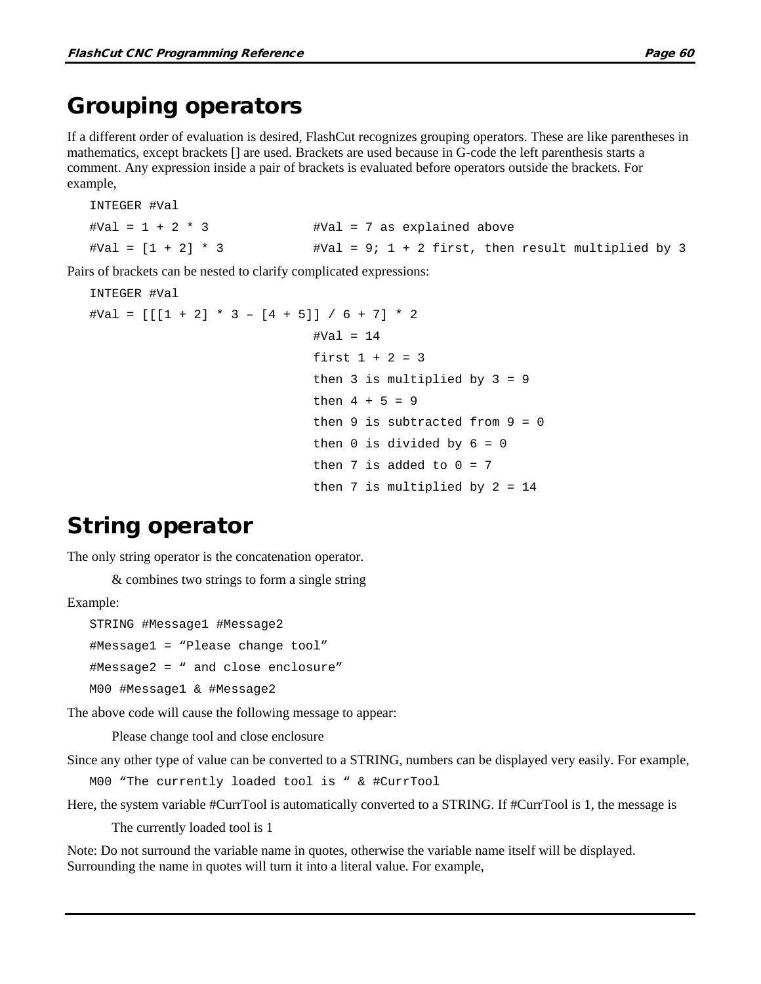### Grouping operators

If a different order of evaluation is desired, FlashCut recognizes grouping operators. These are like parentheses in mathematics, except brackets [] are used. Brackets are used because in G-code the left parenthesis starts a comment. Any expression inside a pair of brackets is evaluated before operators outside the brackets. For example,

```
INTEGER #Val
#Val = 1 + 2 * 3 #Val = 7 as explained above
#Val = [1 + 2] * 3 #Val = 9; 1 + 2 first, then result multiplied by 3
```
Pairs of brackets can be nested to clarify complicated expressions:

```
INTEGER #Val
\text{#Val} = [[1 + 2] * 3 - [4 + 5]] / 6 + 7] * 2#Val = 14first 1 + 2 = 3then 3 is multiplied by 3 = 9then 4 + 5 = 9then 9 is subtracted from 9 = 0then 0 is divided by 6 = 0then 7 is added to 0 = 7then 7 is multiplied by 2 = 14
```
### String operator

The only string operator is the concatenation operator.

& combines two strings to form a single string

Example:

```
STRING #Message1 #Message2
#Message1 = "Please change tool"
#Message2 = " and close enclosure"
M00 #Message1 & #Message2
```
The above code will cause the following message to appear:

Please change tool and close enclosure

Since any other type of value can be converted to a STRING, numbers can be displayed very easily. For example,

```
M00 "The currently loaded tool is " & #CurrTool
```
Here, the system variable #CurrTool is automatically converted to a STRING. If #CurrTool is 1, the message is

The currently loaded tool is 1

Note: Do not surround the variable name in quotes, otherwise the variable name itself will be displayed. Surrounding the name in quotes will turn it into a literal value. For example,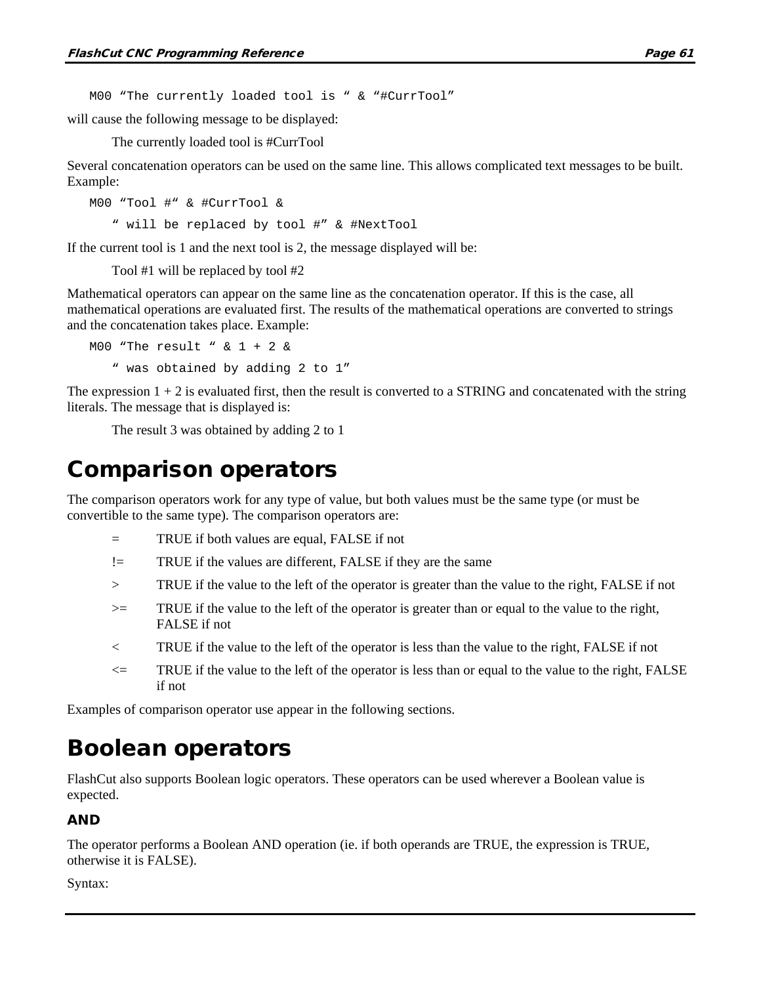M00 "The currently loaded tool is " & "#CurrTool"

will cause the following message to be displayed:

The currently loaded tool is #CurrTool

Several concatenation operators can be used on the same line. This allows complicated text messages to be built. Example:

M00 "Tool #" & #CurrTool & " will be replaced by tool #" & #NextTool

If the current tool is 1 and the next tool is 2, the message displayed will be:

Tool #1 will be replaced by tool #2

Mathematical operators can appear on the same line as the concatenation operator. If this is the case, all mathematical operations are evaluated first. The results of the mathematical operations are converted to strings and the concatenation takes place. Example:

M00 "The result " & 1 + 2 & " was obtained by adding 2 to 1"

The expression  $1 + 2$  is evaluated first, then the result is converted to a STRING and concatenated with the string literals. The message that is displayed is:

The result 3 was obtained by adding 2 to 1

### Comparison operators

The comparison operators work for any type of value, but both values must be the same type (or must be convertible to the same type). The comparison operators are:

- = TRUE if both values are equal, FALSE if not
- != TRUE if the values are different, FALSE if they are the same
- > TRUE if the value to the left of the operator is greater than the value to the right, FALSE if not
- >= TRUE if the value to the left of the operator is greater than or equal to the value to the right, FALSE if not
- < TRUE if the value to the left of the operator is less than the value to the right, FALSE if not
- $\leq$  TRUE if the value to the left of the operator is less than or equal to the value to the right, FALSE if not

Examples of comparison operator use appear in the following sections.

### Boolean operators

FlashCut also supports Boolean logic operators. These operators can be used wherever a Boolean value is expected.

#### AND

The operator performs a Boolean AND operation (ie. if both operands are TRUE, the expression is TRUE, otherwise it is FALSE).

Syntax: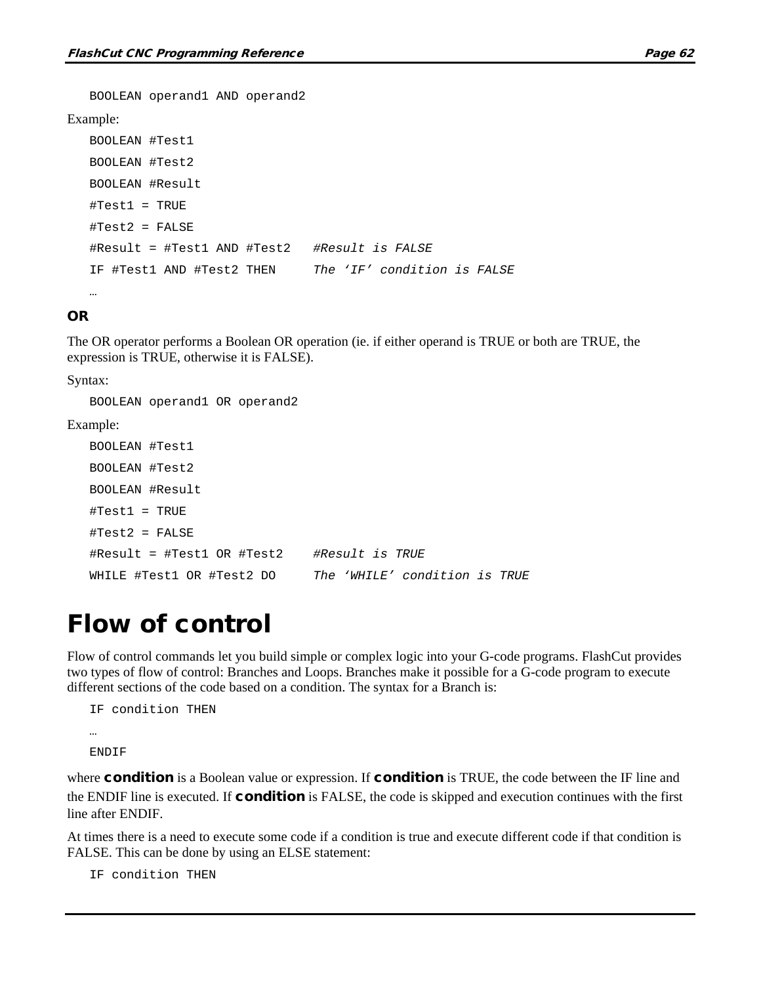```
BOOLEAN operand1 AND operand2
Example:
   BOOLEAN #Test1
   BOOLEAN #Test2
   BOOLEAN #Result
   #Test1 = TRUE
   #Test2 = FALSE
   #Result = #Test1 AND #Test2 #Result is FALSE
   IF #Test1 AND #Test2 THEN The 'IF' condition is FALSE
   …
```
#### OR

The OR operator performs a Boolean OR operation (ie. if either operand is TRUE or both are TRUE, the expression is TRUE, otherwise it is FALSE).

Syntax:

BOOLEAN operand1 OR operand2 Example: BOOLEAN #Test1 BOOLEAN #Test2 BOOLEAN #Result #Test1 = TRUE #Test2 = FALSE #Result = #Test1 OR #Test2 *#Result is TRUE* WHILE #Test1 OR #Test2 DO *The 'WHILE' condition is TRUE*

### Flow of control

Flow of control commands let you build simple or complex logic into your G-code programs. FlashCut provides two types of flow of control: Branches and Loops. Branches make it possible for a G-code program to execute different sections of the code based on a condition. The syntax for a Branch is:

```
IF condition THEN
…
ENDIF
```
where **condition** is a Boolean value or expression. If **condition** is TRUE, the code between the IF line and the ENDIF line is executed. If **condition** is FALSE, the code is skipped and execution continues with the first line after ENDIF.

At times there is a need to execute some code if a condition is true and execute different code if that condition is FALSE. This can be done by using an ELSE statement:

IF condition THEN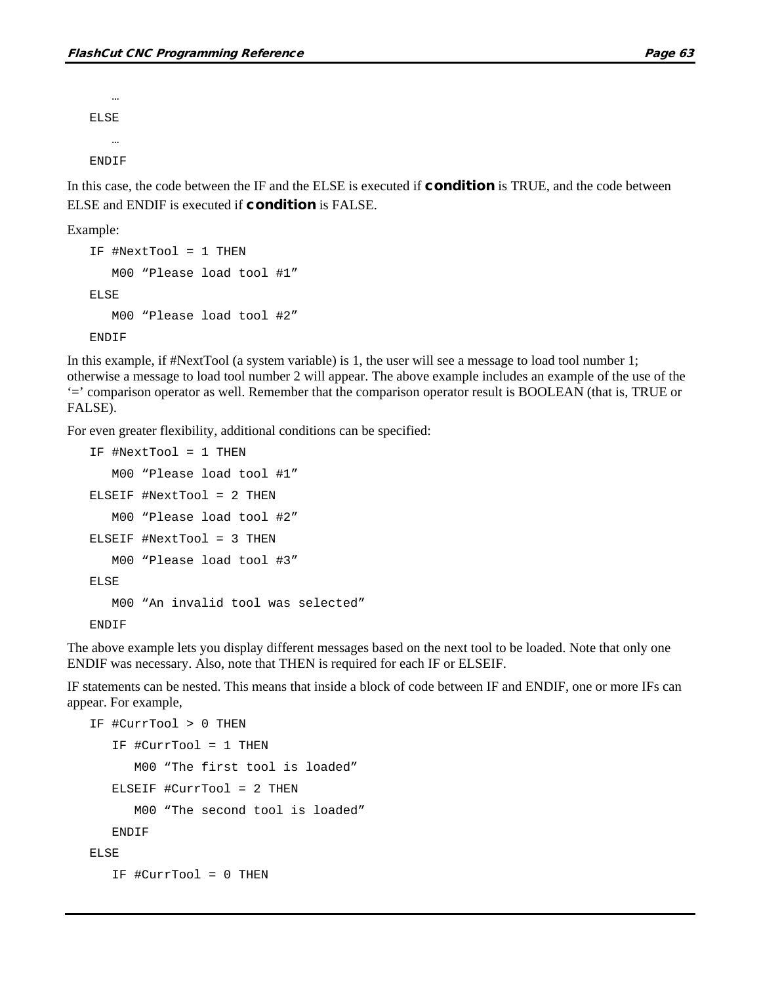… ELSE … ENDIF

In this case, the code between the IF and the ELSE is executed if **condition** is TRUE, and the code between ELSE and ENDIF is executed if condition is FALSE.

Example:

```
IF #NextTool = 1 THEN
   M00 "Please load tool #1"
ELSE
   M00 "Please load tool #2"
ENDIF
```
In this example, if #NextTool (a system variable) is 1, the user will see a message to load tool number 1; otherwise a message to load tool number 2 will appear. The above example includes an example of the use of the '=' comparison operator as well. Remember that the comparison operator result is BOOLEAN (that is, TRUE or FALSE).

For even greater flexibility, additional conditions can be specified:

```
IF #NextTool = 1 THEN
  M00 "Please load tool #1"
ELSEIF #NextTool = 2 THEN
   M00 "Please load tool #2"
ELSEIF #NextTool = 3 THEN
   M00 "Please load tool #3"
ELSE
   M00 "An invalid tool was selected"
ENDIF
```
The above example lets you display different messages based on the next tool to be loaded. Note that only one ENDIF was necessary. Also, note that THEN is required for each IF or ELSEIF.

IF statements can be nested. This means that inside a block of code between IF and ENDIF, one or more IFs can appear. For example,

```
IF #CurrTool > 0 THEN
   IF #CurrTool = 1 THEN
      M00 "The first tool is loaded"
   ELSEIF #CurrTool = 2 THEN
      M00 "The second tool is loaded"
   ENDIF
ELSE
   IF #CurrTool = 0 THEN
```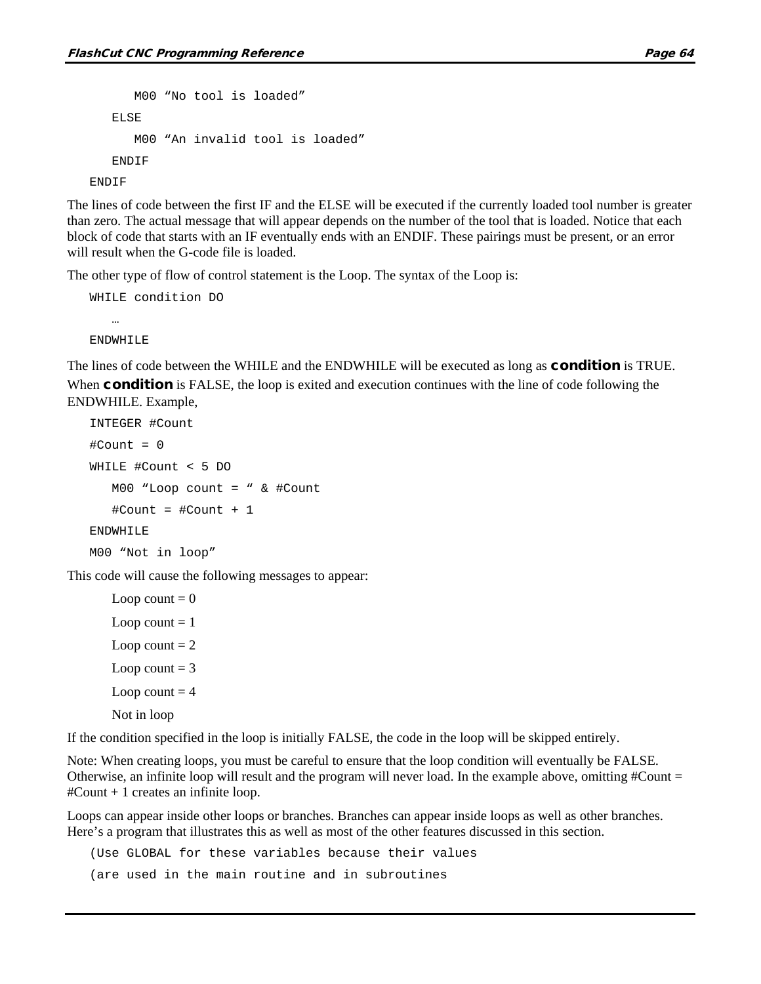```
M00 "No tool is loaded"
   ELSE
      M00 "An invalid tool is loaded"
   ENDIF
ENDIF
```
The lines of code between the first IF and the ELSE will be executed if the currently loaded tool number is greater than zero. The actual message that will appear depends on the number of the tool that is loaded. Notice that each block of code that starts with an IF eventually ends with an ENDIF. These pairings must be present, or an error will result when the G-code file is loaded.

The other type of flow of control statement is the Loop. The syntax of the Loop is:

```
WHILE condition DO
   …
ENDWHILE
```
The lines of code between the WHILE and the ENDWHILE will be executed as long as **condition** is TRUE. When **condition** is FALSE, the loop is exited and execution continues with the line of code following the ENDWHILE. Example,

```
INTEGER #Count
#Count = 0
WHILE #Count < 5 DO
   M00 "Loop count = " & #Count
   #Count = #Count + 1ENDWHILE
M00 "Not in loop"
```
This code will cause the following messages to appear:

```
Loop count = 0Loop count = 1Loop count = 2Loop count = 3
Loop count = 4Not in loop
```
If the condition specified in the loop is initially FALSE, the code in the loop will be skipped entirely.

Note: When creating loops, you must be careful to ensure that the loop condition will eventually be FALSE. Otherwise, an infinite loop will result and the program will never load. In the example above, omitting  $\#Count =$ #Count + 1 creates an infinite loop.

Loops can appear inside other loops or branches. Branches can appear inside loops as well as other branches. Here's a program that illustrates this as well as most of the other features discussed in this section.

(Use GLOBAL for these variables because their values

(are used in the main routine and in subroutines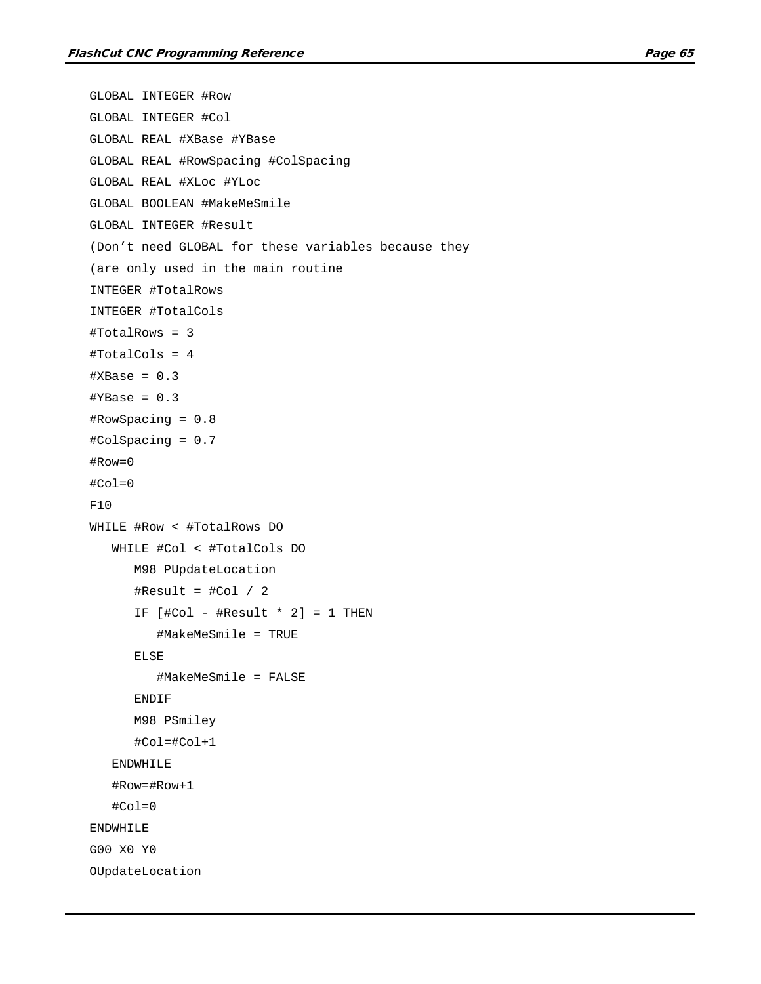```
GLOBAL INTEGER #Row
GLOBAL INTEGER #Col
GLOBAL REAL #XBase #YBase
GLOBAL REAL #RowSpacing #ColSpacing
GLOBAL REAL #XLoc #YLoc
GLOBAL BOOLEAN #MakeMeSmile
GLOBAL INTEGER #Result
(Don't need GLOBAL for these variables because they
(are only used in the main routine
INTEGER #TotalRows
INTEGER #TotalCols
#TotalRows = 3
#TotalCols = 4
#XBase = 0.3\texttt{\#YBase} = 0.3#RowSpacing = 0.8
#ColSpacing = 0.7
#Row=0
#Col=0F10
WHILE #Row < #TotalRows DO
   WHILE #Col < #TotalCols DO
      M98 PUpdateLocation
      \#Result = #Col / 2IF [ #Col - #Result * 2] = 1 THEN
         #MakeMeSmile = TRUE
      ELSE
         #MakeMeSmile = FALSE
      ENDIF
      M98 PSmiley
      #Col=#Col+1
   ENDWHILE
   #Row=#Row+1
   #Col=0ENDWHILE
G00 X0 Y0
OUpdateLocation
```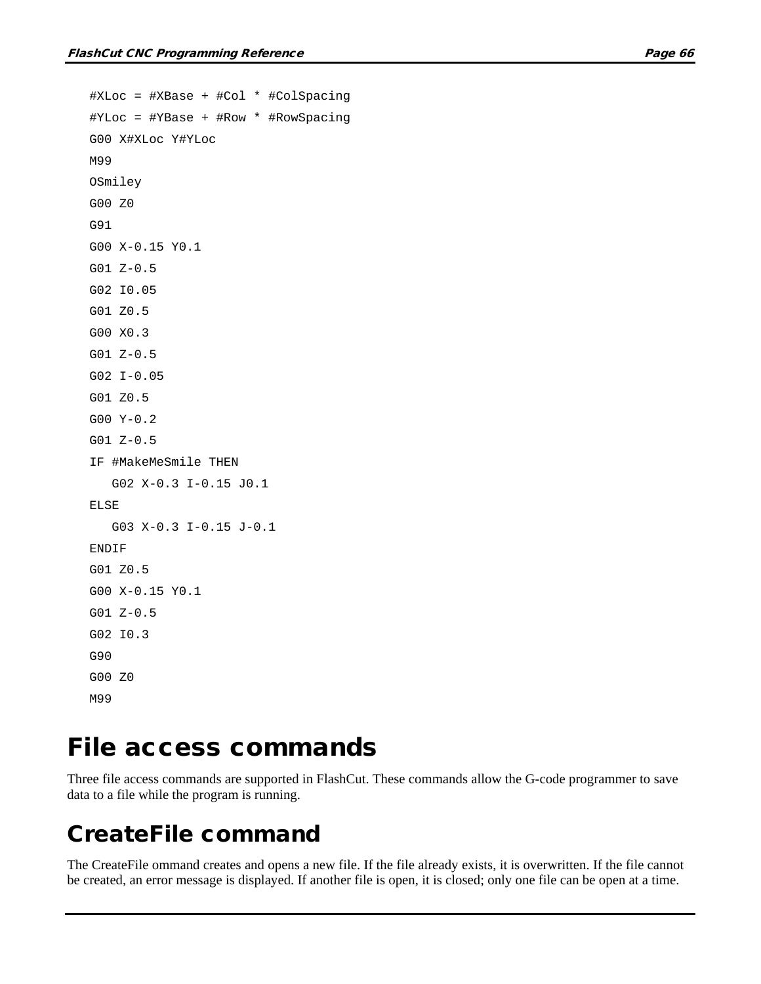```
#XLoc = #XBase + #Col * #ColSpacing
#YLoc = #YBase + #Row * #RowSpacing
G00 X#XLoc Y#YLoc
M99
OSmiley
G00 Z0
G91
G00 X-0.15 Y0.1
G01 Z-0.5
G02 I0.05
G01 Z0.5
G00 X0.3
G01 Z-0.5
G02 I-0.05
G01 Z0.5
G00 Y-0.2
G01 Z-0.5
IF #MakeMeSmile THEN
   G02 X-0.3 I-0.15 J0.1
ELSE
   G03 X-0.3 I-0.15 J-0.1
ENDIF
G01 Z0.5
G00 X-0.15 Y0.1
G01 Z-0.5
G02 I0.3
G90
G00 Z0
M99
```
### File access commands

Three file access commands are supported in FlashCut. These commands allow the G-code programmer to save data to a file while the program is running.

### CreateFile command

The CreateFile ommand creates and opens a new file. If the file already exists, it is overwritten. If the file cannot be created, an error message is displayed. If another file is open, it is closed; only one file can be open at a time.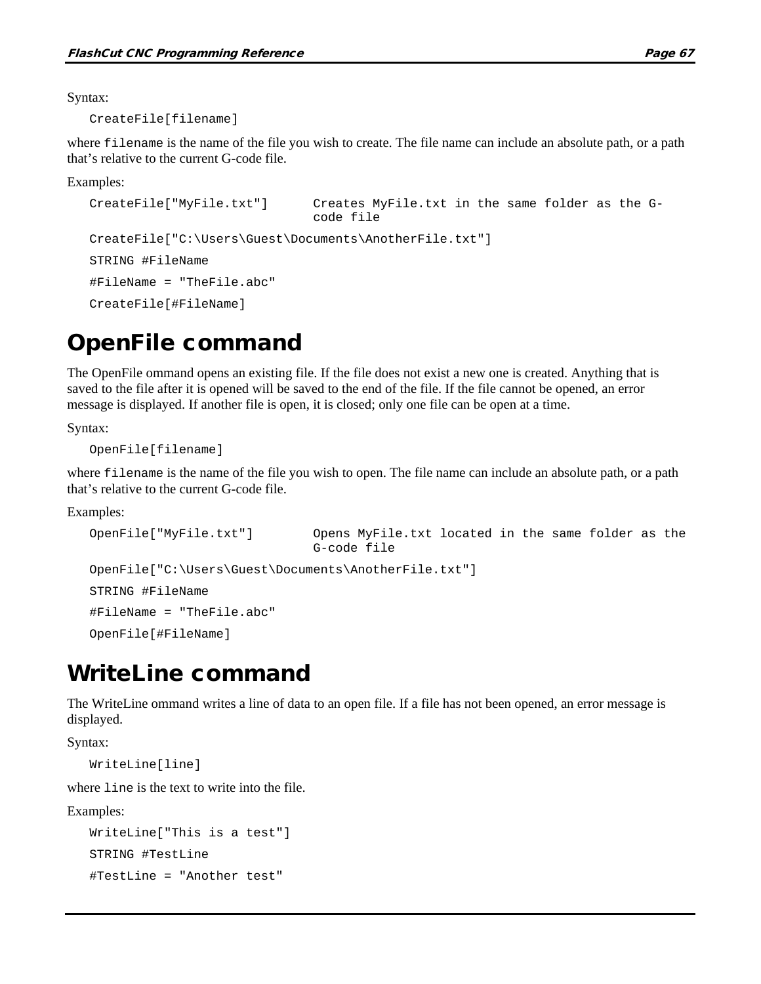Syntax:

CreateFile[filename]

where filename is the name of the file you wish to create. The file name can include an absolute path, or a path that's relative to the current G-code file.

Examples:

```
CreateFile["MyFile.txt"] Creates MyFile.txt in the same folder as the G-
                              code file
CreateFile["C:\Users\Guest\Documents\AnotherFile.txt"]
STRING #FileName
#FileName = "TheFile.abc"
CreateFile[#FileName]
```
### OpenFile command

The OpenFile ommand opens an existing file. If the file does not exist a new one is created. Anything that is saved to the file after it is opened will be saved to the end of the file. If the file cannot be opened, an error message is displayed. If another file is open, it is closed; only one file can be open at a time.

Syntax:

OpenFile[filename]

where filename is the name of the file you wish to open. The file name can include an absolute path, or a path that's relative to the current G-code file.

Examples:

```
OpenFile["MyFile.txt"] Opens MyFile.txt located in the same folder as the 
                             G-code file
OpenFile["C:\Users\Guest\Documents\AnotherFile.txt"]
STRING #FileName
#FileName = "TheFile.abc"
OpenFile[#FileName]
```
### WriteLine command

The WriteLine ommand writes a line of data to an open file. If a file has not been opened, an error message is displayed.

Syntax:

WriteLine[line]

where line is the text to write into the file.

Examples:

```
WriteLine["This is a test"]
STRING #TestLine
#TestLine = "Another test"
```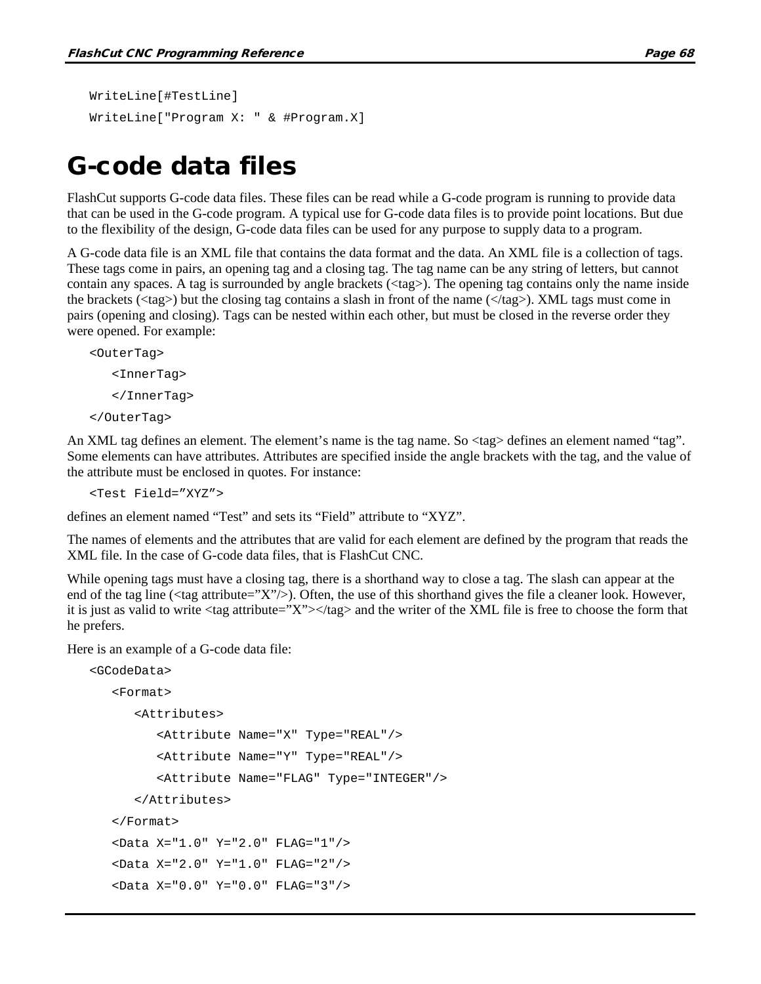```
WriteLine[#TestLine]
WriteLine["Program X: " & #Program.X]
```
### G-code data files

FlashCut supports G-code data files. These files can be read while a G-code program is running to provide data that can be used in the G-code program. A typical use for G-code data files is to provide point locations. But due to the flexibility of the design, G-code data files can be used for any purpose to supply data to a program.

A G-code data file is an XML file that contains the data format and the data. An XML file is a collection of tags. These tags come in pairs, an opening tag and a closing tag. The tag name can be any string of letters, but cannot contain any spaces. A tag is surrounded by angle brackets (<tag>). The opening tag contains only the name inside the brackets (<tag>) but the closing tag contains a slash in front of the name (</tag>). XML tags must come in pairs (opening and closing). Tags can be nested within each other, but must be closed in the reverse order they were opened. For example:

```
<OuterTag>
   <InnerTag>
   </InnerTag>
</OuterTag>
```
An XML tag defines an element. The element's name is the tag name. So  $\langle \text{tag} \rangle$  defines an element named "tag". Some elements can have attributes. Attributes are specified inside the angle brackets with the tag, and the value of the attribute must be enclosed in quotes. For instance:

```
<Test Field="XYZ">
```
defines an element named "Test" and sets its "Field" attribute to "XYZ".

The names of elements and the attributes that are valid for each element are defined by the program that reads the XML file. In the case of G-code data files, that is FlashCut CNC.

While opening tags must have a closing tag, there is a shorthand way to close a tag. The slash can appear at the end of the tag line ( $\langle \text{tag attribute} = "X" \rangle$ ). Often, the use of this shorthand gives the file a cleaner look. However, it is just as valid to write  $\langle \text{tag} \text{attribute} = \text{X} \rangle \langle \text{tag} \rangle$  and the writer of the XML file is free to choose the form that he prefers.

Here is an example of a G-code data file:

```
<GCodeData>
   <Format>
      <Attributes>
         <Attribute Name="X" Type="REAL"/>
         <Attribute Name="Y" Type="REAL"/>
         <Attribute Name="FLAG" Type="INTEGER"/>
      </Attributes>
   </Format>
   <Data X="1.0" Y="2.0" FLAG="1"/>
  <Data X="2.0" Y="1.0" FLAG="2"/>
   <Data X="0.0" Y="0.0" FLAG="3"/>
```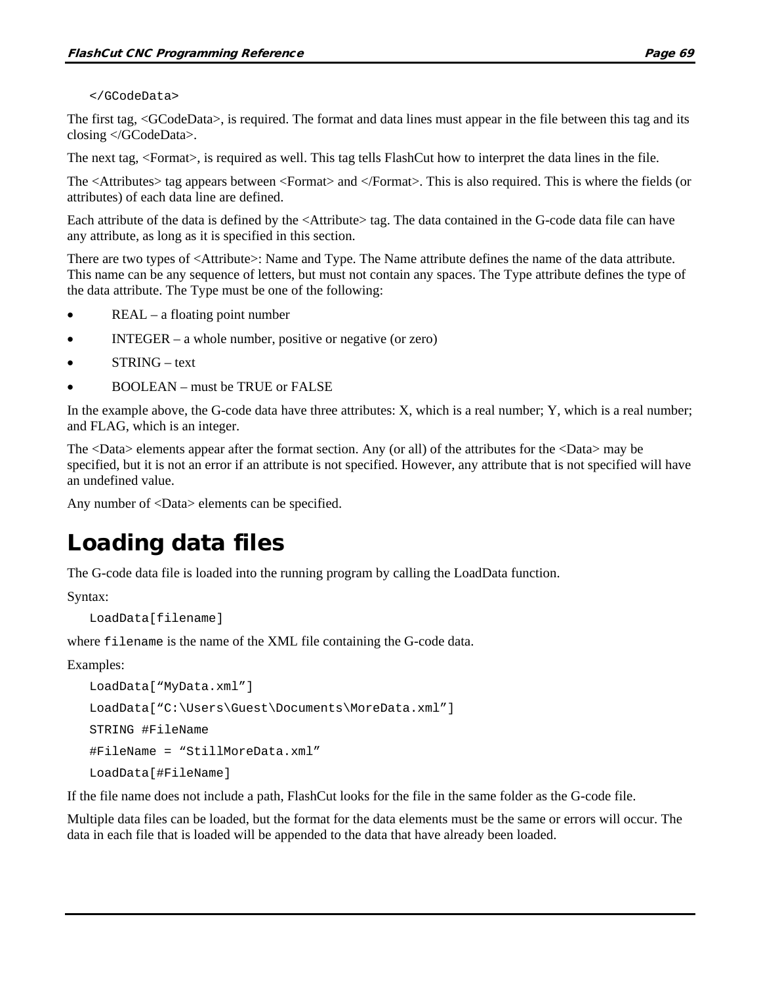#### </GCodeData>

The first tag, <GCodeData>, is required. The format and data lines must appear in the file between this tag and its closing </GCodeData>.

The next tag, <Format>, is required as well. This tag tells FlashCut how to interpret the data lines in the file.

The <Attributes> tag appears between <Format> and </Format>. This is also required. This is where the fields (or attributes) of each data line are defined.

Each attribute of the data is defined by the <Attribute> tag. The data contained in the G-code data file can have any attribute, as long as it is specified in this section.

There are two types of <Attribute>: Name and Type. The Name attribute defines the name of the data attribute. This name can be any sequence of letters, but must not contain any spaces. The Type attribute defines the type of the data attribute. The Type must be one of the following:

- $REAL a$  floating point number
- INTEGER a whole number, positive or negative (or zero)
- STRING text
- BOOLEAN must be TRUE or FALSE

In the example above, the G-code data have three attributes: X, which is a real number; Y, which is a real number; and FLAG, which is an integer.

The <Data> elements appear after the format section. Any (or all) of the attributes for the <Data> may be specified, but it is not an error if an attribute is not specified. However, any attribute that is not specified will have an undefined value.

Any number of <Data> elements can be specified.

### Loading data files

The G-code data file is loaded into the running program by calling the LoadData function.

Syntax:

LoadData[filename]

where filename is the name of the XML file containing the G-code data.

Examples:

```
LoadData["MyData.xml"]
LoadData["C:\Users\Guest\Documents\MoreData.xml"]
STRING #FileName
#FileName = "StillMoreData.xml"
LoadData[#FileName]
```
If the file name does not include a path, FlashCut looks for the file in the same folder as the G-code file.

Multiple data files can be loaded, but the format for the data elements must be the same or errors will occur. The data in each file that is loaded will be appended to the data that have already been loaded.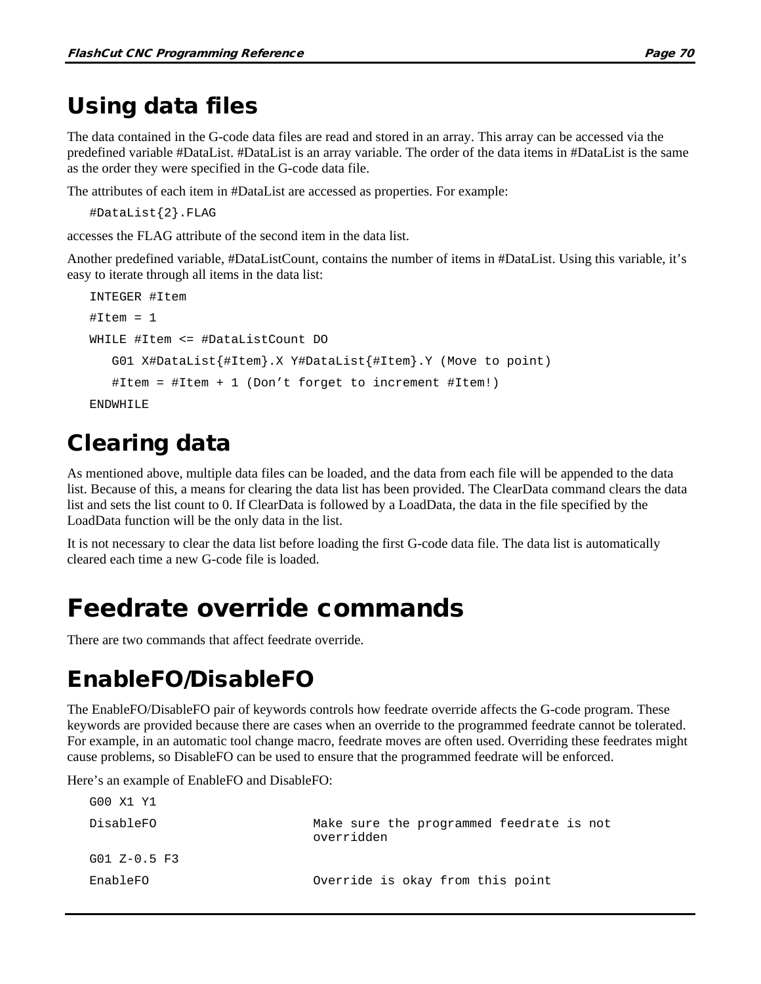### Using data files

The data contained in the G-code data files are read and stored in an array. This array can be accessed via the predefined variable #DataList. #DataList is an array variable. The order of the data items in #DataList is the same as the order they were specified in the G-code data file.

The attributes of each item in #DataList are accessed as properties. For example:

```
#DataList{2}.FLAG
```
accesses the FLAG attribute of the second item in the data list.

Another predefined variable, #DataListCount, contains the number of items in #DataList. Using this variable, it's easy to iterate through all items in the data list:

```
INTEGER #Item
#Item = 1WHILE #Item <= #DataListCount DO
   G01 X#DataList{#Item}.X Y#DataList{#Item}.Y (Move to point)
   #Item = #Item + 1 (Don't forget to increment #Item!)
ENDWHILE
```
### Clearing data

As mentioned above, multiple data files can be loaded, and the data from each file will be appended to the data list. Because of this, a means for clearing the data list has been provided. The ClearData command clears the data list and sets the list count to 0. If ClearData is followed by a LoadData, the data in the file specified by the LoadData function will be the only data in the list.

It is not necessary to clear the data list before loading the first G-code data file. The data list is automatically cleared each time a new G-code file is loaded.

# Feedrate override commands

There are two commands that affect feedrate override.

## EnableFO/DisableFO

The EnableFO/DisableFO pair of keywords controls how feedrate override affects the G-code program. These keywords are provided because there are cases when an override to the programmed feedrate cannot be tolerated. For example, in an automatic tool change macro, feedrate moves are often used. Overriding these feedrates might cause problems, so DisableFO can be used to ensure that the programmed feedrate will be enforced.

Here's an example of EnableFO and DisableFO:

| G00 X1 Y1      |                                                        |
|----------------|--------------------------------------------------------|
| DisableFO      | Make sure the programmed feedrate is not<br>overridden |
| $G01 Z-0.5 F3$ |                                                        |
| EnableFO       | Override is okay from this point                       |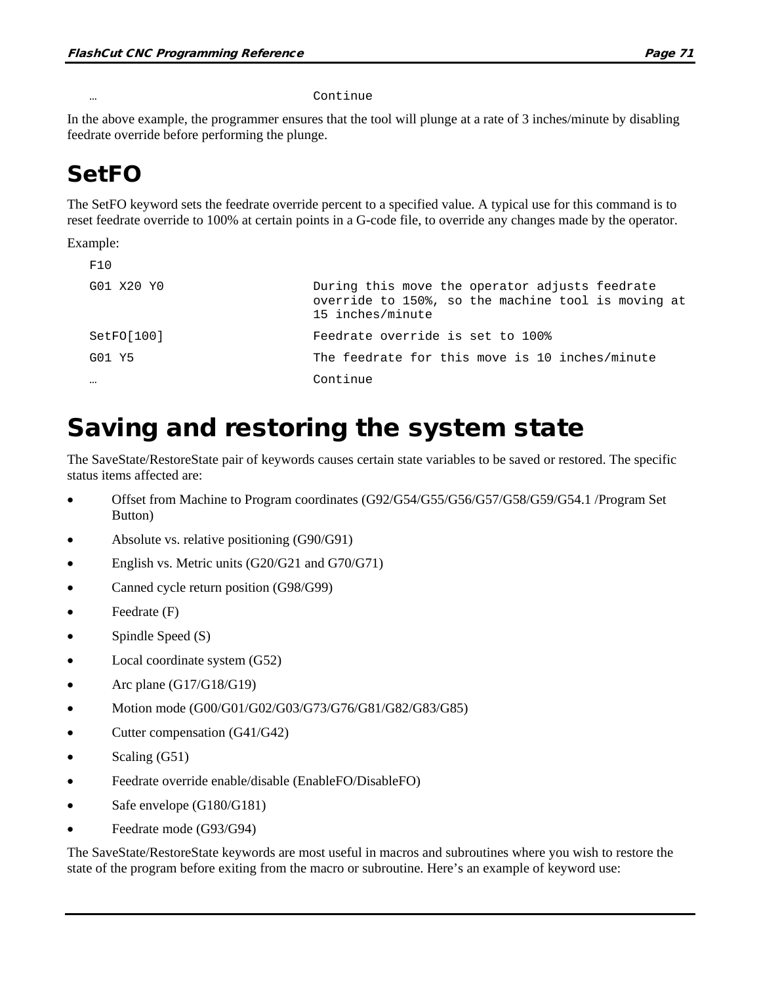#### … Continue

In the above example, the programmer ensures that the tool will plunge at a rate of 3 inches/minute by disabling feedrate override before performing the plunge.

### SetFO

The SetFO keyword sets the feedrate override percent to a specified value. A typical use for this command is to reset feedrate override to 100% at certain points in a G-code file, to override any changes made by the operator.

Example:

| F10        |                                                                                                                          |
|------------|--------------------------------------------------------------------------------------------------------------------------|
| G01 X20 Y0 | During this move the operator adjusts feedrate<br>override to 150%, so the machine tool is moving at<br>15 inches/minute |
| SetFO[100] | Feedrate override is set to 100%                                                                                         |
| G01 Y5     | The feedrate for this move is 10 inches/minute                                                                           |
| $\cdots$   | Continue                                                                                                                 |

# Saving and restoring the system state

The SaveState/RestoreState pair of keywords causes certain state variables to be saved or restored. The specific status items affected are:

- Offset from Machine to Program coordinates (G92/G54/G55/G56/G57/G58/G59/G54.1 /Program Set Button)
- Absolute vs. relative positioning (G90/G91)
- English vs. Metric units (G20/G21 and G70/G71)
- Canned cycle return position (G98/G99)
- Feedrate (F)
- Spindle Speed (S)
- Local coordinate system (G52)
- Arc plane  $(G17/G18/G19)$
- Motion mode (G00/G01/G02/G03/G73/G76/G81/G82/G83/G85)
- Cutter compensation (G41/G42)
- Scaling (G51)
- Feedrate override enable/disable (EnableFO/DisableFO)
- Safe envelope (G180/G181)
- Feedrate mode (G93/G94)

The SaveState/RestoreState keywords are most useful in macros and subroutines where you wish to restore the state of the program before exiting from the macro or subroutine. Here's an example of keyword use: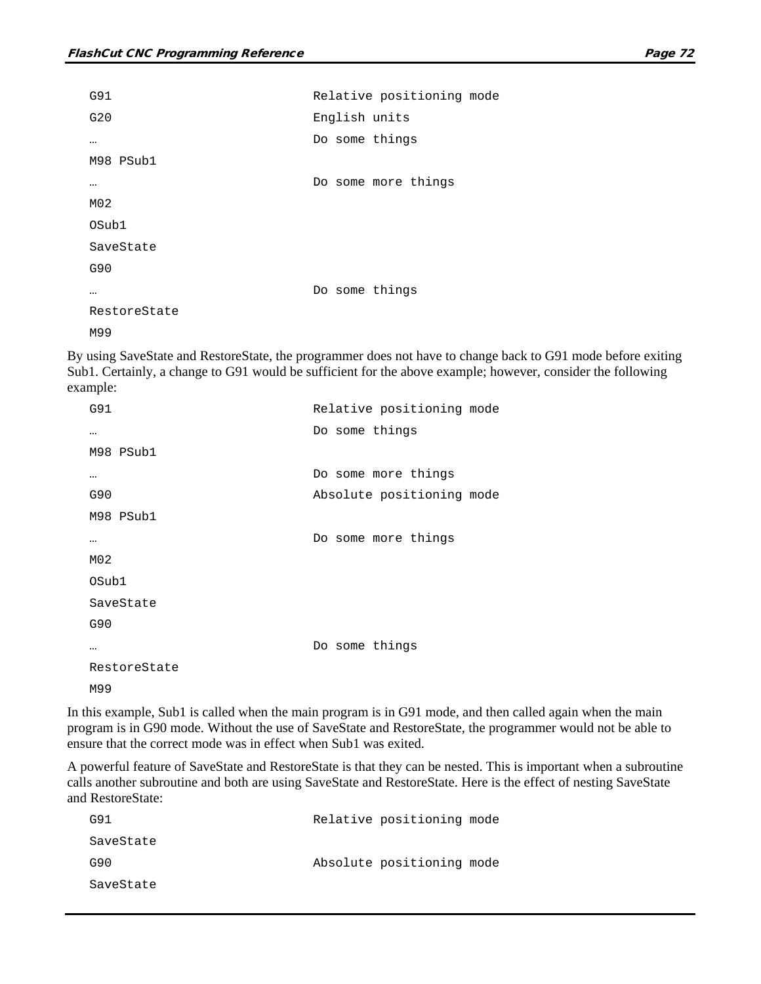```
G91 Relative positioning mode
G20 English units
… Do some things
M98 PSub1
… Do some more things
M02
OSub1
SaveState
G90
… Do some things
RestoreState
M99
```
By using SaveState and RestoreState, the programmer does not have to change back to G91 mode before exiting Sub1. Certainly, a change to G91 would be sufficient for the above example; however, consider the following example:

| G91              | Relative positioning mode |
|------------------|---------------------------|
| $\cdots$         | Do some things            |
| M98 PSub1        |                           |
| $\cdots$         | Do some more things       |
| G90              | Absolute positioning mode |
| M98 PSub1        |                           |
| $\cdots$         | Do some more things       |
| M <sub>0</sub> 2 |                           |
| OSub1            |                           |
| SaveState        |                           |
| G90              |                           |
|                  | Do some things            |
| RestoreState     |                           |
| M99              |                           |

In this example, Sub1 is called when the main program is in G91 mode, and then called again when the main program is in G90 mode. Without the use of SaveState and RestoreState, the programmer would not be able to ensure that the correct mode was in effect when Sub1 was exited.

A powerful feature of SaveState and RestoreState is that they can be nested. This is important when a subroutine calls another subroutine and both are using SaveState and RestoreState. Here is the effect of nesting SaveState and RestoreState:

| G91       | Relative positioning mode |  |
|-----------|---------------------------|--|
| SaveState |                           |  |
| G90       | Absolute positioning mode |  |
| SaveState |                           |  |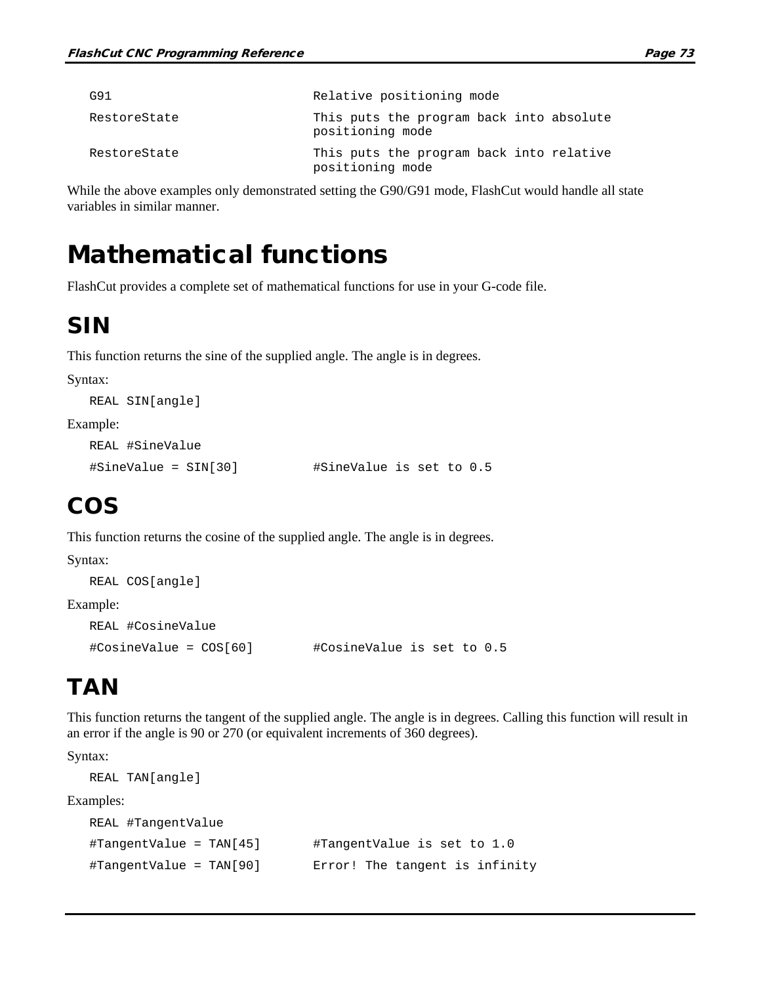| G91          | Relative positioning mode                                    |
|--------------|--------------------------------------------------------------|
| RestoreState | This puts the program back into absolute<br>positioning mode |
| RestoreState | This puts the program back into relative<br>positioning mode |

While the above examples only demonstrated setting the G90/G91 mode, FlashCut would handle all state variables in similar manner.

### Mathematical functions

FlashCut provides a complete set of mathematical functions for use in your G-code file.

### SIN

This function returns the sine of the supplied angle. The angle is in degrees.

Syntax:

REAL SIN[angle]

#### Example:

```
REAL #SineValue
```
#SineValue = SIN[30] #SineValue is set to 0.5

### COS

This function returns the cosine of the supplied angle. The angle is in degrees.

#### Syntax:

```
REAL COS[angle]
Example:
  REAL #CosineValue
  #CosineValue = COS[60] #CosineValue is set to 0.5
```
### **TAN**

This function returns the tangent of the supplied angle. The angle is in degrees. Calling this function will result in an error if the angle is 90 or 270 (or equivalent increments of 360 degrees).

Syntax:

```
REAL TAN[angle]
```
Examples:

```
REAL #TangentValue
#TangentValue = TAN[45] #TangentValue is set to 1.0
#TangentValue = TAN[90] Error! The tangent is infinity
```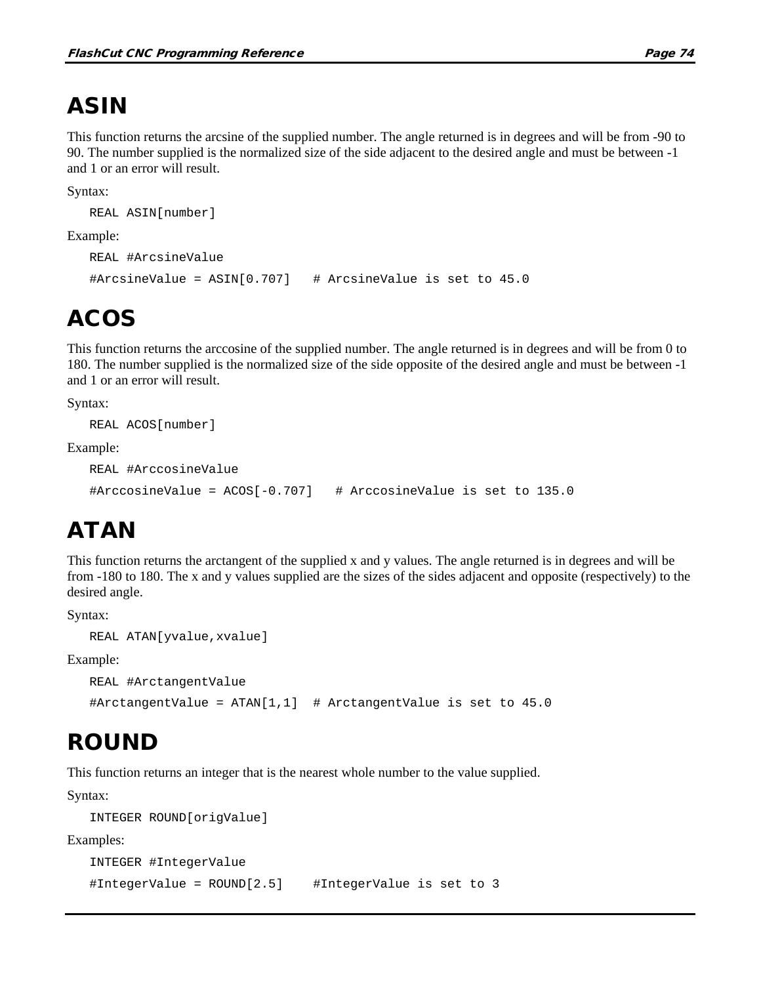# ASIN

This function returns the arcsine of the supplied number. The angle returned is in degrees and will be from -90 to 90. The number supplied is the normalized size of the side adjacent to the desired angle and must be between -1 and 1 or an error will result.

Syntax:

```
REAL ASIN[number]
```
Example:

```
REAL #ArcsineValue
#ArcsineValue = ASIN[0.707] # ArcsineValue is set to 45.0
```
### ACOS

This function returns the arccosine of the supplied number. The angle returned is in degrees and will be from 0 to 180. The number supplied is the normalized size of the side opposite of the desired angle and must be between -1 and 1 or an error will result.

Syntax:

```
REAL ACOS[number]
```
Example:

```
REAL #ArccosineValue
#ArccosineValue = ACOS[-0.707] # ArccosineValue is set to 135.0
```
# ATAN

This function returns the arctangent of the supplied x and y values. The angle returned is in degrees and will be from -180 to 180. The x and y values supplied are the sizes of the sides adjacent and opposite (respectively) to the desired angle.

Syntax:

```
REAL ATAN[yvalue,xvalue]
```
Example:

```
REAL #ArctangentValue
```
#ArctangentValue = ATAN[1,1] # ArctangentValue is set to 45.0

# ROUND

This function returns an integer that is the nearest whole number to the value supplied.

Syntax:

```
INTEGER ROUND[origValue]
```
Examples:

```
INTEGER #IntegerValue
#IntegerValue = ROUND[2.5] #IntegerValue is set to 3
```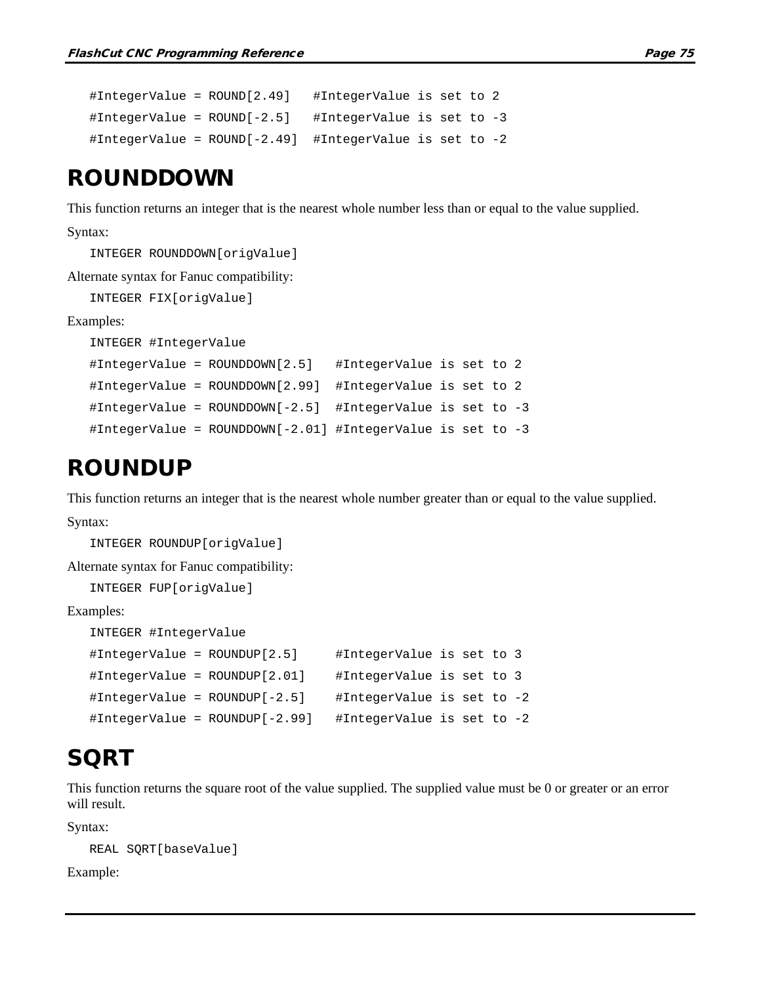```
#IntegerValue = ROUND[2.49] #IntegerValue is set to 2
#IntegerValue = ROUND[-2.5] #IntegerValue is set to -3
#IntegerValue = ROUND[-2.49] #IntegerValue is set to -2
```
### ROUNDDOWN

This function returns an integer that is the nearest whole number less than or equal to the value supplied.

```
Syntax:
```
INTEGER ROUNDDOWN[origValue] Alternate syntax for Fanuc compatibility: INTEGER FIX[origValue] Examples: INTEGER #IntegerValue #IntegerValue = ROUNDDOWN[2.5] #IntegerValue is set to 2 #IntegerValue = ROUNDDOWN[2.99] #IntegerValue is set to 2 #IntegerValue = ROUNDDOWN[-2.5] #IntegerValue is set to -3 #IntegerValue = ROUNDDOWN[-2.01] #IntegerValue is set to -3

### ROUNDUP

This function returns an integer that is the nearest whole number greater than or equal to the value supplied. Syntax:

```
INTEGER ROUNDUP[origValue]
```
Alternate syntax for Fanuc compatibility:

INTEGER FUP[origValue]

Examples:

```
INTEGER #IntegerValue
#IntegerValue = ROUNDUP[2.5] #IntegerValue is set to 3
#IntegerValue = ROUNDUP[2.01] #IntegerValue is set to 3
#IntegerValue = ROUNDUP[-2.5] #IntegerValue is set to -2
#IntegerValue = ROUNDUP[-2.99] #IntegerValue is set to -2
```
### **SQRT**

This function returns the square root of the value supplied. The supplied value must be 0 or greater or an error will result.

Syntax:

```
REAL SQRT[baseValue]
```
Example: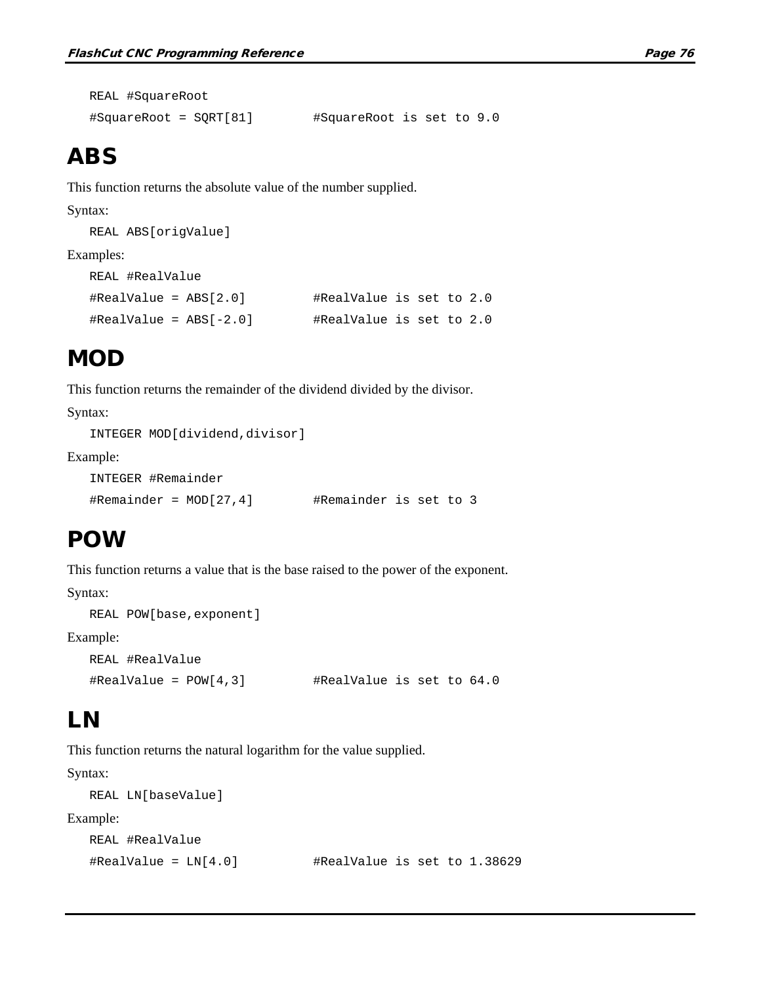```
REAL #SquareRoot
#SquareRoot = SQRT[81] #SquareRoot is set to 9.0
```
### ABS

This function returns the absolute value of the number supplied.

#### Syntax:

REAL ABS[origValue]

#### Examples:

```
REAL #RealValue
#RealValue = ABS[2.0] #RealValue is set to 2.0
#RealValue = ABS[-2.0] #RealValue is set to 2.0
```
### **MOD**

This function returns the remainder of the dividend divided by the divisor.

Syntax:

```
INTEGER MOD[dividend,divisor]
```
Example:

```
INTEGER #Remainder
#Remainder = MOD[27,4] #Remainder is set to 3
```
### POW

This function returns a value that is the base raised to the power of the exponent.

Syntax:

```
REAL POW[base,exponent]
```
Example:

```
REAL #RealValue
\texttt{\#RealValue = } POW[4,3] \texttt{\#RealValue is set to 64.0}
```
### LN

This function returns the natural logarithm for the value supplied.

Syntax:

```
REAL LN[baseValue]
```
Example:

```
REAL #RealValue
#RealValue = LN[4.0] #RealValue is set to 1.38629
```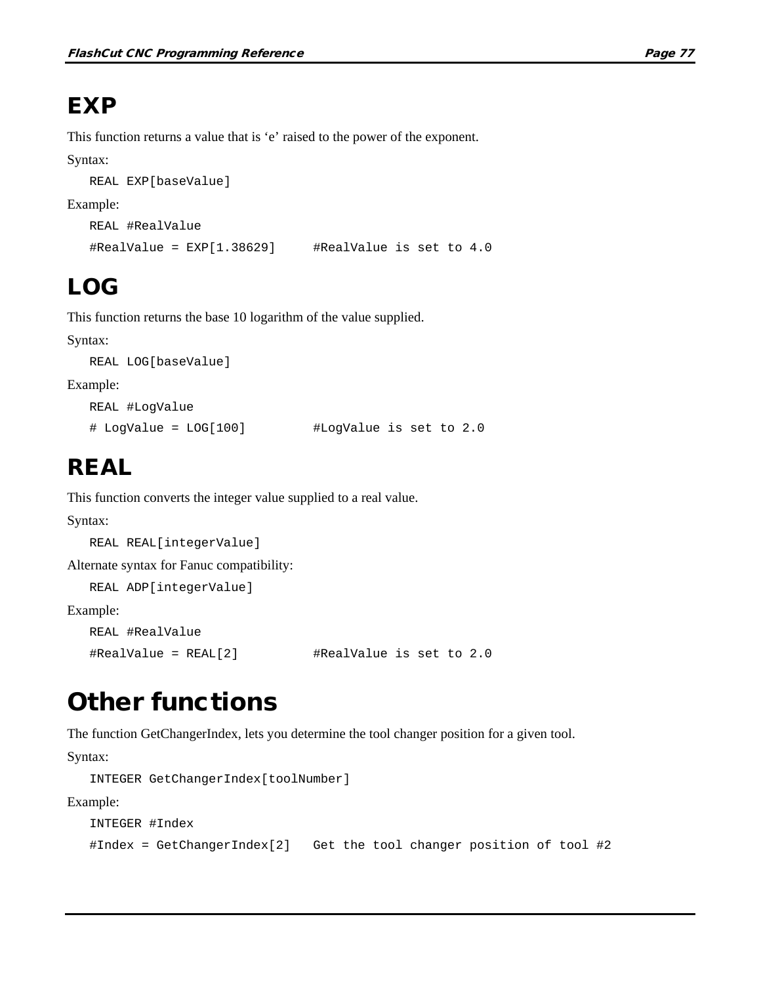# **EXP**

This function returns a value that is 'e' raised to the power of the exponent.

Syntax:

```
REAL EXP[baseValue]
```
Example:

```
REAL #RealValue
\text{#RealValue} = \text{EXP}[1.38629] \text{#RealValue} is set to 4.0
```
# LOG

This function returns the base 10 logarithm of the value supplied.

Syntax:

```
REAL LOG[baseValue]
```
Example:

```
REAL #LogValue
# LogValue = LOG[100] #LogValue is set to 2.0
```
## REAL

This function converts the integer value supplied to a real value.

### Syntax:

```
REAL REAL[integerValue]
```
Alternate syntax for Fanuc compatibility:

REAL ADP[integerValue]

Example:

```
REAL #RealValue
```

```
#RealValue = REAL[2] #RealValue is set to 2.0
```
# Other functions

The function GetChangerIndex, lets you determine the tool changer position for a given tool.

Syntax:

```
INTEGER GetChangerIndex[toolNumber]
```
Example:

```
INTEGER #Index
#Index = GetChangerIndex[2] Get the tool changer position of tool #2
```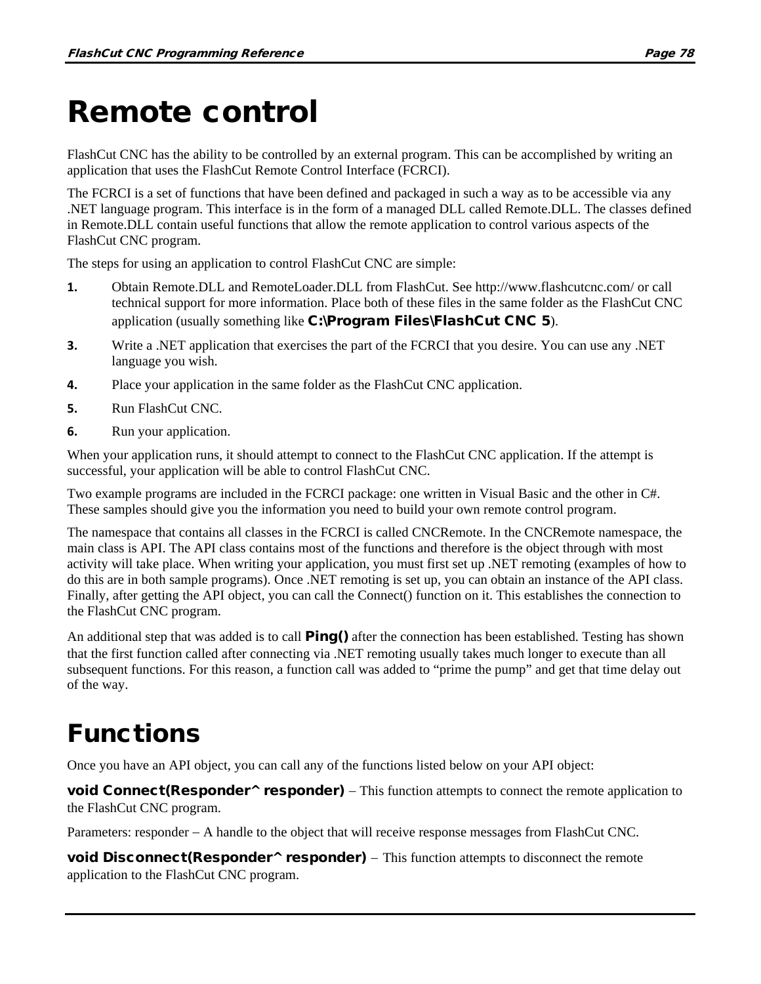# Remote control

FlashCut CNC has the ability to be controlled by an external program. This can be accomplished by writing an application that uses the FlashCut Remote Control Interface (FCRCI).

The FCRCI is a set of functions that have been defined and packaged in such a way as to be accessible via any .NET language program. This interface is in the form of a managed DLL called Remote.DLL. The classes defined in Remote.DLL contain useful functions that allow the remote application to control various aspects of the FlashCut CNC program.

The steps for using an application to control FlashCut CNC are simple:

- 1. Obtain Remote.DLL and RemoteLoader.DLL from FlashCut. See<http://www.flashcutcnc.com/> or call technical support for more information. Place both of these files in the same folder as the FlashCut CNC application (usually something like C:\Program Files\FlashCut CNC 5).
- **3.** Write a .NET application that exercises the part of the FCRCI that you desire. You can use any .NET language you wish.
- **4.** Place your application in the same folder as the FlashCut CNC application.
- **5.** Run FlashCut CNC.
- **6.** Run your application.

When your application runs, it should attempt to connect to the FlashCut CNC application. If the attempt is successful, your application will be able to control FlashCut CNC.

Two example programs are included in the FCRCI package: one written in Visual Basic and the other in C#. These samples should give you the information you need to build your own remote control program.

The namespace that contains all classes in the FCRCI is called CNCRemote. In the CNCRemote namespace, the main class is API. The API class contains most of the functions and therefore is the object through with most activity will take place. When writing your application, you must first set up .NET remoting (examples of how to do this are in both sample programs). Once .NET remoting is set up, you can obtain an instance of the API class. Finally, after getting the API object, you can call the Connect() function on it. This establishes the connection to the FlashCut CNC program.

An additional step that was added is to call  $PingO$  after the connection has been established. Testing has shown that the first function called after connecting via .NET remoting usually takes much longer to execute than all subsequent functions. For this reason, a function call was added to "prime the pump" and get that time delay out of the way.

# Functions

Once you have an API object, you can call any of the functions listed below on your API object:

void Connect(Responder<sup>^</sup> responder) – This function attempts to connect the remote application to the FlashCut CNC program.

Parameters: responder − A handle to the object that will receive response messages from FlashCut CNC.

void Disconnect(Responder<sup>^</sup> responder) – This function attempts to disconnect the remote application to the FlashCut CNC program.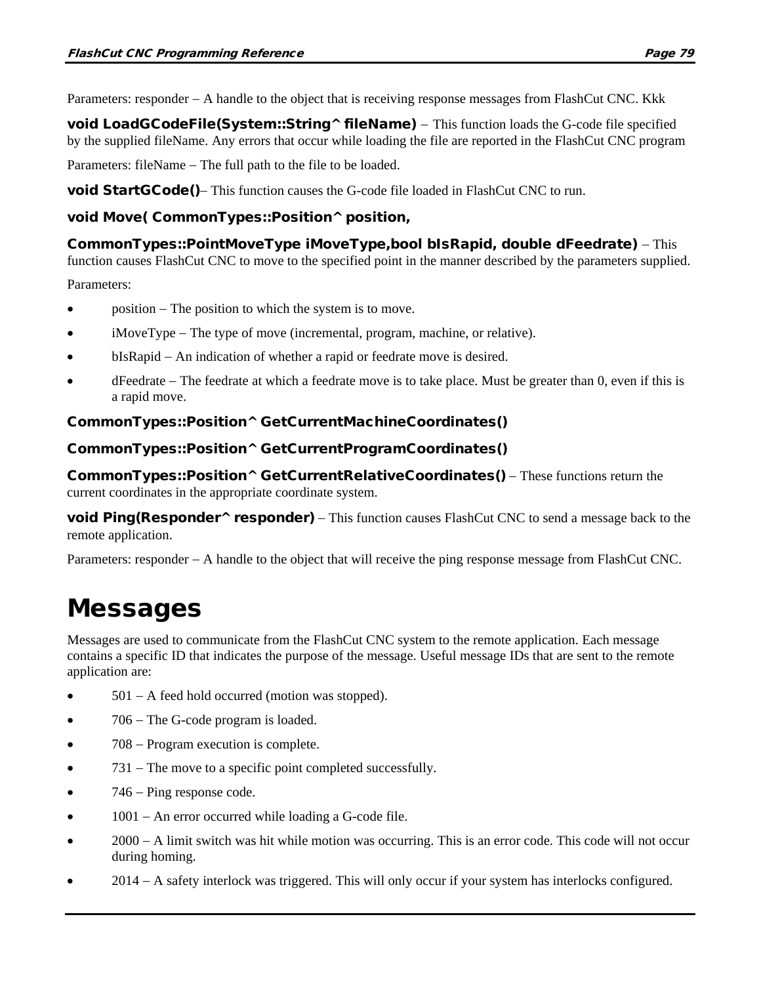Parameters: responder − A handle to the object that is receiving response messages from FlashCut CNC. Kkk

void LoadGCodeFile(System::String^ fileName) – This function loads the G-code file specified by the supplied fileName. Any errors that occur while loading the file are reported in the FlashCut CNC program

Parameters: fileName − The full path to the file to be loaded.

void StartGCode()– This function causes the G-code file loaded in FlashCut CNC to run.

#### void Move( CommonTypes::Position^ position,

CommonTypes::PointMoveType iMoveType,bool bIsRapid, double dFeedrate) − This function causes FlashCut CNC to move to the specified point in the manner described by the parameters supplied.

Parameters:

- position − The position to which the system is to move.
- iMoveType The type of move (incremental, program, machine, or relative).
- bIsRapid − An indication of whether a rapid or feedrate move is desired.
- dFeedrate − The feedrate at which a feedrate move is to take place. Must be greater than 0, even if this is a rapid move.

#### CommonTypes::Position^ GetCurrentMachineCoordinates()

#### CommonTypes::Position^ GetCurrentProgramCoordinates()

CommonTypes::Position^ GetCurrentRelativeCoordinates() – These functions return the current coordinates in the appropriate coordinate system.

void Ping(Responder^ responder) – This function causes FlashCut CNC to send a message back to the remote application.

Parameters: responder − A handle to the object that will receive the ping response message from FlashCut CNC.

## Messages

Messages are used to communicate from the FlashCut CNC system to the remote application. Each message contains a specific ID that indicates the purpose of the message. Useful message IDs that are sent to the remote application are:

- 501 − A feed hold occurred (motion was stopped).
- 706 − The G-code program is loaded.
- 708 Program execution is complete.
- 731 The move to a specific point completed successfully.
- 746 − Ping response code.
- 1001 − An error occurred while loading a G-code file.
- 2000 − A limit switch was hit while motion was occurring. This is an error code. This code will not occur during homing.
- 2014 − A safety interlock was triggered. This will only occur if your system has interlocks configured.